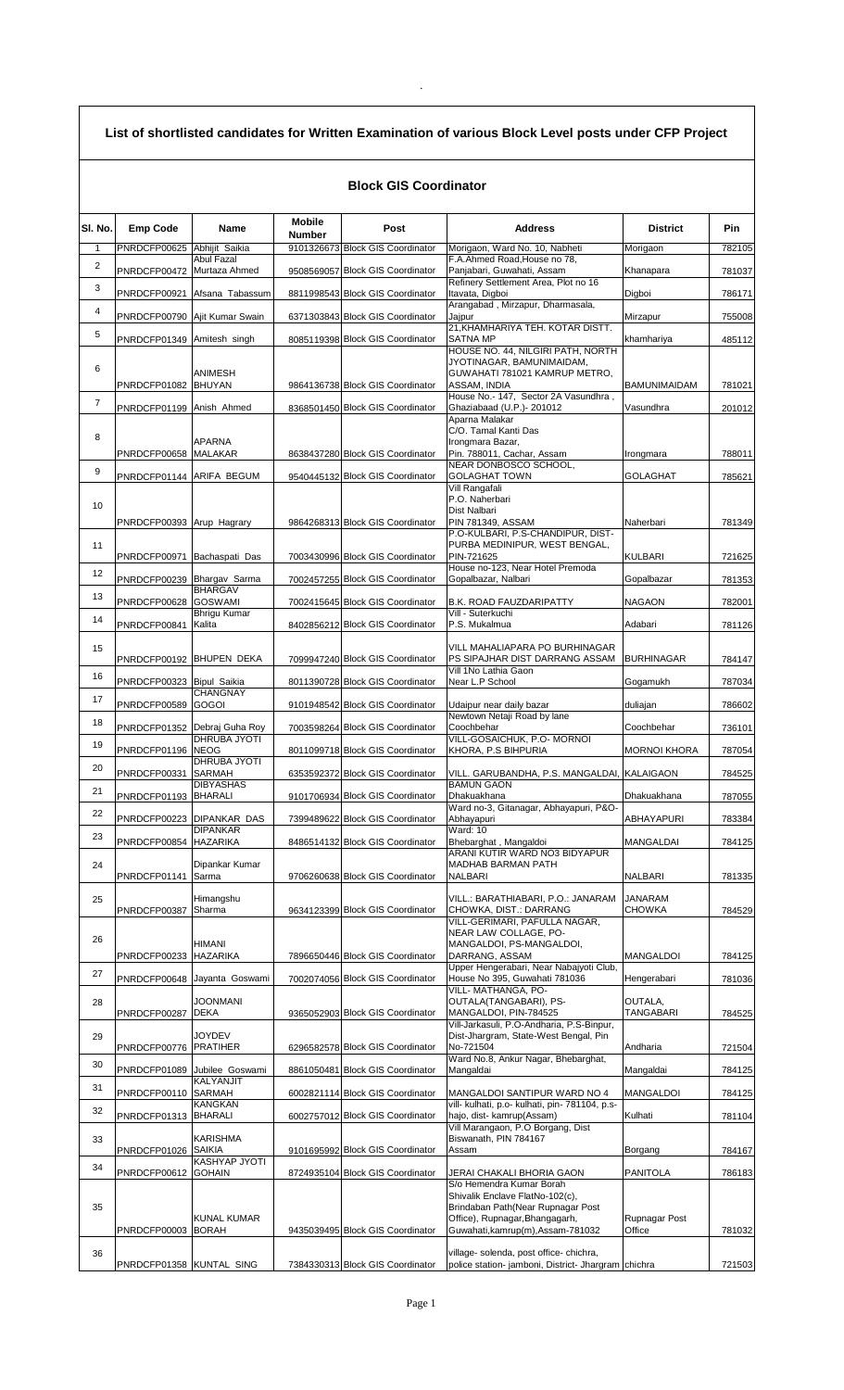| List of shortlisted candidates for Written Examination of various Block Level posts under CFP Project |  |  |
|-------------------------------------------------------------------------------------------------------|--|--|
|-------------------------------------------------------------------------------------------------------|--|--|

## **Block GIS Coordinator**

| SI. No.        | <b>Emp Code</b>               | <b>Name</b>                  | <b>Mobile</b> | Post                             | <b>Address</b>                                                                     | <b>District</b>         | <b>Pin</b> |
|----------------|-------------------------------|------------------------------|---------------|----------------------------------|------------------------------------------------------------------------------------|-------------------------|------------|
| 1              | PNRDCFP00625 Abhijit Saikia   |                              | <b>Number</b> | 9101326673 Block GIS Coordinator | Morigaon, Ward No. 10, Nabheti                                                     | Morigaon                | 782105     |
| $\overline{2}$ |                               | Abul Fazal                   |               |                                  | F.A.Ahmed Road, House no 78,                                                       |                         |            |
| 3              | PNRDCFP00472 Murtaza Ahmed    |                              |               | 9508569057 Block GIS Coordinator | Panjabari, Guwahati, Assam<br>Refinery Settlement Area, Plot no 16                 | Khanapara               | 781037     |
|                |                               | PNRDCFP00921 Afsana Tabassum |               | 8811998543 Block GIS Coordinator | Itavata, Digboi<br>Arangabad, Mirzapur, Dharmasala,                                | Digboi                  | 786171     |
| $\overline{4}$ | PNRDCFP00790 Ajit Kumar Swain |                              |               | 6371303843 Block GIS Coordinator | Jajpur                                                                             | Mirzapur                | 755008     |
| 5              | PNRDCFP01349 Amitesh singh    |                              |               | 8085119398 Block GIS Coordinator | 21, KHAMHARIYA TEH. KOTAR DISTT.<br><b>SATNA MP</b>                                | khamhariya              | 485112     |
|                |                               |                              |               |                                  | HOUSE NO. 44, NILGIRI PATH, NORTH<br>JYOTINAGAR, BAMUNIMAIDAM,                     |                         |            |
| 6              |                               | <b>ANIMESH</b>               |               |                                  | GUWAHATI 781021 KAMRUP METRO.                                                      |                         |            |
| $\overline{7}$ | PNRDCFP01082 BHUYAN           |                              |               | 9864136738 Block GIS Coordinator | ASSAM. INDIA<br>House No.- 147, Sector 2A Vasundhra,                               | <b>BAMUNIMAIDAM</b>     | 781021     |
|                | PNRDCFP01199 Anish Ahmed      |                              |               | 8368501450 Block GIS Coordinator | Ghaziabaad (U.P.) - 201012<br>Aparna Malakar                                       | Vasundhra               | 201012     |
| 8              |                               |                              |               |                                  | C/O. Tamal Kanti Das                                                               |                         |            |
|                | PNRDCFP00658 MALAKAR          | <b>APARNA</b>                |               | 8638437280 Block GIS Coordinator | Irongmara Bazar,<br>Pin. 788011, Cachar, Assam                                     | Irongmara               | 788011     |
| 9              | PNRDCFP01144 ARIFA BEGUM      |                              |               | 9540445132 Block GIS Coordinator | NEAR DONBOSCO SCHOOL,<br><b>GOLAGHAT TOWN</b>                                      | <b>GOLAGHAT</b>         | 785621     |
|                |                               |                              |               |                                  | Vill Rangafali<br>P.O. Naherbari                                                   |                         |            |
| 10             |                               |                              |               |                                  | Dist Nalbari                                                                       |                         |            |
|                | PNRDCFP00393 Arup Hagrary     |                              |               | 9864268313 Block GIS Coordinator | PIN 781349, ASSAM<br>P.O-KULBARI, P.S-CHANDIPUR, DIST-                             | Naherbari               | 781349     |
| 11             |                               |                              |               |                                  | PURBA MEDINIPUR, WEST BENGAL,<br>PIN-721625                                        | <b>KULBARI</b>          |            |
| 12             | PNRDCFP00971 Bachaspati Das   |                              |               | 7003430996 Block GIS Coordinator | House no-123, Near Hotel Premoda                                                   |                         | 721625     |
|                | PNRDCFP00239 Bhargav Sarma    | <b>BHARGAV</b>               |               | 7002457255 Block GIS Coordinator | Gopalbazar, Nalbari                                                                | Gopalbazar              | 781353     |
| 13             | PNRDCFP00628 GOSWAMI          | Bhrigu Kumar                 |               | 7002415645 Block GIS Coordinator | B.K. ROAD FAUZDARIPATTY<br>Vill - Suterkuchi                                       | <b>NAGAON</b>           | 782001     |
| 14             | PNRDCFP00841 Kalita           |                              |               | 8402856212 Block GIS Coordinator | P.S. Mukalmua                                                                      | Adabari                 | 781126     |
| 15             |                               |                              |               |                                  | VILL MAHALIAPARA PO BURHINAGAR                                                     |                         |            |
|                | PNRDCFP00192 BHUPEN DEKA      |                              |               | 7099947240 Block GIS Coordinator | PS SIPAJHAR DIST DARRANG ASSAM<br>Vill 1No Lathia Gaon                             | <b>BURHINAGAR</b>       | 784147     |
| 16             | PNRDCFP00323 Bipul Saikia     |                              |               | 8011390728 Block GIS Coordinator | Near L.P School                                                                    | Gogamukh                | 787034     |
| 17             | PNRDCFP00589 GOGOI            | <b>CHANGNAY</b>              |               | 9101948542 Block GIS Coordinator | Udaipur near daily bazar                                                           | duliajan                | 786602     |
| 18             | PNRDCFP01352 Debraj Guha Roy  |                              |               | 7003598264 Block GIS Coordinator | Newtown Netaji Road by lane<br>Coochbehar                                          | Coochbehar              | 736101     |
| 19             | PNRDCFP01196 NEOG             | DHRUBA JYOTI                 |               | 8011099718 Block GIS Coordinator | VILL-GOSAICHUK, P.O- MORNOI                                                        | <b>MORNOI KHORA</b>     |            |
| 20             |                               | DHRUBA JYOTI                 |               |                                  | KHORA, P.S BIHPURIA                                                                |                         | 787054     |
|                | PNRDCFP00331 SARMAH           | <b>DIBYASHAS</b>             |               | 6353592372 Block GIS Coordinator | VILL. GARUBANDHA, P.S. MANGALDAI, KALAIGAON<br><b>BAMUN GAON</b>                   |                         | 784525     |
| 21             | PNRDCFP01193 BHARALI          |                              |               | 9101706934 Block GIS Coordinator | Dhakuakhana<br>Ward no-3, Gitanagar, Abhayapuri, P&O-                              | Dhakuakhana             | 787055     |
| 22             | PNRDCFP00223 DIPANKAR DAS     |                              |               | 7399489622 Block GIS Coordinator | Abhayapuri                                                                         | ABHAYAPURI              | 783384     |
| 23             | PNRDCFP00854 HAZARIKA         | <b>DIPANKAR</b>              |               | 8486514132 Block GIS Coordinator | Ward: 10<br>Bhebarghat, Mangaldoi                                                  | MANGALDAI               | 784125     |
| 24             |                               | Dipankar Kumar               |               |                                  | ARANI KUTIR WARD NO3 BIDYAPUR<br>MADHAB BARMAN PATH                                |                         |            |
|                | PNRDCFP01141 Sarma            |                              |               | 9706260638 Block GIS Coordinator | <b>NALBARI</b>                                                                     | <b>NALBARI</b>          | 781335     |
| 25             |                               | Himangshu                    |               |                                  | VILL.: BARATHIABARI, P.O.: JANARAM                                                 | JANARAM                 |            |
|                | PNRDCFP00387                  | Sharma                       |               | 9634123399 Block GIS Coordinator | CHOWKA, DIST.: DARRANG<br>VILL-GERIMARI, PAFULLA NAGAR,                            | CHOWKA                  | 784529     |
| 26             |                               | <b>HIMANI</b>                |               |                                  | NEAR LAW COLLAGE, PO-<br>MANGALDOI, PS-MANGALDOI,                                  |                         |            |
|                | PNRDCFP00233 HAZARIKA         |                              |               | 7896650446 Block GIS Coordinator | DARRANG, ASSAM                                                                     | <b>MANGALDOI</b>        | 784125     |
| 27             |                               | PNRDCFP00648 Jayanta Goswami |               | 7002074056 Block GIS Coordinator | Upper Hengerabari, Near Nabajyoti Club,<br>House No 395, Guwahati 781036           | Hengerabari             | 781036     |
| 28             |                               | <b>JOONMANI</b>              |               |                                  | VILL- MATHANGA, PO-<br>OUTALA(TANGABARI), PS-                                      | OUTALA,                 |            |
|                | PNRDCFP00287                  | <b>DEKA</b>                  |               | 9365052903 Block GIS Coordinator | MANGALDOI, PIN-784525                                                              | TANGABARI               | 784525     |
| 29             |                               | <b>JOYDEV</b>                |               |                                  | Vill-Jarkasuli, P.O-Andharia, P.S-Binpur,<br>Dist-Jhargram, State-West Bengal, Pin |                         |            |
|                | PNRDCFP00776 PRATIHER         |                              |               | 6296582578 Block GIS Coordinator | No-721504<br>Ward No.8, Ankur Nagar, Bhebarghat,                                   | Andharia                | 721504     |
| 30             |                               | PNRDCFP01089 Jubilee Goswami |               | 8861050481 Block GIS Coordinator | Mangaldai                                                                          | Mangaldai               | 784125     |
| 31             | PNRDCFP00110 SARMAH           | KALYANJIT                    |               | 6002821114 Block GIS Coordinator | MANGALDOI SANTIPUR WARD NO 4                                                       | <b>MANGALDOI</b>        | 784125     |
| 32             | PNRDCFP01313 BHARALI          | <b>KANGKAN</b>               |               | 6002757012 Block GIS Coordinator | vill- kulhati, p.o- kulhati, pin- 781104, p.s-<br>hajo, dist- kamrup(Assam)        | Kulhati                 | 781104     |
|                |                               | <b>KARISHMA</b>              |               |                                  | Vill Marangaon, P.O Borgang, Dist                                                  |                         |            |
| 33             | PNRDCFP01026 SAIKIA           |                              |               | 9101695992 Block GIS Coordinator | Biswanath, PIN 784167<br>Assam                                                     | Borgang                 | 784167     |
| 34             | PNRDCFP00612 GOHAIN           | KASHYAP JYOTI                |               | 8724935104 Block GIS Coordinator | JERAI CHAKALI BHORIA GAON                                                          | <b>PANITOLA</b>         | 786183     |
|                |                               |                              |               |                                  | S/o Hemendra Kumar Borah<br>Shivalik Enclave FlatNo-102(c),                        |                         |            |
| 35             |                               |                              |               |                                  | Brindaban Path(Near Rupnagar Post                                                  |                         |            |
|                | PNRDCFP00003 BORAH            | <b>KUNAL KUMAR</b>           |               | 9435039495 Block GIS Coordinator | Office), Rupnagar, Bhangagarh,<br>Guwahati, kamrup(m), Assam-781032                | Rupnagar Post<br>Office | 781032     |
| 36             |                               |                              |               |                                  | village- solenda, post office- chichra,                                            |                         |            |
|                | PNRDCFP01358 KUNTAL SING      |                              |               | 7384330313 Block GIS Coordinator | police station- jamboni, District- Jhargram chichra                                |                         | 721503     |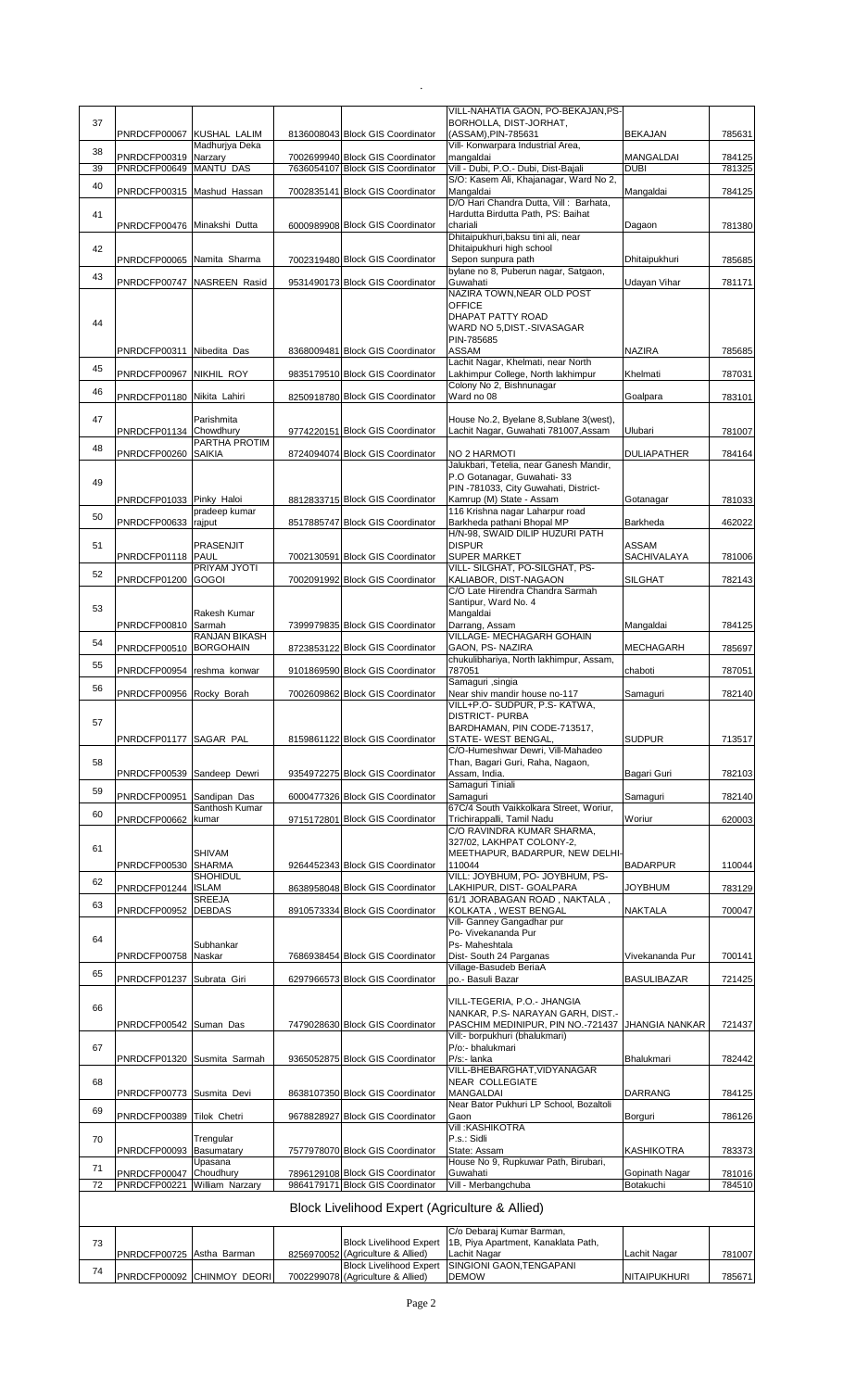|    |                                        |                                |                                                                      | VILL-NAHATIA GAON, PO-BEKAJAN, PS-                                  |                             |                  |
|----|----------------------------------------|--------------------------------|----------------------------------------------------------------------|---------------------------------------------------------------------|-----------------------------|------------------|
| 37 | PNRDCFP00067 KUSHAL LALIM              |                                | 8136008043 Block GIS Coordinator                                     | BORHOLLA, DIST-JORHAT,<br>(ASSAM), PIN-785631                       | <b>BEKAJAN</b>              | 785631           |
| 38 |                                        | Madhurjya Deka                 |                                                                      | Vill- Konwarpara Industrial Area,                                   |                             |                  |
| 39 | PNRDCFP00319<br>PNRDCFP00649 MANTU DAS | Narzary                        | 7002699940 Block GIS Coordinator<br>7636054107 Block GIS Coordinator | mangaldai<br>Vill - Dubi, P.O.- Dubi, Dist-Bajali                   | MANGALDAI<br><b>DUBI</b>    | 784125<br>781325 |
| 40 |                                        |                                |                                                                      | S/O: Kasem Ali, Khajanagar, Ward No 2,                              |                             |                  |
|    | PNRDCFP00315 Mashud Hassan             |                                | 7002835141 Block GIS Coordinator                                     | Mangaldai<br>D/O Hari Chandra Dutta, Vill: Barhata,                 | Mangaldai                   | 784125           |
| 41 |                                        |                                |                                                                      | Hardutta Birdutta Path, PS: Baihat                                  |                             |                  |
|    | PNRDCFP00476 Minakshi Dutta            |                                | 6000989908 Block GIS Coordinator                                     | chariali<br>Dhitaipukhuri, baksu tini ali, near                     | Dagaon                      | 781380           |
| 42 |                                        |                                |                                                                      | Dhitaipukhuri high school                                           |                             |                  |
|    | PNRDCFP00065 Namita Sharma             |                                | 7002319480 Block GIS Coordinator                                     | Sepon sunpura path<br>bylane no 8, Puberun nagar, Satgaon,          | <b>Dhitaipukhuri</b>        | 785685           |
| 43 |                                        | PNRDCFP00747 NASREEN Rasid     | 9531490173 Block GIS Coordinator                                     | Guwahati                                                            | Udayan Vihar                | 781171           |
|    |                                        |                                |                                                                      | NAZIRA TOWN, NEAR OLD POST<br><b>OFFICE</b>                         |                             |                  |
| 44 |                                        |                                |                                                                      | DHAPAT PATTY ROAD                                                   |                             |                  |
|    |                                        |                                |                                                                      | WARD NO 5, DIST.-SIVASAGAR<br>PIN-785685                            |                             |                  |
|    | PNRDCFP00311 Nibedita Das              |                                | 8368009481 Block GIS Coordinator                                     | ASSAM                                                               | <b>NAZIRA</b>               | 785685           |
| 45 |                                        |                                |                                                                      | Lachit Nagar, Khelmati, near North                                  |                             |                  |
|    | PNRDCFP00967 NIKHIL ROY                |                                | 9835179510 Block GIS Coordinator                                     | Lakhimpur College, North lakhimpur<br>Colony No 2, Bishnunagar      | Khelmati                    | 787031           |
| 46 | PNRDCFP01180 Nikita Lahiri             |                                | 8250918780 Block GIS Coordinator                                     | Ward no 08                                                          | Goalpara                    | 783101           |
| 47 |                                        | Parishmita                     |                                                                      | House No.2, Byelane 8, Sublane 3(west),                             |                             |                  |
|    | PNRDCFP01134 Chowdhury                 |                                | 9774220151 Block GIS Coordinator                                     | Lachit Nagar, Guwahati 781007, Assam                                | Ulubari                     | 781007           |
| 48 | PNRDCFP00260 SAIKIA                    | PARTHA PROTIM                  | 8724094074 Block GIS Coordinator                                     | NO 2 HARMOTI                                                        | <b>DULIAPATHER</b>          | 784164           |
|    |                                        |                                |                                                                      | Jalukbari, Tetelia, near Ganesh Mandir,                             |                             |                  |
| 49 |                                        |                                |                                                                      | P.O Gotanagar, Guwahati-33<br>PIN -781033, City Guwahati, District- |                             |                  |
|    | PNRDCFP01033 Pinky Haloi               |                                | 8812833715 Block GIS Coordinator                                     | Kamrup (M) State - Assam                                            | Gotanagar                   | 781033           |
| 50 | PNRDCFP00633                           | pradeep kumar<br>rajput        | 8517885747 Block GIS Coordinator                                     | 116 Krishna nagar Laharpur road<br>Barkheda pathani Bhopal MP       | Barkheda                    | 462022           |
|    |                                        |                                |                                                                      | H/N-98, SWAID DILIP HUZURI PATH                                     |                             |                  |
| 51 | PNRDCFP01118 PAUL                      | PRASENJIT                      | 7002130591 Block GIS Coordinator                                     | <b>DISPUR</b><br><b>SUPER MARKET</b>                                | ASSAM<br>SACHIVALAYA        | 781006           |
| 52 |                                        | PRIYAM JYOTI                   |                                                                      | VILL- SILGHAT, PO-SILGHAT, PS-                                      |                             |                  |
|    | PNRDCFP01200 GOGOI                     |                                | 7002091992 Block GIS Coordinator                                     | KALIABOR, DIST-NAGAON<br>C/O Late Hirendra Chandra Sarmah           | <b>SILGHAT</b>              | 782143           |
| 53 |                                        |                                |                                                                      | Santipur, Ward No. 4                                                |                             |                  |
|    | PNRDCFP00810 Sarmah                    | Rakesh Kumar                   | 7399979835 Block GIS Coordinator                                     | Mangaldai<br>Darrang, Assam                                         | Mangaldai                   |                  |
| 54 |                                        | RANJAN BIKASH                  |                                                                      | VILLAGE- MECHAGARH GOHAIN                                           |                             | 784125           |
|    | PNRDCFP00510 BORGOHAIN                 |                                | 8723853122 Block GIS Coordinator                                     | GAON, PS-NAZIRA<br>chukulibhariya, North lakhimpur, Assam,          | <b>MECHAGARH</b>            | 785697           |
| 55 | PNRDCFP00954 reshma konwar             |                                | 9101869590 Block GIS Coordinator                                     | 787051                                                              | chaboti                     | 787051           |
| 56 |                                        |                                |                                                                      | Samaguri , singia                                                   |                             |                  |
|    | PNRDCFP00956 Rocky Borah               |                                | 7002609862 Block GIS Coordinator                                     | Near shiv mandir house no-117<br>VILL+P.O- SUDPUR, P.S- KATWA,      | Samaguri                    | 782140           |
| 57 |                                        |                                |                                                                      | <b>DISTRICT- PURBA</b>                                              |                             |                  |
|    | PNRDCFP01177 SAGAR PAL                 |                                | 8159861122 Block GIS Coordinator                                     | BARDHAMAN, PIN CODE-713517,<br>STATE- WEST BENGAL,                  | <b>SUDPUR</b>               | 713517           |
|    |                                        |                                |                                                                      | C/O-Humeshwar Dewri, Vill-Mahadeo                                   |                             |                  |
| 58 | PNRDCFP00539 Sandeep Dewri             |                                | 9354972275 Block GIS Coordinator                                     | Than, Bagari Guri, Raha, Nagaon,<br>Assam, India.                   | Bagari Guri                 | 782103           |
| 59 |                                        |                                |                                                                      | Samaguri Tiniali                                                    |                             |                  |
|    | PNRDCFP00951                           | Sandipan Das<br>Santhosh Kumar | 6000477326 Block GIS Coordinator                                     | Samaguri<br>67C/4 South Vaikkolkara Street, Woriur,                 | Samaguri                    | 782140           |
| 60 | PNRDCFP00662 kumar                     |                                | 9715172801 Block GIS Coordinator                                     | Trichirappalli, Tamil Nadu                                          | Woriur                      | 620003           |
|    |                                        |                                |                                                                      | C/O RAVINDRA KUMAR SHARMA,<br>327/02, LAKHPAT COLONY-2,             |                             |                  |
| 61 |                                        | SHIVAM                         |                                                                      | MEETHAPUR, BADARPUR, NEW DELHI-                                     |                             |                  |
|    | PNRDCFP00530                           | <b>SHARMA</b><br>SHOHIDUL      | 9264452343 Block GIS Coordinator                                     | 110044<br>VILL: JOYBHUM, PO- JOYBHUM, PS-                           | <b>BADARPUR</b>             | 110044           |
| 62 | PNRDCFP01244                           | <b>ISLAM</b>                   | 8638958048 Block GIS Coordinator                                     | LAKHIPUR, DIST- GOALPARA                                            | JOYBHUM                     | 783129           |
| 63 | PNRDCFP00952 DEBDAS                    | SREEJA                         | 8910573334 Block GIS Coordinator                                     | 61/1 JORABAGAN ROAD, NAKTALA,<br>KOLKATA, WEST BENGAL               | NAKTALA                     | 700047           |
|    |                                        |                                |                                                                      | Vill- Ganney Gangadhar pur                                          |                             |                  |
| 64 |                                        | Subhankar                      |                                                                      | Po- Vivekananda Pur<br>Ps- Maheshtala                               |                             |                  |
|    | PNRDCFP00758                           | Naskar                         | 7686938454 Block GIS Coordinator                                     | Dist-South 24 Parganas                                              | Vivekananda Pur             | 700141           |
| 65 | PNRDCFP01237 Subrata Giri              |                                | 6297966573 Block GIS Coordinator                                     | Village-Basudeb BeriaA<br>po.- Basuli Bazar                         | <b>BASULIBAZAR</b>          | 721425           |
|    |                                        |                                |                                                                      |                                                                     |                             |                  |
| 66 |                                        |                                |                                                                      | VILL-TEGERIA, P.O.- JHANGIA<br>NANKAR, P.S- NARAYAN GARH, DIST.-    |                             |                  |
|    | PNRDCFP00542 Suman Das                 |                                | 7479028630 Block GIS Coordinator                                     | PASCHIM MEDINIPUR, PIN NO.-721437                                   | <b>JHANGIA NANKAR</b>       | 721437           |
| 67 |                                        |                                |                                                                      | Vill:- borpukhuri (bhalukmari)<br>P/o:- bhalukmari                  |                             |                  |
|    |                                        | PNRDCFP01320 Susmita Sarmah    | 9365052875 Block GIS Coordinator                                     | P/s:- lanka                                                         | Bhalukmari                  | 782442           |
| 68 |                                        |                                |                                                                      | VILL-BHEBARGHAT, VIDYANAGAR<br>NEAR COLLEGIATE                      |                             |                  |
|    | PNRDCFP00773 Susmita Devi              |                                | 8638107350 Block GIS Coordinator                                     | MANGALDAI                                                           | <b>DARRANG</b>              | 784125           |
| 69 | PNRDCFP00389 Tilok Chetri              |                                | 9678828927 Block GIS Coordinator                                     | Near Bator Pukhuri LP School, Bozaltoli<br>Gaon                     | Borguri                     | 786126           |
|    |                                        |                                |                                                                      | <b>Vill: KASHIKOTRA</b>                                             |                             |                  |
| 70 | PNRDCFP00093 Basumatary                | Trengular                      | 7577978070 Block GIS Coordinator                                     | P.s.: Sidli<br>State: Assam                                         | <b>KASHIKOTRA</b>           | 783373           |
| 71 |                                        | Upasana                        |                                                                      | House No 9, Rupkuwar Path, Birubari,                                |                             |                  |
| 72 | PNRDCFP00047 Choudhury<br>PNRDCFP00221 | William Narzary                | 7896129108 Block GIS Coordinator<br>9864179171 Block GIS Coordinator | Guwahati<br>Vill - Merbangchuba                                     | Gopinath Nagar<br>Botakuchi | 781016<br>784510 |
|    |                                        |                                |                                                                      |                                                                     |                             |                  |
|    |                                        |                                | Block Livelihood Expert (Agriculture & Allied)                       |                                                                     |                             |                  |
|    |                                        |                                |                                                                      | C/o Debaraj Kumar Barman,                                           |                             |                  |
| 73 | PNRDCFP00725 Astha Barman              |                                | <b>Block Livelihood Expert</b><br>8256970052 (Agriculture & Allied)  | 1B, Piya Apartment, Kanaklata Path,<br>Lachit Nagar                 | Lachit Nagar                | 781007           |
| 74 |                                        |                                | <b>Block Livelihood Expert</b>                                       | SINGIONI GAON, TENGAPANI                                            |                             |                  |
|    |                                        | PNRDCFP00092 CHINMOY DEORI     | 7002299078 (Agriculture & Allied)                                    | <b>DEMOW</b>                                                        | NITAIPUKHURI                | 785671           |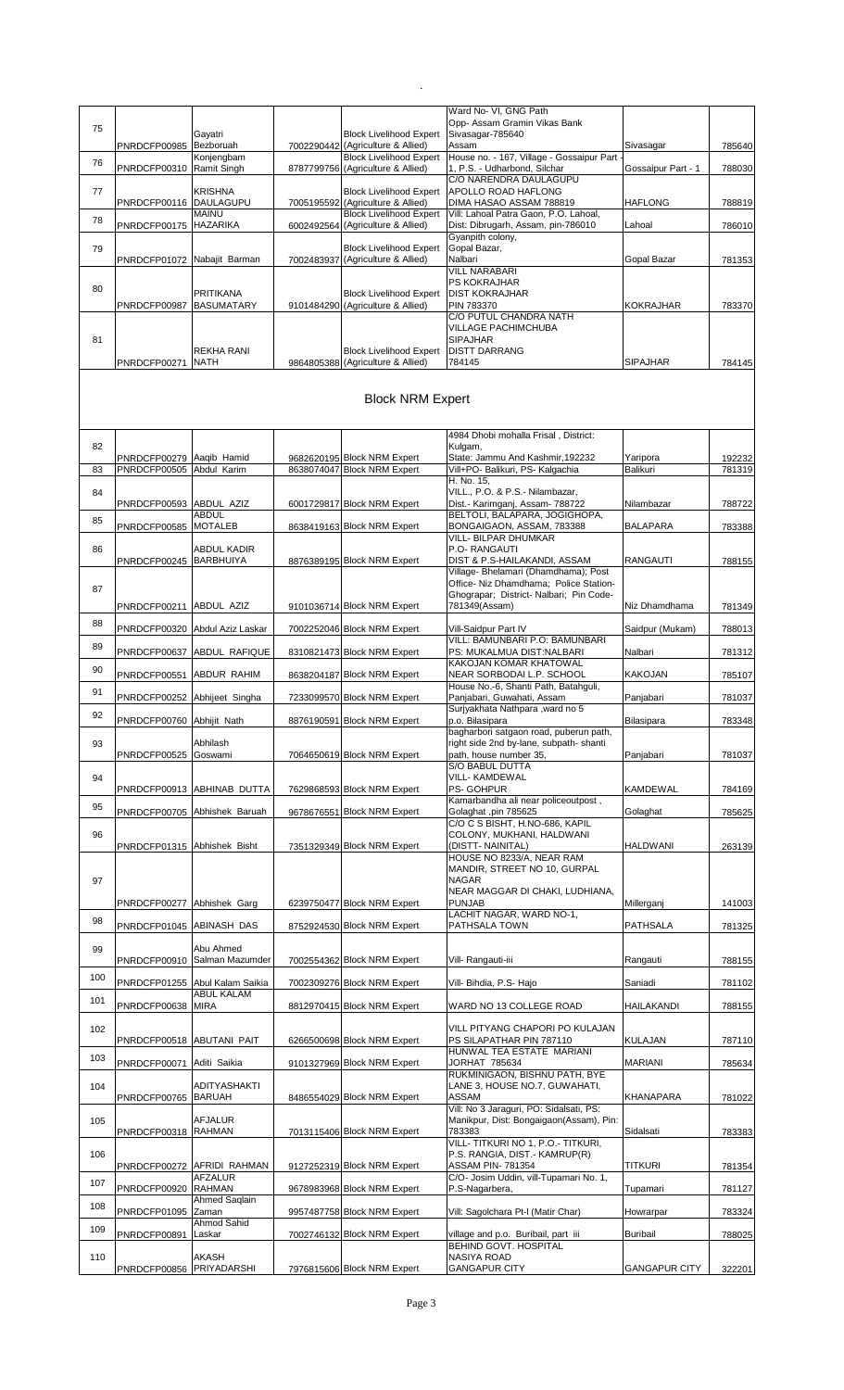|     |                             |                                |                                                                     | Ward No- VI, GNG Path                                                              |                      |        |
|-----|-----------------------------|--------------------------------|---------------------------------------------------------------------|------------------------------------------------------------------------------------|----------------------|--------|
| 75  |                             | Gayatri                        | <b>Block Livelihood Expert</b>                                      | Opp- Assam Gramin Vikas Bank<br>Sivasagar-785640                                   |                      |        |
|     | PNRDCFP00985                | Bezboruah                      | 7002290442 (Agriculture & Allied)                                   | Assam                                                                              | Sivasagar            | 785640 |
| 76  | PNRDCFP00310                | Konjengbam<br>Ramit Singh      | <b>Block Livelihood Expert</b><br>8787799756 (Agriculture & Allied) | House no. - 167, Village - Gossaipur Part<br>1, P.S. - Udharbond, Silchar          | Gossaipur Part - 1   | 788030 |
|     |                             |                                |                                                                     | C/O NARENDRA DAULAGUPU                                                             |                      |        |
| 77  | PNRDCFP00116 DAULAGUPU      | <b>KRISHNA</b>                 | <b>Block Livelihood Expert</b><br>7005195592 (Agriculture & Allied) | APOLLO ROAD HAFLONG<br>DIMA HASAO ASSAM 788819                                     | <b>HAFLONG</b>       | 788819 |
| 78  |                             | <b>MAINU</b>                   | <b>Block Livelihood Expert</b>                                      | Vill: Lahoal Patra Gaon, P.O. Lahoal,                                              |                      |        |
|     | PNRDCFP00175 HAZARIKA       |                                | 6002492564 (Agriculture & Allied)                                   | Dist: Dibrugarh, Assam, pin-786010<br>Gyanpith colony,                             | Lahoal               | 786010 |
| 79  |                             |                                | <b>Block Livelihood Expert</b>                                      | Gopal Bazar,                                                                       |                      |        |
|     | PNRDCFP01072                | Nabajit Barman                 | 7002483937 (Agriculture & Allied)                                   | Nalbari<br><b>VILL NARABARI</b>                                                    | Gopal Bazar          | 781353 |
| 80  |                             |                                |                                                                     | PS KOKRAJHAR                                                                       |                      |        |
|     | PNRDCFP00987                | PRITIKANA<br><b>BASUMATARY</b> | <b>Block Livelihood Expert</b><br>9101484290 (Agriculture & Allied) | <b>DIST KOKRAJHAR</b><br>PIN 783370                                                | <b>KOKRAJHAR</b>     | 783370 |
|     |                             |                                |                                                                     | C/O PUTUL CHANDRA NATH                                                             |                      |        |
| 81  |                             |                                |                                                                     | <b>VILLAGE PACHIMCHUBA</b><br><b>SIPAJHAR</b>                                      |                      |        |
|     |                             | REKHA RANI                     | <b>Block Livelihood Expert</b>                                      | <b>DISTT DARRANG</b>                                                               |                      |        |
|     | PNRDCFP00271                | <b>NATH</b>                    | 9864805388 (Agriculture & Allied)                                   | 784145                                                                             | <b>SIPAJHAR</b>      | 784145 |
|     |                             |                                |                                                                     |                                                                                    |                      |        |
|     |                             |                                | <b>Block NRM Expert</b>                                             |                                                                                    |                      |        |
|     |                             |                                |                                                                     |                                                                                    |                      |        |
| 82  |                             |                                |                                                                     | 4984 Dhobi mohalla Frisal, District:<br>Kulgam,                                    |                      |        |
|     | PNRDCFP00279                | Aaqib Hamid                    | 9682620195 Block NRM Expert                                         | State: Jammu And Kashmir, 192232                                                   | Yaripora             | 192232 |
| 83  | PNRDCFP00505                | Abdul Karim                    | 8638074047 Block NRM Expert                                         | Vill+PO- Balikuri, PS- Kalgachia<br>H. No. 15,                                     | Balikuri             | 781319 |
| 84  |                             |                                |                                                                     | VILL., P.O. & P.S.- Nilambazar,                                                    |                      |        |
|     | PNRDCFP00593                | ABDUL AZIZ<br>ABDUL            | 6001729817 Block NRM Expert                                         | Dist.- Karimganj, Assam- 788722<br>BELTOLI, BALAPARA, JOGIGHOPA,                   | Nilambazar           | 788722 |
| 85  | PNRDCFP00585                | <b>MOTALEB</b>                 | 8638419163 Block NRM Expert                                         | BONGAIGAON, ASSAM, 783388                                                          | <b>BALAPARA</b>      | 783388 |
| 86  |                             | ABDUL KADIR                    |                                                                     | VILL- BILPAR DHUMKAR<br>P.O- RANGAUTI                                              |                      |        |
|     | PNRDCFP00245 BARBHUIYA      |                                | 8876389195 Block NRM Expert                                         | DIST & P.S-HAILAKANDI, ASSAM                                                       | <b>RANGAUTI</b>      | 788155 |
|     |                             |                                |                                                                     | Village- Bhelamari (Dhamdhama); Post<br>Office- Niz Dhamdhama; Police Station-     |                      |        |
| 87  |                             |                                |                                                                     | Ghograpar; District- Nalbari; Pin Code-                                            |                      |        |
|     | PNRDCFP00211                | ABDUL AZIZ                     | 9101036714 Block NRM Expert                                         | 781349(Assam)                                                                      | Niz Dhamdhama        | 781349 |
| 88  | PNRDCFP00320                | Abdul Aziz Laskar              | 7002252046 Block NRM Expert                                         | Vill-Saidpur Part IV                                                               | Saidpur (Mukam)      | 788013 |
| 89  | PNRDCFP00637                | ABDUL RAFIQUE                  | 8310821473 Block NRM Expert                                         | VILL: BAMUNBARI P.O: BAMUNBARI<br>PS: MUKALMUA DIST:NALBARI                        | Nalbari              | 781312 |
| 90  |                             |                                |                                                                     | KAKOJAN KOMAR KHATOWAL                                                             |                      |        |
|     | PNRDCFP00551                | <b>ABDUR RAHIM</b>             | 8638204187 Block NRM Expert                                         | NEAR SORBODAI L.P. SCHOOL<br>House No.-6, Shanti Path, Batahguli,                  | <b>KAKOJAN</b>       | 785107 |
| 91  | PNRDCFP00252                | Abhijeet Singha                | 7233099570 Block NRM Expert                                         | Panjabari, Guwahati, Assam                                                         | Panjabari            | 781037 |
| 92  | PNRDCFP00760 Abhijit Nath   |                                | 8876190591 Block NRM Expert                                         | Surjyakhata Nathpara , ward no 5<br>p.o. Bilasipara                                | Bilasipara           | 783348 |
|     |                             |                                |                                                                     | bagharbori satgaon road, puberun path,                                             |                      |        |
| 93  | PNRDCFP00525                | Abhilash<br>Goswami            | 7064650619 Block NRM Expert                                         | right side 2nd by-lane, subpath- shanti<br>path, house number 35,                  | Panjabari            | 781037 |
|     |                             |                                |                                                                     | S/O BABUL DUTTA                                                                    |                      |        |
| 94  | PNRDCFP00913                | ABHINAB DUTTA                  | 7629868593 Block NRM Expert                                         | VILL- KAMDEWAL<br>PS- GOHPUR                                                       | <b>KAMDEWAL</b>      | 784169 |
| 95  |                             |                                |                                                                     | Kamarbandha ali near policeoutpost,                                                |                      |        |
|     |                             | PNRDCFP00705 Abhishek Baruah   | 9678676551 Block NRM Expert                                         | Golaghat, pin 785625<br>C/O C S BISHT, H.NO-686, KAPIL                             | Golaghat             | 785625 |
| 96  |                             |                                |                                                                     | COLONY, MUKHANI, HALDWANI                                                          |                      |        |
|     | PNRDCFP01315 Abhishek Bisht |                                | 7351329349 Block NRM Expert                                         | (DISTT-NAINITAL)<br>HOUSE NO 8233/A, NEAR RAM                                      | <b>HALDWANI</b>      | 263139 |
|     |                             |                                |                                                                     | MANDIR, STREET NO 10, GURPAL<br><b>NAGAR</b>                                       |                      |        |
| 97  |                             |                                |                                                                     | NEAR MAGGAR DI CHAKI, LUDHIANA,                                                    |                      |        |
|     | PNRDCFP00277                | Abhishek Garg                  | 6239750477 Block NRM Expert                                         | <b>PUNJAB</b><br>LACHIT NAGAR, WARD NO-1,                                          | Millerganj           | 141003 |
| 98  | PNRDCFP01045                | ABINASH DAS                    | 8752924530 Block NRM Expert                                         | PATHSALA TOWN                                                                      | PATHSALA             | 781325 |
| 99  |                             | Abu Ahmed                      |                                                                     |                                                                                    |                      |        |
|     | PNRDCFP00910                | Salman Mazumder                | 7002554362 Block NRM Expert                                         | Vill- Rangauti-iii                                                                 | Rangauti             | 788155 |
| 100 | PNRDCFP01255                | Abul Kalam Saikia              | 7002309276 Block NRM Expert                                         | Vill- Bihdia, P.S- Hajo                                                            | Saniadi              | 781102 |
| 101 |                             | ABUL KALAM                     |                                                                     |                                                                                    |                      |        |
|     | PNRDCFP00638                | <b>MIRA</b>                    | 8812970415 Block NRM Expert                                         | WARD NO 13 COLLEGE ROAD                                                            | <b>HAILAKANDI</b>    | 788155 |
| 102 |                             |                                |                                                                     | VILL PITYANG CHAPORI PO KULAJAN                                                    |                      |        |
|     | PNRDCFP00518                | <b>ABUTANI PAIT</b>            | 6266500698 Block NRM Expert                                         | PS SILAPATHAR PIN 787110<br>HUNWAL TEA ESTATE MARIANI                              | <b>KULAJAN</b>       | 787110 |
| 103 | PNRDCFP00071                | Aditi Saikia                   | 9101327969 Block NRM Expert                                         | JORHAT 785634                                                                      | <b>MARIANI</b>       | 785634 |
| 104 |                             | ADITYASHAKTI                   |                                                                     | RUKMINIGAON, BISHNU PATH, BYE<br>LANE 3, HOUSE NO.7, GUWAHATI,                     |                      |        |
|     | PNRDCFP00765 BARUAH         |                                | 8486554029 Block NRM Expert                                         | ASSAM                                                                              | KHANAPARA            | 781022 |
| 105 |                             | AFJALUR                        |                                                                     | Vill: No 3 Jaraguri, PO: Sidalsati, PS:<br>Manikpur, Dist: Bongaigaon(Assam), Pin: |                      |        |
|     | PNRDCFP00318 RAHMAN         |                                | 7013115406 Block NRM Expert                                         | 783383                                                                             | Sidalsati            | 783383 |
| 106 |                             |                                |                                                                     | VILL- TITKURI NO 1, P.O.- TITKURI,<br>P.S. RANGIA, DIST.- KAMRUP(R)                |                      |        |
|     | PNRDCFP00272                | AFRIDI RAHMAN                  | 9127252319 Block NRM Expert                                         | ASSAM PIN- 781354                                                                  | titkuri              | 781354 |
| 107 | PNRDCFP00920                | AFZALUR<br><b>RAHMAN</b>       | 9678983968 Block NRM Expert                                         | C/O- Josim Uddin, vill-Tupamari No. 1,<br>P.S-Nagarbera,                           | Tupamari             | 781127 |
| 108 |                             | <b>Ahmed Saglain</b>           |                                                                     |                                                                                    |                      |        |
|     | PNRDCFP01095                | Zaman<br>Ahmod Sahid           | 9957487758 Block NRM Expert                                         | Vill: Sagolchara Pt-I (Matir Char)                                                 | Howrarpar            | 783324 |
| 109 | PNRDCFP00891                | Laskar                         | 7002746132 Block NRM Expert                                         | village and p.o. Buribail, part iii<br><b>BEHIND GOVT, HOSPITAL</b>                | <b>Buribail</b>      | 788025 |
| 110 |                             | AKASH                          |                                                                     | NASIYA ROAD                                                                        |                      |        |
|     | PNRDCFP00856 PRIYADARSHI    |                                | 7976815606 Block NRM Expert                                         | <b>GANGAPUR CITY</b>                                                               | <b>GANGAPUR CITY</b> | 322201 |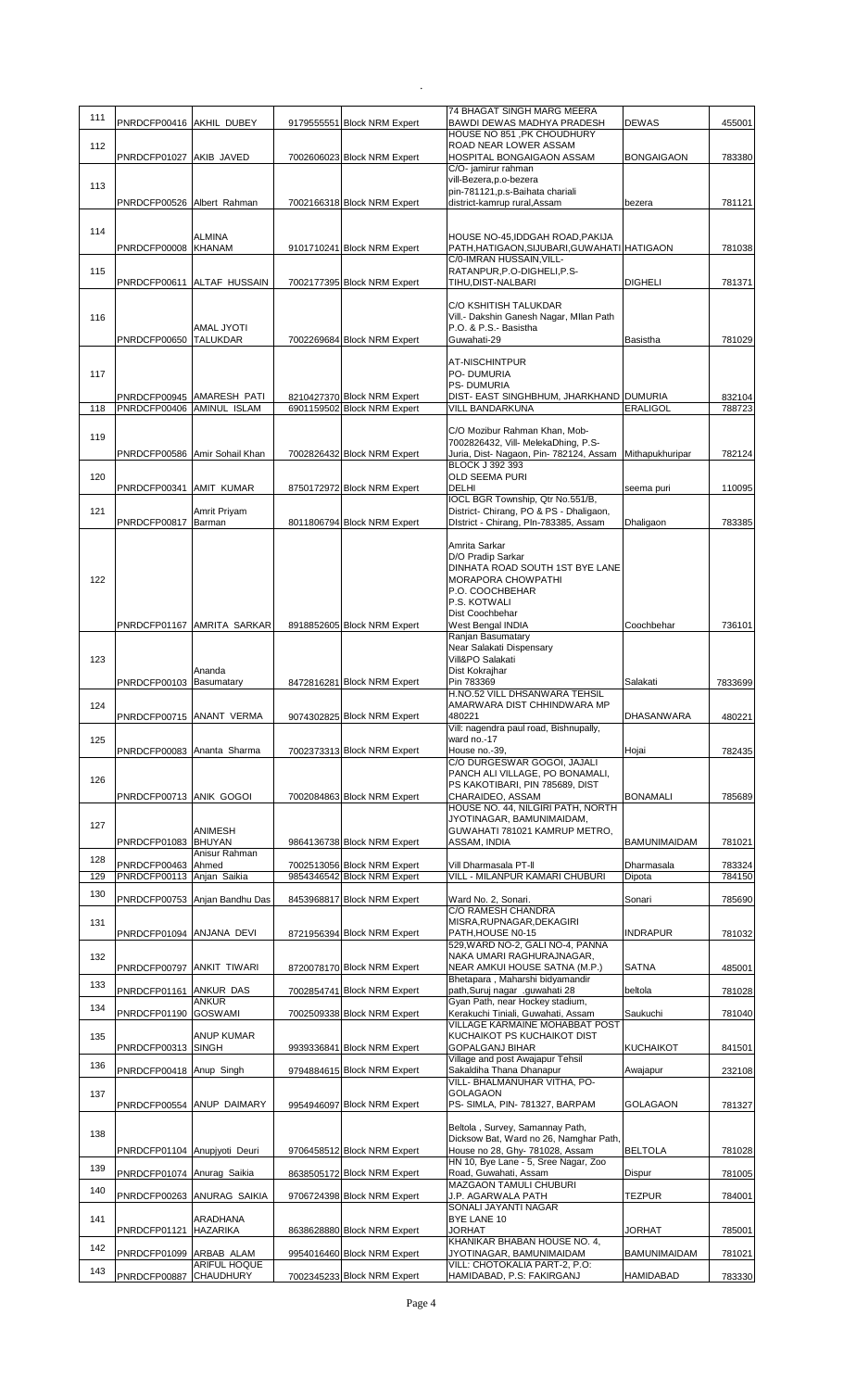| 111        | PNRDCFP00416 AKHIL DUBEY                        |                                         | 9179555551 Block NRM Expert                                | 74 BHAGAT SINGH MARG MEERA<br>BAWDI DEWAS MADHYA PRADESH                       | <b>DEWAS</b>         | 455001           |
|------------|-------------------------------------------------|-----------------------------------------|------------------------------------------------------------|--------------------------------------------------------------------------------|----------------------|------------------|
|            |                                                 |                                         |                                                            | HOUSE NO 851, PK CHOUDHURY                                                     |                      |                  |
| 112        | PNRDCFP01027 AKIB JAVED                         |                                         | 7002606023 Block NRM Expert                                | ROAD NEAR LOWER ASSAM<br>HOSPITAL BONGAIGAON ASSAM                             | <b>BONGAIGAON</b>    | 783380           |
|            |                                                 |                                         |                                                            | C/O- jamirur rahman<br>vill-Bezera,p.o-bezera                                  |                      |                  |
| 113        |                                                 |                                         | 7002166318 Block NRM Expert                                | pin-781121, p.s-Baihata chariali                                               |                      |                  |
|            | PNRDCFP00526 Albert Rahman                      |                                         |                                                            | district-kamrup rural, Assam                                                   | bezera               | 781121           |
| 114        |                                                 | ALMINA                                  |                                                            | HOUSE NO-45, IDDGAH ROAD, PAKIJA                                               |                      |                  |
|            | PNRDCFP00008 KHANAM                             |                                         | 9101710241 Block NRM Expert                                | PATH, HATIGAON, SIJUBARI, GUWAHATI HATIGAON<br>C/0-IMRAN HUSSAIN, VILL-        |                      | 781038           |
| 115        |                                                 |                                         |                                                            | RATANPUR, P.O-DIGHELI, P.S-                                                    |                      |                  |
|            |                                                 | PNRDCFP00611 ALTAF HUSSAIN              | 7002177395 Block NRM Expert                                | TIHU, DIST-NALBARI                                                             | <b>DIGHELI</b>       | 781371           |
| 116        |                                                 |                                         |                                                            | C/O KSHITISH TALUKDAR<br>Vill.- Dakshin Ganesh Nagar, Mllan Path               |                      |                  |
|            | PNRDCFP00650                                    | AMAL JYOTI<br><b>TALUKDAR</b>           | 7002269684 Block NRM Expert                                | P.O. & P.S.- Basistha<br>Guwahati-29                                           | Basistha             | 781029           |
|            |                                                 |                                         |                                                            |                                                                                |                      |                  |
| 117        |                                                 |                                         |                                                            | AT-NISCHINTPUR<br>PO-DUMURIA                                                   |                      |                  |
|            | PNRDCFP00945 AMARESH PATI                       |                                         | 8210427370 Block NRM Expert                                | <b>PS-DUMURIA</b><br>DIST- EAST SINGHBHUM, JHARKHAND DUMURIA                   |                      | 832104           |
| 118        | PNRDCFP00406 AMINUL ISLAM                       |                                         | 6901159502 Block NRM Expert                                | VILL BANDARKUNA                                                                | <b>ERALIGOL</b>      | 788723           |
| 119        |                                                 |                                         |                                                            | C/O Mozibur Rahman Khan, Mob-                                                  |                      |                  |
|            | PNRDCFP00586 Amir Sohail Khan                   |                                         | 7002826432 Block NRM Expert                                | 7002826432. Vill- MelekaDhing. P.S-<br>Juria, Dist- Nagaon, Pin- 782124, Assam | Mithapukhuripar      | 782124           |
|            |                                                 |                                         |                                                            | <b>BLOCK J 392 393</b><br><b>OLD SEEMA PURI</b>                                |                      |                  |
| 120        | PNRDCFP00341                                    | <b>AMIT KUMAR</b>                       | 8750172972 Block NRM Expert                                | DELHI                                                                          | seema puri           | 110095           |
| 121        |                                                 | Amrit Priyam                            |                                                            | IOCL BGR Township, Qtr No.551/B,<br>District- Chirang, PO & PS - Dhaligaon,    |                      |                  |
|            | PNRDCFP00817                                    | Barman                                  | 8011806794 Block NRM Expert                                | District - Chirang, Pln-783385, Assam                                          | Dhaligaon            | 783385           |
|            |                                                 |                                         |                                                            | Amrita Sarkar                                                                  |                      |                  |
|            |                                                 |                                         |                                                            | D/O Pradip Sarkar<br>DINHATA ROAD SOUTH 1ST BYE LANE                           |                      |                  |
| 122        |                                                 |                                         |                                                            | <b>MORAPORA CHOWPATHI</b>                                                      |                      |                  |
|            |                                                 |                                         |                                                            | P.O. COOCHBEHAR<br>P.S. KOTWALI                                                |                      |                  |
|            |                                                 | PNRDCFP01167 AMRITA SARKAR              | 8918852605 Block NRM Expert                                | Dist Coochbehar<br>West Bengal INDIA                                           | Coochbehar           | 736101           |
|            |                                                 |                                         |                                                            | Ranjan Basumatary                                                              |                      |                  |
| 123        |                                                 |                                         |                                                            | Near Salakati Dispensary<br>Vill&PO Salakati                                   |                      |                  |
|            | PNRDCFP00103 Basumatary                         | Ananda                                  | 8472816281 Block NRM Expert                                | Dist Kokrajhar<br>Pin 783369                                                   | Salakati             | 7833699          |
|            |                                                 |                                         |                                                            | H.NO.52 VILL DHSANWARA TEHSIL                                                  |                      |                  |
| 124        | PNRDCFP00715 ANANT VERMA                        |                                         | 9074302825 Block NRM Expert                                | AMARWARA DIST CHHINDWARA MP<br>480221                                          | <b>DHASANWARA</b>    | 480221           |
| 125        |                                                 |                                         |                                                            | Vill: nagendra paul road, Bishnupally,<br>ward no.-17                          |                      |                  |
|            | PNRDCFP00083 Ananta Sharma                      |                                         | 7002373313 Block NRM Expert                                | House no.-39,                                                                  | Hojai                | 782435           |
| 126        |                                                 |                                         |                                                            | C/O DURGESWAR GOGOI, JAJALI<br>PANCH ALI VILLAGE, PO BONAMALI,                 |                      |                  |
|            | PNRDCFP00713 ANIK GOGOI                         |                                         | 7002084863 Block NRM Expert                                | PS KAKOTIBARI, PIN 785689, DIST<br>CHARAIDEO, ASSAM                            | <b>BONAMALI</b>      | 785689           |
|            |                                                 |                                         |                                                            | HOUSE NO. 44, NILGIRI PATH, NORTH<br>JYOTINAGAR, BAMUNIMAIDAM,                 |                      |                  |
| 127        |                                                 | <b>ANIMESH</b>                          |                                                            | GUWAHATI 781021 KAMRUP METRO.                                                  |                      |                  |
|            | PNRDCFP01083 BHUYAN                             | Anisur Rahman                           | 9864136738 Block NRM Expert                                | ASSAM, INDIA                                                                   | <b>BAMUNIMAIDAM</b>  | 781021           |
| 128<br>129 | PNRDCFP00463 Ahmed<br>PNRDCFP00113 Anjan Saikia |                                         | 7002513056 Block NRM Expert<br>9854346542 Block NRM Expert | Vill Dharmasala PT-II<br>VILL - MILANPUR KAMARI CHUBURI                        | Dharmasala<br>Dipota | 783324<br>784150 |
| 130        |                                                 |                                         |                                                            |                                                                                |                      |                  |
|            |                                                 | PNRDCFP00753 Anjan Bandhu Das           | 8453968817 Block NRM Expert                                | Ward No. 2, Sonari.<br>C/O RAMESH CHANDRA                                      | Sonari               | 785690           |
| 131        | PNRDCFP01094 ANJANA DEVI                        |                                         | 8721956394 Block NRM Expert                                | MISRA, RUPNAGAR, DEKAGIRI<br>PATH, HOUSE N0-15                                 | <b>INDRAPUR</b>      | 781032           |
|            |                                                 |                                         |                                                            | 529, WARD NO-2, GALI NO-4, PANNA                                               |                      |                  |
| 132        | PNRDCFP00797 ANKIT TIWARI                       |                                         | 8720078170 Block NRM Expert                                | NAKA UMARI RAGHURAJNAGAR,<br>NEAR AMKUI HOUSE SATNA (M.P.)                     | <b>SATNA</b>         | 485001           |
| 133        | PNRDCFP01161 ANKUR DAS                          |                                         | 7002854741 Block NRM Expert                                | Bhetapara, Maharshi bidyamandir<br>path, Suruj nagar .guwahati 28              | beltola              | 781028           |
| 134        | PNRDCFP01190 GOSWAMI                            | <b>ANKUR</b>                            |                                                            | Gyan Path, near Hockey stadium,                                                | Saukuchi             |                  |
|            |                                                 |                                         | 7002509338 Block NRM Expert                                | Kerakuchi Tiniali, Guwahati, Assam<br><b>VILLAGE KARMAINE MOHABBAT POST</b>    |                      | 781040           |
| 135        | PNRDCFP00313 SINGH                              | <b>ANUP KUMAR</b>                       | 9939336841 Block NRM Expert                                | KUCHAIKOT PS KUCHAIKOT DIST<br><b>GOPALGANJ BIHAR</b>                          | <b>KUCHAIKOT</b>     | 841501           |
| 136        | PNRDCFP00418 Anup Singh                         |                                         | 9794884615 Block NRM Expert                                | Village and post Awajapur Tehsil<br>Sakaldiha Thana Dhanapur                   | Awajapur             | 232108           |
|            |                                                 |                                         |                                                            | VILL- BHALMANUHAR VITHA, PO-                                                   |                      |                  |
| 137        |                                                 | PNRDCFP00554 ANUP DAIMARY               | 9954946097 Block NRM Expert                                | <b>GOLAGAON</b><br>PS- SIMLA, PIN-781327, BARPAM                               | <b>GOLAGAON</b>      | 781327           |
|            |                                                 |                                         |                                                            | Beltola, Survey, Samannay Path,                                                |                      |                  |
| 138        |                                                 |                                         |                                                            | Dicksow Bat, Ward no 26, Namghar Path,                                         |                      |                  |
|            | PNRDCFP01104 Anupjyoti Deuri                    |                                         | 9706458512 Block NRM Expert                                | House no 28, Ghy- 781028, Assam<br>HN 10, Bye Lane - 5, Sree Nagar, Zoo        | <b>BELTOLA</b>       | 781028           |
| 139        | PNRDCFP01074 Anurag Saikia                      |                                         | 8638505172 Block NRM Expert                                | Road, Guwahati, Assam<br>MAZGAON TAMULI CHUBURI                                | Dispur               | 781005           |
| 140        |                                                 | PNRDCFP00263 ANURAG SAIKIA              | 9706724398 Block NRM Expert                                | J.P. AGARWALA PATH                                                             | TEZPUR               | 784001           |
| 141        |                                                 | ARADHANA                                |                                                            | SONALI JAYANTI NAGAR<br>BYE LANE 10                                            |                      |                  |
|            | PNRDCFP01121 HAZARIKA                           |                                         | 8638628880 Block NRM Expert                                | <b>JORHAT</b><br>KHANIKAR BHABAN HOUSE NO. 4,                                  | <b>JORHAT</b>        | 785001           |
| 142        | PNRDCFP01099 ARBAB ALAM                         |                                         | 9954016460 Block NRM Expert                                | JYOTINAGAR, BAMUNIMAIDAM                                                       | BAMUNIMAIDAM         | 781021           |
| 143        | PNRDCFP00887                                    | <b>ARIFUL HOQUE</b><br><b>CHAUDHURY</b> | 7002345233 Block NRM Expert                                | VILL: CHOTOKALIA PART-2, P.O:<br>HAMIDABAD, P.S: FAKIRGANJ                     | <b>HAMIDABAD</b>     | 783330           |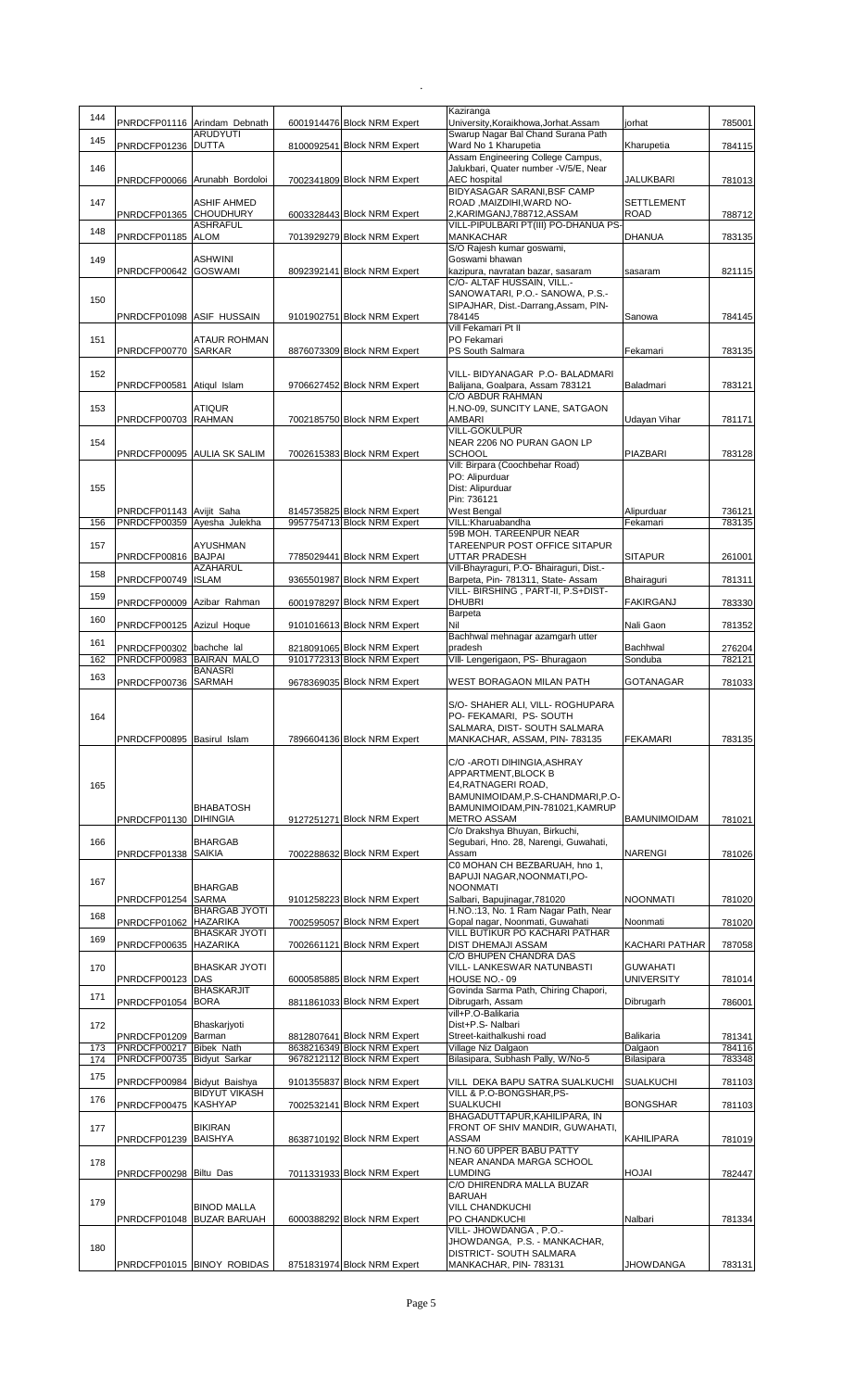| 144        |                                                         | PNRDCFP01116 Arindam Debnath  | 6001914476 Block NRM Expert                                | Kaziranga<br>University, Koraikhowa, Jorhat. Assam                                                 | orhat                            | 785001           |
|------------|---------------------------------------------------------|-------------------------------|------------------------------------------------------------|----------------------------------------------------------------------------------------------------|----------------------------------|------------------|
| 145        | PNRDCFP01236 DUTTA                                      | <b>ARUDYUTI</b>               | 8100092541 Block NRM Expert                                | Swarup Nagar Bal Chand Surana Path<br>Ward No 1 Kharupetia                                         | Kharupetia                       | 784115           |
| 146        |                                                         |                               |                                                            | Assam Engineering College Campus,<br>Jalukbari, Quater number - V/5/E, Near                        |                                  |                  |
|            |                                                         | PNRDCFP00066 Arunabh Bordoloi | 7002341809 Block NRM Expert                                | <b>AEC</b> hospital<br>BIDYASAGAR SARANI, BSF CAMP                                                 | JALUKBARI                        | 781013           |
| 147        | PNRDCFP01365 CHOUDHURY                                  | ASHIF AHMED                   | 6003328443 Block NRM Expert                                | ROAD, MAIZDIHI, WARD NO-<br>2,KARIMGANJ,788712,ASSAM                                               | <b>SETTLEMENT</b><br><b>ROAD</b> | 788712           |
| 148        | PNRDCFP01185 ALOM                                       | ASHRAFUL                      | 7013929279 Block NRM Expert                                | VILL-PIPULBARI PT(III) PO-DHANUA PS-<br><b>MANKACHAR</b>                                           | DHANUA                           | 783135           |
| 149        |                                                         | ASHWINI<br><b>GOSWAMI</b>     |                                                            | S/O Rajesh kumar goswami,<br>Goswami bhawan                                                        |                                  |                  |
|            | PNRDCFP00642                                            |                               | 8092392141 Block NRM Expert                                | kazipura, navratan bazar, sasaram<br>C/O- ALTAF HUSSAIN, VILL.-<br>SANOWATARI, P.O.- SANOWA, P.S.- | sasaram                          | 821115           |
| 150        | PNRDCFP01098 ASIF HUSSAIN                               |                               | 9101902751 Block NRM Expert                                | SIPAJHAR, Dist.-Darrang, Assam, PIN-<br>784145                                                     | Sanowa                           | 784145           |
| 151        |                                                         | ATAUR ROHMAN                  |                                                            | Vill Fekamari Pt II<br>PO Fekamari                                                                 |                                  |                  |
|            | PNRDCFP00770 SARKAR                                     |                               | 8876073309 Block NRM Expert                                | PS South Salmara                                                                                   | Fekamari                         | 783135           |
| 152        | PNRDCFP00581                                            | Atiqul Islam                  | 9706627452 Block NRM Expert                                | VILL- BIDYANAGAR P.O- BALADMARI<br>Balijana, Goalpara, Assam 783121                                | Baladmari                        | 783121           |
| 153        |                                                         | ATIQUR                        |                                                            | C/O ABDUR RAHMAN<br>H.NO-09, SUNCITY LANE, SATGAON                                                 |                                  |                  |
|            | PNRDCFP00703 RAHMAN                                     |                               | 7002185750 Block NRM Expert                                | AMBARI<br><b>VILL-GOKULPUR</b>                                                                     | Udayan Vihar                     | 781171           |
| 154        |                                                         | PNRDCFP00095 AULIA SK SALIM   | 7002615383 Block NRM Expert                                | NEAR 2206 NO PURAN GAON LP<br><b>SCHOOL</b>                                                        | PIAZBARI                         | 783128           |
|            |                                                         |                               |                                                            | Vill: Birpara (Coochbehar Road)<br>PO: Alipurduar                                                  |                                  |                  |
| 155        |                                                         |                               |                                                            | Dist: Alipurduar<br>Pin: 736121                                                                    |                                  |                  |
| 156        | PNRDCFP01143 Avijit Saha<br>PNRDCFP00359 Ayesha Julekha |                               | 8145735825 Block NRM Expert<br>9957754713 Block NRM Expert | West Bengal<br>VILL:Kharuabandha                                                                   | Alipurduar<br>Fekamari           | 736121<br>783135 |
| 157        |                                                         | AYUSHMAN                      |                                                            | 59B MOH. TAREENPUR NEAR<br>TAREENPUR POST OFFICE SITAPUR                                           |                                  |                  |
| 158        | PNRDCFP00816 BAJPAI                                     | AZAHARUL                      | 7785029441 Block NRM Expert                                | <b>UTTAR PRADESH</b><br>Vill-Bhayraguri, P.O- Bhairaguri, Dist.-                                   | <b>SITAPUR</b>                   | 261001           |
|            | PNRDCFP00749 ISLAM                                      |                               | 9365501987 Block NRM Expert                                | Barpeta, Pin- 781311, State- Assam<br>VILL- BIRSHING, PART-II, P.S+DIST-                           | Bhairaguri                       | 781311           |
| 159<br>160 | PNRDCFP00009 Azibar Rahman                              |                               | 6001978297 Block NRM Expert                                | <b>DHUBRI</b><br>Barpeta                                                                           | FAKIRGANJ                        | 783330           |
|            | PNRDCFP00125 Azizul Hoque                               |                               | 9101016613 Block NRM Expert                                | Nil<br>Bachhwal mehnagar azamgarh utter                                                            | Nali Gaon                        | 781352           |
| 161<br>162 | PNRDCFP00302 bachche lal<br>PNRDCFP00983 BAIRAN MALO    |                               | 8218091065 Block NRM Expert<br>9101772313 Block NRM Expert | pradesh<br>VIII- Lengerigaon, PS- Bhuragaon                                                        | Bachhwal<br>Sonduba              | 276204<br>782121 |
| 163        | PNRDCFP00736 SARMAH                                     | <b>BANASRI</b>                | 9678369035 Block NRM Expert                                | WEST BORAGAON MILAN PATH                                                                           | <b>GOTANAGAR</b>                 | 781033           |
|            |                                                         |                               |                                                            | S/O- SHAHER ALI, VILL- ROGHUPARA                                                                   |                                  |                  |
| 164        |                                                         |                               |                                                            | PO- FEKAMARI, PS- SOUTH<br>SALMARA, DIST- SOUTH SALMARA                                            |                                  |                  |
|            | PNRDCFP00895 Basirul Islam                              |                               | 7896604136 Block NRM Expert                                | MANKACHAR, ASSAM, PIN-783135                                                                       | <b>FEKAMARI</b>                  | 783135           |
|            |                                                         |                               |                                                            | C/O - AROTI DIHINGIA, ASHRAY<br>APPARTMENT.BLOCK B                                                 |                                  |                  |
| 165        |                                                         |                               |                                                            | E4, RATNAGERI ROAD,<br>BAMUNIMOIDAM, P.S-CHANDMARI, P.O-                                           |                                  |                  |
|            | PNRDCFP01130 DIHINGIA                                   | <b>BHABATOSH</b>              | 9127251271 Block NRM Expert                                | BAMUNIMOIDAM, PIN-781021, KAMRUP<br><b>METRO ASSAM</b><br>C/o Drakshya Bhuyan, Birkuchi,           | <b>BAMUNIMOIDAM</b>              | 781021           |
| 166        |                                                         | <b>BHARGAB</b>                |                                                            | Segubari, Hno. 28, Narengi, Guwahati,                                                              |                                  |                  |
|            | PNRDCFP01338 SAIKIA                                     |                               | 7002288632 Block NRM Expert                                | Assam<br>C0 MOHAN CH BEZBARUAH, hno 1,<br>BAPUJI NAGAR, NOONMATI, PO-                              | <b>NARENGI</b>                   | 781026           |
| 167        |                                                         | <b>BHARGAB</b>                | 9101258223 Block NRM Expert                                | <b>NOONMATI</b><br>Salbari, Bapujinagar, 781020                                                    | <b>NOONMATI</b>                  | 781020           |
| 168        | PNRDCFP01254 SARMA<br>PNRDCFP01062 HAZARIKA             | <b>BHARGAB JYOTI</b>          | 7002595057 Block NRM Expert                                | H.NO.:13, No. 1 Ram Nagar Path, Near<br>Gopal nagar, Noonmati, Guwahati                            |                                  | 781020           |
| 169        | PNRDCFP00635 HAZARIKA                                   | <b>BHASKAR JYOTI</b>          | 7002661121 Block NRM Expert                                | VILL BUTIKUR PO KACHARI PATHAR<br>DIST DHEMAJI ASSAM                                               | Noonmati<br>KACHARI PATHAR       | 787058           |
| 170        |                                                         | <b>BHASKAR JYOTI</b>          |                                                            | C/O BHUPEN CHANDRA DAS<br>VILL- LANKESWAR NATUNBASTI                                               | <b>GUWAHATI</b>                  |                  |
|            | PNRDCFP00123 DAS                                        | <b>BHASKARJIT</b>             | 6000585885 Block NRM Expert                                | HOUSE NO.-09<br>Govinda Sarma Path, Chiring Chapori,                                               | UNIVERSITY                       | 781014           |
| 171        | PNRDCFP01054                                            | <b>BORA</b>                   | 8811861033 Block NRM Expert                                | Dibrugarh, Assam<br>vill+P.O-Balikaria                                                             | Dibrugarh                        | 786001           |
| 172        | PNRDCFP01209 Barman                                     | Bhaskarjyoti                  | 8812807641 Block NRM Expert                                | Dist+P.S- Nalbari<br>Street-kaithalkushi road                                                      | Balikaria                        | 781341           |
| 173<br>174 | PNRDCFP00217<br>PNRDCFP00735 Bidyut Sarkar              | <b>Bibek Nath</b>             | 8638216349 Block NRM Expert<br>9678212112 Block NRM Expert | Village Niz Dalgaon<br>Bilasipara, Subhash Pally, W/No-5                                           | Dalgaon<br>Bilasipara            | 784116<br>783348 |
| 175        |                                                         |                               |                                                            |                                                                                                    |                                  |                  |
| 176        | PNRDCFP00984 Bidyut Baishya                             | <b>BIDYUT VIKASH</b>          | 9101355837 Block NRM Expert                                | VILL DEKA BAPU SATRA SUALKUCHI<br>VILL & P.O-BONGSHAR, PS-                                         | <b>SUALKUCHI</b>                 | 781103           |
|            | PNRDCFP00475 KASHYAP                                    |                               | 7002532141 Block NRM Expert                                | <b>SUALKUCHI</b><br>BHAGADUTTAPUR, KAHILIPARA, IN                                                  | <b>BONGSHAR</b>                  | 781103           |
| 177        | PNRDCFP01239 BAISHYA                                    | <b>BIKIRAN</b>                | 8638710192 Block NRM Expert                                | FRONT OF SHIV MANDIR, GUWAHATI,<br>ASSAM                                                           | KAHILIPARA                       | 781019           |
| 178        |                                                         |                               |                                                            | H.NO 60 UPPER BABU PATTY<br>NEAR ANANDA MARGA SCHOOL                                               |                                  |                  |
|            | PNRDCFP00298 Biltu Das                                  |                               | 7011331933 Block NRM Expert                                | <b>LUMDING</b><br>C/O DHIRENDRA MALLA BUZAR                                                        | HOJAI                            | 782447           |
| 179        |                                                         | <b>BINOD MALLA</b>            |                                                            | <b>BARUAH</b><br><b>VILL CHANDKUCHI</b><br>PO CHANDKUCHI                                           | Nalbari                          | 781334           |
|            |                                                         | PNRDCFP01048 BUZAR BARUAH     | 6000388292 Block NRM Expert                                | VILL- JHOWDANGA, P.O.-<br>JHOWDANGA, P.S. - MANKACHAR,                                             |                                  |                  |
| 180        |                                                         | PNRDCFP01015 BINOY ROBIDAS    | 8751831974 Block NRM Expert                                | DISTRICT- SOUTH SALMARA<br>MANKACHAR, PIN-783131                                                   | JHOWDANGA                        | 783131           |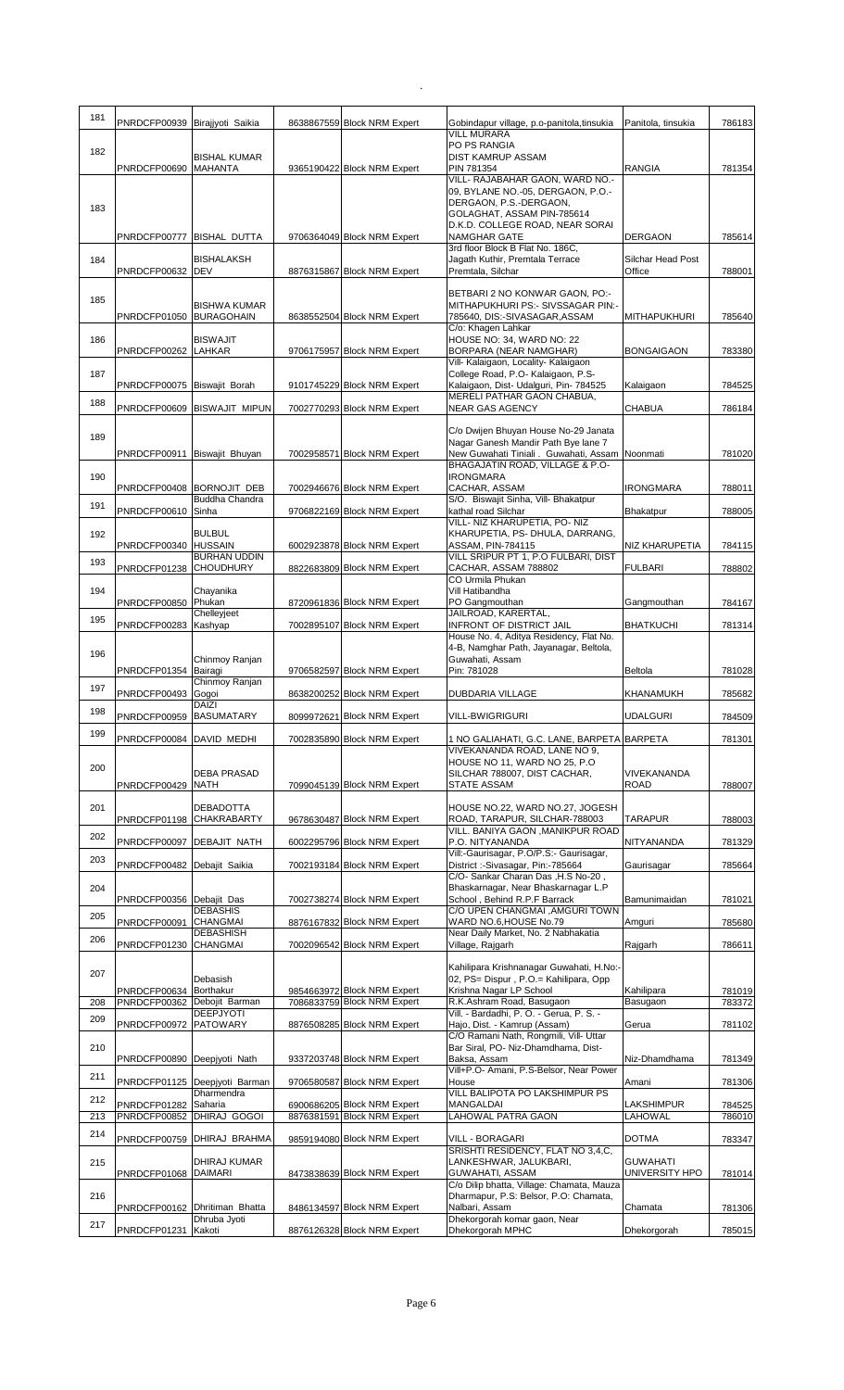| 181 |                                        |                                               |                                                            |                                                                                    |                                   |                  |
|-----|----------------------------------------|-----------------------------------------------|------------------------------------------------------------|------------------------------------------------------------------------------------|-----------------------------------|------------------|
|     | PNRDCFP00939 Birajjyoti Saikia         |                                               | 8638867559 Block NRM Expert                                | Gobindapur village, p.o-panitola, tinsukia<br><b>VILL MURARA</b>                   | Panitola, tinsukia                | 786183           |
| 182 |                                        |                                               |                                                            | PO PS RANGIA                                                                       |                                   |                  |
|     | PNRDCFP00690 MAHANTA                   | <b>BISHAL KUMAR</b>                           | 9365190422 Block NRM Expert                                | <b>DIST KAMRUP ASSAM</b><br>PIN 781354                                             | <b>RANGIA</b>                     | 781354           |
|     |                                        |                                               |                                                            | VILL- RAJABAHAR GAON, WARD NO.-                                                    |                                   |                  |
|     |                                        |                                               |                                                            | 09, BYLANE NO.-05, DERGAON, P.O.-<br>DERGAON, P.S.-DERGAON,                        |                                   |                  |
| 183 |                                        |                                               |                                                            | GOLAGHAT, ASSAM PIN-785614                                                         |                                   |                  |
|     |                                        |                                               |                                                            | D.K.D. COLLEGE ROAD, NEAR SORAI                                                    |                                   |                  |
|     | PNRDCFP00777 BISHAL DUTTA              |                                               | 9706364049 Block NRM Expert                                | NAMGHAR GATE<br>3rd floor Block B Flat No. 186C,                                   | <b>DERGAON</b>                    | 785614           |
| 184 |                                        | <b>BISHALAKSH</b>                             |                                                            | Jagath Kuthir, Premtala Terrace                                                    | Silchar Head Post                 |                  |
|     | PNRDCFP00632                           | <b>DEV</b>                                    | 8876315867 Block NRM Expert                                | Premtala, Silchar                                                                  | Office                            | 788001           |
| 185 |                                        |                                               |                                                            | BETBARI 2 NO KONWAR GAON, PO:-                                                     |                                   |                  |
|     | PNRDCFP01050                           | <b>BISHWA KUMAR</b><br><b>BURAGOHAIN</b>      | 8638552504 Block NRM Expert                                | MITHAPUKHURI PS:- SIVSSAGAR PIN:-<br>785640, DIS:-SIVASAGAR, ASSAM                 | <b>MITHAPUKHURI</b>               | 785640           |
|     |                                        |                                               |                                                            | C/o: Khagen Lahkar                                                                 |                                   |                  |
| 186 | PNRDCFP00262                           | <b>BISWAJIT</b><br>LAHKAR                     | 9706175957 Block NRM Expert                                | HOUSE NO: 34, WARD NO: 22<br>BORPARA (NEAR NAMGHAR)                                | <b>BONGAIGAON</b>                 | 783380           |
|     |                                        |                                               |                                                            | Vill- Kalaigaon, Locality- Kalaigaon                                               |                                   |                  |
| 187 | PNRDCFP00075 Biswajit Borah            |                                               | 9101745229 Block NRM Expert                                | College Road, P.O- Kalaigaon, P.S-<br>Kalaigaon, Dist- Udalguri, Pin- 784525       | Kalaigaon                         | 784525           |
| 188 |                                        |                                               |                                                            | MERELI PATHAR GAON CHABUA,                                                         |                                   |                  |
|     |                                        | PNRDCFP00609 BISWAJIT MIPUN                   | 7002770293 Block NRM Expert                                | NEAR GAS AGENCY                                                                    | CHABUA                            | 786184           |
|     |                                        |                                               |                                                            | C/o Dwijen Bhuyan House No-29 Janata                                               |                                   |                  |
| 189 |                                        |                                               |                                                            | Nagar Ganesh Mandir Path Bye lane 7                                                |                                   |                  |
|     | PNRDCFP00911 Biswajit Bhuyan           |                                               | 7002958571 Block NRM Expert                                | New Guwahati Tiniali . Guwahati, Assam Noonmati<br>BHAGAJATIN ROAD, VILLAGE & P.O- |                                   | 781020           |
| 190 |                                        |                                               |                                                            | <b>IRONGMARA</b>                                                                   |                                   |                  |
|     | PNRDCFP00408 BORNOJIT DEB              | Buddha Chandra                                | 7002946676 Block NRM Expert                                | CACHAR, ASSAM<br>S/O. Biswajit Sinha, Vill- Bhakatpur                              | <b>IRONGMARA</b>                  | 788011           |
| 191 | PNRDCFP00610 Sinha                     |                                               | 9706822169 Block NRM Expert                                | kathal road Silchar                                                                | Bhakatpur                         | 788005           |
| 192 |                                        | <b>BULBUL</b>                                 |                                                            | VILL- NIZ KHARUPETIA, PO- NIZ<br>KHARUPETIA, PS- DHULA, DARRANG,                   |                                   |                  |
|     | PNRDCFP00340 HUSSAIN                   |                                               | 6002923878 Block NRM Expert                                | ASSAM, PIN-784115                                                                  | <b>NIZ KHARUPETIA</b>             | 784115           |
| 193 | PNRDCFP01238 CHOUDHURY                 | <b>BURHAN UDDIN</b>                           | 8822683809 Block NRM Expert                                | VILL SRIPUR PT 1, P.O FULBARI, DIST<br>CACHAR, ASSAM 788802                        | <b>FULBARI</b>                    | 788802           |
|     |                                        |                                               |                                                            | <b>CO Urmila Phukan</b>                                                            |                                   |                  |
| 194 | PNRDCFP00850                           | Chayanika<br>Phukan                           | 8720961836 Block NRM Expert                                | Vill Hatibandha<br>PO Gangmouthan                                                  | Gangmouthan                       | 784167           |
| 195 |                                        | Chelleyjeet                                   |                                                            | JAILROAD, KARERTAL,                                                                |                                   |                  |
|     | PNRDCFP00283                           | Kashyap                                       | 7002895107 Block NRM Expert                                | <b>INFRONT OF DISTRICT JAIL</b><br>House No. 4, Aditya Residency, Flat No.         | <b>BHATKUCHI</b>                  | 781314           |
|     |                                        |                                               |                                                            | 4-B, Namghar Path, Jayanagar, Beltola,                                             |                                   |                  |
| 196 |                                        | Chinmoy Ranjan                                |                                                            | Guwahati, Assam                                                                    |                                   |                  |
|     | PNRDCFP01354                           | Bairagi<br>Chinmoy Ranjan                     | 9706582597 Block NRM Expert                                | Pin: 781028                                                                        | <b>Beltola</b>                    | 781028           |
| 197 | PNRDCFP00493                           | Gogoi                                         | 8638200252 Block NRM Expert                                | DUBDARIA VILLAGE                                                                   | <b>KHANAMUKH</b>                  | 785682           |
| 198 | PNRDCFP00959 BASUMATARY                | DAIZI                                         | 8099972621 Block NRM Expert                                | <b>VILL-BWIGRIGURI</b>                                                             | <b>UDALGURI</b>                   | 784509           |
| 199 |                                        |                                               |                                                            |                                                                                    |                                   |                  |
|     | PNRDCFP00084 DAVID MEDHI               |                                               | 7002835890 Block NRM Expert                                | 1 NO GALIAHATI, G.C. LANE, BARPETA BARPETA<br>VIVEKANANDA ROAD, LANE NO 9,         |                                   | 781301           |
| 200 |                                        |                                               |                                                            | HOUSE NO 11, WARD NO 25, P.O.                                                      |                                   |                  |
|     | PNRDCFP00429 NATH                      | DEBA PRASAD                                   | 7099045139 Block NRM Expert                                | SILCHAR 788007, DIST CACHAR,<br>STATE ASSAM                                        | <b>VIVEKANANDA</b><br><b>ROAD</b> | 788007           |
|     |                                        |                                               |                                                            |                                                                                    |                                   |                  |
| 201 | PNRDCFP01198 CHAKRABARTY               | <b>DEBADOTTA</b>                              | 9678630487 Block NRM Expert                                | HOUSE NO.22, WARD NO.27, JOGESH<br>ROAD, TARAPUR, SILCHAR-788003                   | TARAPUR                           | 788003           |
| 202 |                                        |                                               |                                                            | VILL. BANIYA GAON , MANIKPUR ROAD                                                  |                                   |                  |
|     | PNRDCFP00097                           | DEBAJIT NATH                                  | 6002295796 Block NRM Expert                                | P.O. NITYANANDA<br>Vill:-Gaurisagar, P.O/P.S:- Gaurisagar,                         | NITYANANDA                        | 781329           |
| 203 | PNRDCFP00482                           | Debajit Saikia                                | 7002193184 Block NRM Expert                                | District :- Sivasagar, Pin:-785664                                                 | Gaurisagar                        | 785664           |
| 204 |                                        |                                               |                                                            | C/O- Sankar Charan Das, H.S No-20,<br>Bhaskarnagar, Near Bhaskarnagar L.P          |                                   |                  |
|     | PNRDCFP00356 Debajit Das               |                                               | 7002738274 Block NRM Expert                                | School, Behind R.P.F Barrack                                                       | Bamunimaidan                      | 781021           |
| 205 | PNRDCFP00091                           | <b>DEBASHIS</b><br><b>CHANGMAI</b>            |                                                            | C/O UPEN CHANGMAI , AMGURI TOWN<br>WARD NO.6, HOUSE No.79                          | Amguri                            | 785680           |
|     |                                        | <b>DEBASHISH</b>                              | 8876167832 Block NRM Expert                                | Near Daily Market, No. 2 Nabhakatia                                                |                                   |                  |
| 206 | PNRDCFP01230 CHANGMAI                  |                                               | 7002096542 Block NRM Expert                                | Village, Rajgarh                                                                   | Rajgarh                           | 786611           |
|     |                                        |                                               |                                                            | Kahilipara Krishnanagar Guwahati, H.No:-                                           |                                   |                  |
| 207 |                                        | Debasish                                      |                                                            | 02, PS= Dispur, P.O.= Kahilipara, Opp                                              |                                   |                  |
| 208 | PNRDCFP00634 Borthakur<br>PNRDCFP00362 | Debojit Barman                                | 9854663972 Block NRM Expert<br>7086833759 Block NRM Expert | Krishna Nagar LP School<br>R.K.Ashram Road, Basugaon                               | Kahilipara<br>Basugaon            | 781019<br>783372 |
| 209 |                                        | DEEPJYOTI                                     |                                                            | Vill. - Bardadhi, P. O. - Gerua, P. S. -                                           |                                   |                  |
|     | PNRDCFP00972 PATOWARY                  |                                               | 8876508285 Block NRM Expert                                | Hajo, Dist. - Kamrup (Assam)<br>C/O Ramani Nath, Rongmili, Vill- Uttar             | Gerua                             | 781102           |
| 210 |                                        |                                               |                                                            | Bar Siral, PO- Niz-Dhamdhama, Dist-                                                |                                   |                  |
|     | PNRDCFP00890 Deepjyoti Nath            |                                               | 9337203748 Block NRM Expert                                | Baksa, Assam<br>Vill+P.O- Amani, P.S-Belsor, Near Power                            | Niz-Dhamdhama                     | 781349           |
| 211 |                                        | PNRDCFP01125 Deepjyoti Barman                 | 9706580587 Block NRM Expert                                | House                                                                              | Amani                             | 781306           |
| 212 |                                        | Dharmendra                                    |                                                            | VILL BALIPOTA PO LAKSHIMPUR PS                                                     |                                   |                  |
| 213 | PNRDCFP01282<br>PNRDCFP00852           | Saharia<br>DHIRAJ GOGOI                       | 6900686205 Block NRM Expert<br>8876381591 Block NRM Expert | MANGALDAI<br>LAHOWAL PATRA GAON                                                    | LAKSHIMPUR<br><b>LAHOWAL</b>      | 784525<br>786010 |
| 214 |                                        |                                               |                                                            |                                                                                    |                                   |                  |
|     | PNRDCFP00759                           | DHIRAJ BRAHMA                                 | 9859194080 Block NRM Expert                                | VILL - BORAGARI<br>SRISHTI RESIDENCY, FLAT NO 3,4,C,                               | <b>DOTMA</b>                      | 783347           |
| 215 |                                        | DHIRAJ KUMAR                                  |                                                            | LANKESHWAR, JALUKBARI,                                                             | <b>GUWAHATI</b>                   |                  |
|     | PNRDCFP01068                           | <b>DAIMARI</b>                                | 8473838639 Block NRM Expert                                | GUWAHATI, ASSAM<br>C/o Dilip bhatta, Village: Chamata, Mauza                       | UNIVERSITY HPO                    | 781014           |
| 216 |                                        |                                               |                                                            | Dharmapur, P.S: Belsor, P.O: Chamata,                                              |                                   |                  |
|     |                                        | PNRDCFP00162 Dhritiman Bhatta<br>Dhruba Jyoti | 8486134597 Block NRM Expert                                | Nalbari, Assam<br>Dhekorgorah komar gaon, Near                                     | Chamata                           | 781306           |
| 217 | PNRDCFP01231 Kakoti                    |                                               | 8876126328 Block NRM Expert                                | Dhekorgorah MPHC                                                                   | Dhekorgorah                       | 785015           |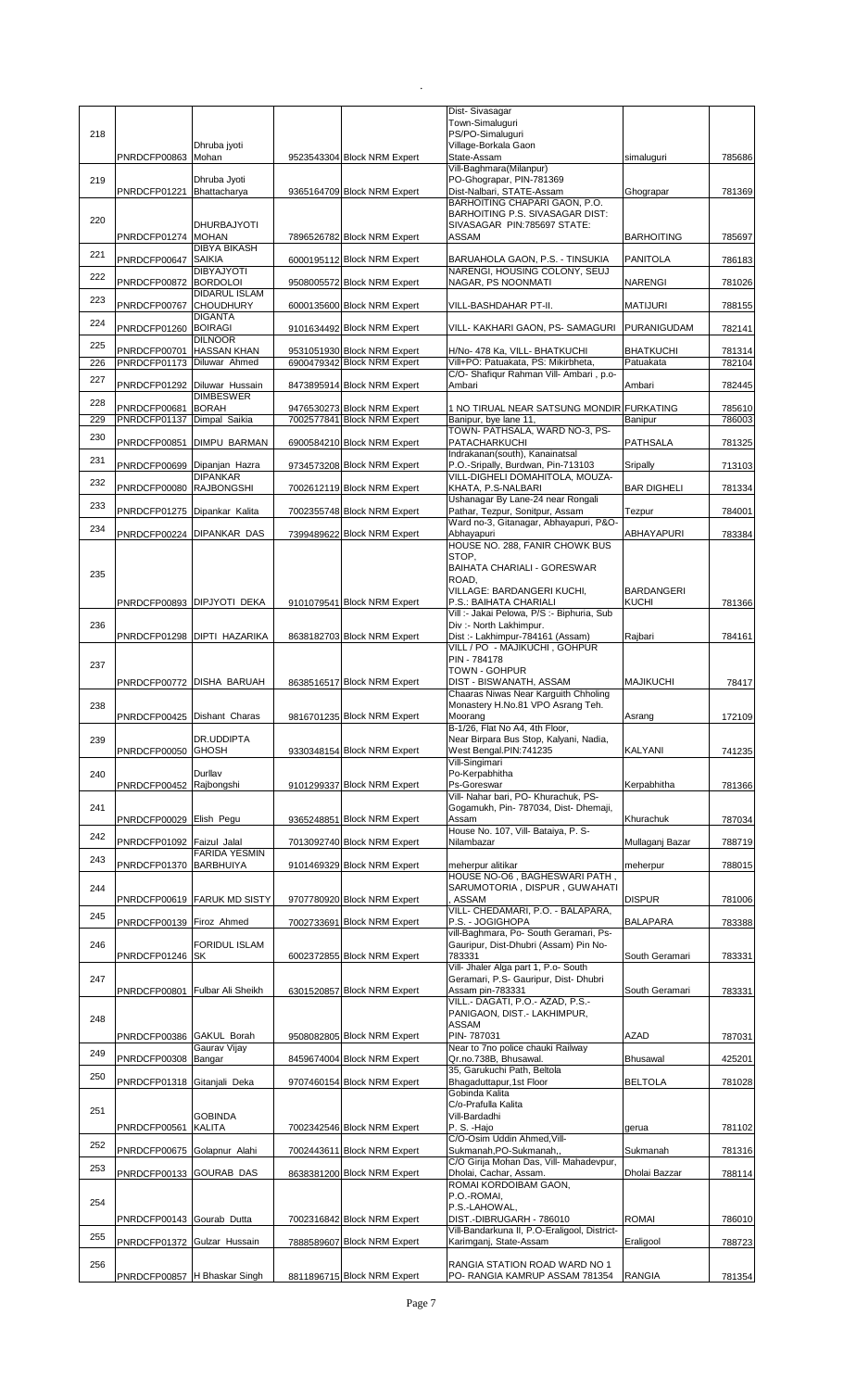|     |                                            |                                         |                                                            | Dist-Sivasagar<br>Town-Simaluguri                                               |                    |                  |
|-----|--------------------------------------------|-----------------------------------------|------------------------------------------------------------|---------------------------------------------------------------------------------|--------------------|------------------|
| 218 |                                            | Dhruba jyoti                            |                                                            | PS/PO-Simaluquri<br>Village-Borkala Gaon                                        |                    |                  |
|     | PNRDCFP00863                               | Mohan                                   | 9523543304 Block NRM Expert                                | State-Assam                                                                     | simaluguri         | 785686           |
| 219 |                                            | Dhruba Jyoti                            |                                                            | Vill-Baghmara(Milanpur)<br>PO-Ghograpar, PIN-781369                             |                    |                  |
|     | PNRDCFP01221                               | Bhattacharya                            | 9365164709 Block NRM Expert                                | Dist-Nalbari, STATE-Assam                                                       | Ghograpar          | 781369           |
| 220 |                                            |                                         |                                                            | BARHOITING CHAPARI GAON, P.O.<br>BARHOITING P.S. SIVASAGAR DIST:                |                    |                  |
|     | PNRDCFP01274 MOHAN                         | <b>DHURBAJYOTI</b>                      | 7896526782 Block NRM Expert                                | SIVASAGAR PIN: 785697 STATE:<br>ASSAM                                           | <b>BARHOITING</b>  | 785697           |
| 221 |                                            | <b>DIBYA BIKASH</b>                     |                                                            |                                                                                 |                    |                  |
|     | PNRDCFP00647                               | <b>SAIKIA</b><br><b>DIBYAJYOTI</b>      | 6000195112 Block NRM Expert                                | BARUAHOLA GAON, P.S. - TINSUKIA<br>NARENGI, HOUSING COLONY, SEUJ                | PANITOLA           | 786183           |
| 222 | PNRDCFP00872                               | <b>BORDOLOI</b><br><b>DIDARUL ISLAM</b> | 9508005572 Block NRM Expert                                | NAGAR, PS NOONMATI                                                              | <b>NARENGI</b>     | 781026           |
| 223 | PNRDCFP00767                               | <b>CHOUDHURY</b>                        | 6000135600 Block NRM Expert                                | VILL-BASHDAHAR PT-II.                                                           | <b>MATIJURI</b>    | 788155           |
| 224 | PNRDCFP01260 BOIRAGI                       | <b>DIGANTA</b>                          | 9101634492 Block NRM Expert                                | VILL- KAKHARI GAON, PS- SAMAGURI                                                | <b>PURANIGUDAM</b> | 782141           |
| 225 |                                            | <b>DILNOOR</b><br><b>HASSAN KHAN</b>    | 9531051930 Block NRM Expert                                |                                                                                 | <b>BHATKUCHI</b>   |                  |
| 226 | PNRDCFP00701<br>PNRDCFP01173 Diluwar Ahmed |                                         | 6900479342 Block NRM Expert                                | H/No- 478 Ka, VILL- BHATKUCHI<br>Vill+PO: Patuakata, PS: Mikirbheta,            | Patuakata          | 781314<br>782104 |
| 227 | PNRDCFP01292 Diluwar Hussain               |                                         | 8473895914 Block NRM Expert                                | C/O- Shafiqur Rahman Vill- Ambari, p.o-<br>Ambari                               | Ambari             | 782445           |
| 228 |                                            | <b>DIMBESWER</b>                        |                                                            |                                                                                 |                    |                  |
| 229 | PNRDCFP00681<br>PNRDCFP01137               | <b>BORAH</b><br>Dimpal Saikia           | 9476530273 Block NRM Expert<br>7002577841 Block NRM Expert | 1 NO TIRUAL NEAR SATSUNG MONDIR FURKATING<br>Banipur, bye lane 11,              | Banipur            | 785610<br>786003 |
| 230 | PNRDCFP00851                               | <b>DIMPU BARMAN</b>                     | 6900584210 Block NRM Expert                                | TOWN- PATHSALA, WARD NO-3, PS-<br>PATACHARKUCHI                                 | PATHSALA           | 781325           |
| 231 |                                            |                                         |                                                            | Indrakanan(south), Kanainatsal                                                  |                    |                  |
|     | PNRDCFP00699 Dipanjan Hazra                | <b>DIPANKAR</b>                         | 9734573208 Block NRM Expert                                | P.O.-Sripally, Burdwan, Pin-713103<br>VILL-DIGHELI DOMAHITOLA, MOUZA-           | Sripally           | 713103           |
| 232 | PNRDCFP00080 RAJBONGSHI                    |                                         | 7002612119 Block NRM Expert                                | KHATA, P.S-NALBARI<br>Ushanagar By Lane-24 near Rongali                         | <b>BAR DIGHELI</b> | 781334           |
| 233 | PNRDCFP01275 Dipankar Kalita               |                                         | 7002355748 Block NRM Expert                                | Pathar, Tezpur, Sonitpur, Assam                                                 | Tezpur             | 784001           |
| 234 | PNRDCFP00224                               | <b>DIPANKAR DAS</b>                     | 7399489622 Block NRM Expert                                | Ward no-3, Gitanagar, Abhayapuri, P&O-<br>Abhayapuri                            | ABHAYAPURI         | 783384           |
|     |                                            |                                         |                                                            | HOUSE NO. 288, FANIR CHOWK BUS                                                  |                    |                  |
| 235 |                                            |                                         |                                                            | STOP,<br>BAIHATA CHARIALI - GORESWAR                                            |                    |                  |
|     |                                            |                                         |                                                            | ROAD.<br>VILLAGE: BARDANGERI KUCHI,                                             | <b>BARDANGERI</b>  |                  |
|     |                                            | PNRDCFP00893 DIPJYOTI DEKA              | 9101079541 Block NRM Expert                                | P.S.: BAIHATA CHARIALI                                                          | <b>KUCHI</b>       | 781366           |
| 236 |                                            |                                         |                                                            | Vill :- Jakai Pelowa, P/S :- Biphuria, Sub<br>Div :- North Lakhimpur.           |                    |                  |
|     |                                            | PNRDCFP01298 DIPTI HAZARIKA             | 8638182703 Block NRM Expert                                | Dist :- Lakhimpur-784161 (Assam)<br>VILL / PO - MAJIKUCHI, GOHPUR               | Rajbari            | 784161           |
| 237 |                                            |                                         |                                                            | PIN - 784178                                                                    |                    |                  |
|     |                                            | PNRDCFP00772 DISHA BARUAH               | 8638516517 Block NRM Expert                                | TOWN - GOHPUR<br>DIST - BISWANATH, ASSAM                                        | <b>MAJIKUCHI</b>   | 78417            |
| 238 |                                            |                                         |                                                            | Chaaras Niwas Near Karguith Chholing<br>Monastery H.No.81 VPO Asrang Teh.       |                    |                  |
|     | PNRDCFP00425 Dishant Charas                |                                         | 9816701235 Block NRM Expert                                | Moorang                                                                         | Asrang             | 172109           |
| 239 |                                            | DR.UDDIPTA                              |                                                            | B-1/26, Flat No A4, 4th Floor,<br>Near Birpara Bus Stop, Kalyani, Nadia,        |                    |                  |
|     | PNRDCFP00050 GHOSH                         |                                         | 9330348154 Block NRM Expert                                | West Bengal.PIN:741235                                                          | KALYANI            | 741235           |
| 240 |                                            | Durllav                                 |                                                            | Vill-Singimari<br>Po-Kerpabhitha                                                |                    |                  |
|     | PNRDCFP00452 Rajbongshi                    |                                         | 9101299337 Block NRM Expert                                | Ps-Goreswar<br>Vill- Nahar bari, PO- Khurachuk, PS-                             | Kerpabhitha        | 781366           |
| 241 |                                            |                                         |                                                            | Gogamukh, Pin- 787034, Dist- Dhemaji,                                           |                    |                  |
| 242 | PNRDCFP00029 Elish Pegu                    |                                         | 9365248851 Block NRM Expert                                | Assam<br>House No. 107, Vill- Bataiya, P. S-                                    | Khurachuk          | 787034           |
|     | PNRDCFP01092 Faizul Jalal                  | <b>FARIDA YESMIN</b>                    | 7013092740 Block NRM Expert                                | Nilambazar                                                                      | Mullaganj Bazar    | 788719           |
| 243 | PNRDCFP01370 BARBHUIYA                     |                                         | 9101469329 Block NRM Expert                                | meherpur alitikar                                                               | meherpur           | 788015           |
| 244 |                                            |                                         |                                                            | HOUSE NO-O6, BAGHESWARI PATH,<br>SARUMOTORIA, DISPUR, GUWAHATI                  |                    |                  |
|     |                                            | PNRDCFP00619 FARUK MD SISTY             | 9707780920 Block NRM Expert                                | ASSAM<br>VILL- CHEDAMARI, P.O. - BALAPARA,                                      | DISPUR             | 781006           |
| 245 | PNRDCFP00139 Firoz Ahmed                   |                                         | 7002733691 Block NRM Expert                                | P.S. - JOGIGHOPA                                                                | <b>BALAPARA</b>    | 783388           |
| 246 |                                            | <b>FORIDUL ISLAM</b>                    |                                                            | vill-Baghmara, Po- South Geramari, Ps-<br>Gauripur, Dist-Dhubri (Assam) Pin No- |                    |                  |
|     | PNRDCFP01246 SK                            |                                         | 6002372855 Block NRM Expert                                | 783331<br>Vill- Jhaler Alga part 1, P.o- South                                  | South Geramari     | 783331           |
| 247 |                                            |                                         |                                                            | Geramari, P.S- Gauripur, Dist- Dhubri                                           |                    |                  |
|     | PNRDCFP00801                               | Fulbar Ali Sheikh                       | 6301520857 Block NRM Expert                                | Assam pin-783331<br>VILL.- DAGATI, P.O.- AZAD, P.S.-                            | South Geramari     | 783331           |
| 248 |                                            |                                         |                                                            | PANIGAON, DIST.- LAKHIMPUR,<br>ASSAM                                            |                    |                  |
|     | PNRDCFP00386 GAKUL Borah                   |                                         | 9508082805 Block NRM Expert                                | PIN-787031                                                                      | <b>AZAD</b>        | 787031           |
| 249 | PNRDCFP00308                               | Gaurav Vijay<br>Bangar                  | 8459674004 Block NRM Expert                                | Near to 7no police chauki Railway<br>Qr.no.738B, Bhusawal.                      | Bhusawal           | 425201           |
| 250 |                                            |                                         |                                                            | 35, Garukuchi Path, Beltola                                                     |                    |                  |
|     | PNRDCFP01318                               | Gitanjali Deka                          | 9707460154 Block NRM Expert                                | Bhagaduttapur, 1st Floor<br>Gobinda Kalita                                      | <b>BELTOLA</b>     | 781028           |
| 251 |                                            | <b>GOBINDA</b>                          |                                                            | C/o-Prafulla Kalita<br>Vill-Bardadhi                                            |                    |                  |
|     | PNRDCFP00561                               | <b>KALITA</b>                           | 7002342546 Block NRM Expert                                | P. S. - Hajo                                                                    | qerua              | 781102           |
| 252 | PNRDCFP00675 Golapnur Alahi                |                                         | 7002443611 Block NRM Expert                                | C/O-Osim Uddin Ahmed, Vill-<br>Sukmanah, PO-Sukmanah,,                          | Sukmanah           | 781316           |
| 253 | PNRDCFP00133                               | <b>GOURAB DAS</b>                       | 8638381200 Block NRM Expert                                | C/O Girija Mohan Das, Vill- Mahadevpur,<br>Dholai, Cachar, Assam.               | Dholai Bazzar      | 788114           |
|     |                                            |                                         |                                                            | ROMAI KORDOIBAM GAON,                                                           |                    |                  |
| 254 |                                            |                                         |                                                            | P.O.-ROMAI,<br>P.S.-LAHOWAL,                                                    |                    |                  |
|     | PNRDCFP00143 Gourab Dutta                  |                                         | 7002316842 Block NRM Expert                                | DIST.-DIBRUGARH - 786010                                                        | <b>ROMAI</b>       | 786010           |
| 255 | PNRDCFP01372 Gulzar Hussain                |                                         | 7888589607 Block NRM Expert                                | Vill-Bandarkuna II, P.O-Eraligool, District-<br>Karimganj, State-Assam          | Eraligool          | 788723           |
| 256 |                                            |                                         |                                                            | RANGIA STATION ROAD WARD NO 1                                                   |                    |                  |
|     | PNRDCFP00857 H Bhaskar Singh               |                                         | 8811896715 Block NRM Expert                                | PO- RANGIA KAMRUP ASSAM 781354                                                  | <b>RANGIA</b>      | 781354           |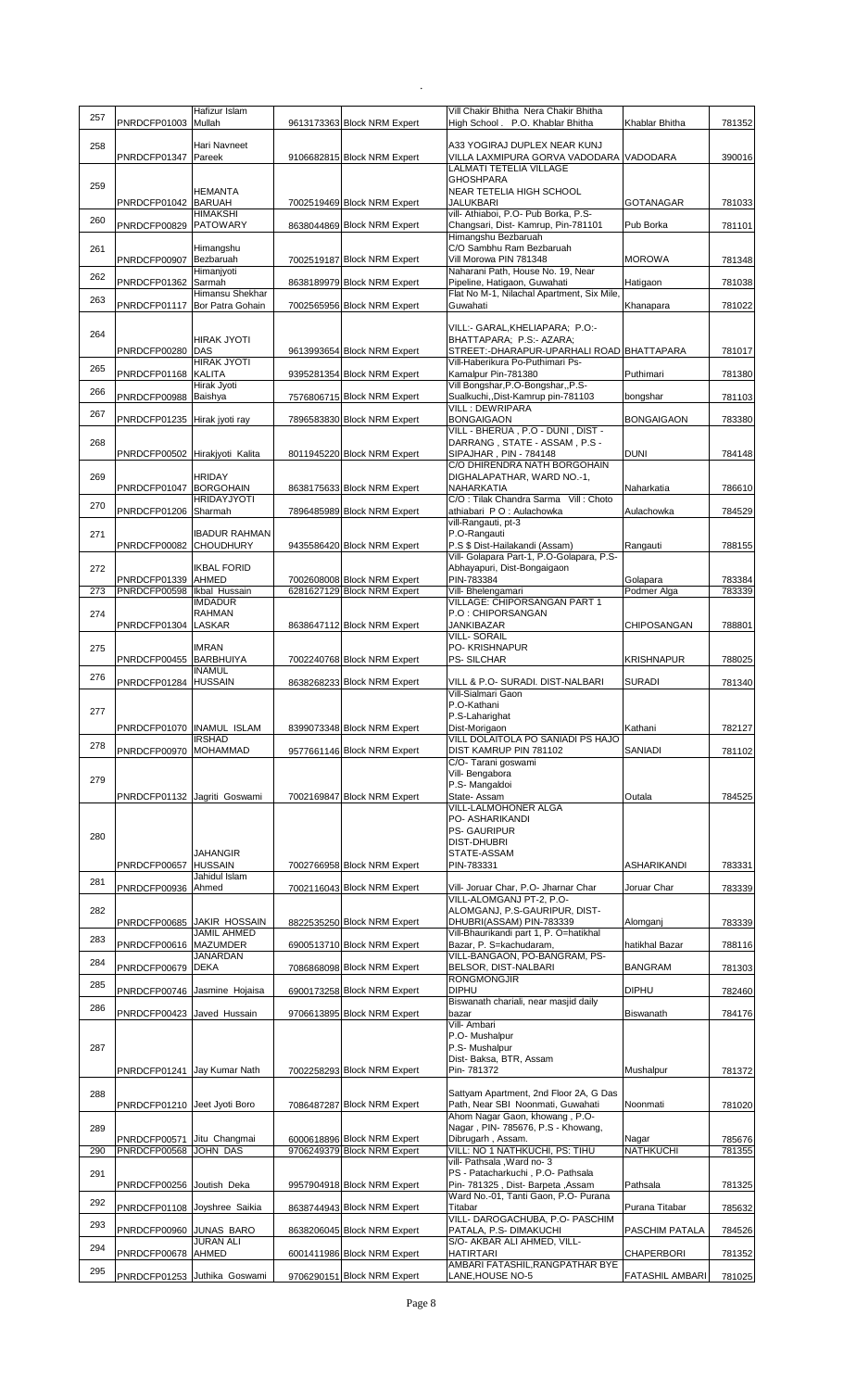| 257 | PNRDCFP01003                   | Hafizur Islam<br>Mullah                          | 9613173363 Block NRM Expert                                | Vill Chakir Bhitha Nera Chakir Bhitha<br>High School . P.O. Khablar Bhitha | Khablar Bhitha            | 781352           |
|-----|--------------------------------|--------------------------------------------------|------------------------------------------------------------|----------------------------------------------------------------------------|---------------------------|------------------|
| 258 |                                | Hari Navneet                                     |                                                            | A33 YOGIRAJ DUPLEX NEAR KUNJ                                               |                           |                  |
|     | PNRDCFP01347                   | Pareek                                           | 9106682815 Block NRM Expert                                | VILLA LAXMIPURA GORVA VADODARA<br>LALMATI TETELIA VILLAGE                  | VADODARA                  | 390016           |
| 259 |                                |                                                  |                                                            | <b>GHOSHPARA</b>                                                           |                           |                  |
|     | PNRDCFP01042 BARUAH            | <b>HEMANTA</b>                                   | 7002519469 Block NRM Expert                                | NEAR TETELIA HIGH SCHOOL<br><b>JALUKBARI</b>                               | <b>GOTANAGAR</b>          | 781033           |
| 260 |                                | <b>HIMAKSHI</b>                                  |                                                            | vill- Athiaboi, P.O- Pub Borka, P.S-                                       |                           |                  |
|     | PNRDCFP00829 PATOWARY          |                                                  | 8638044869 Block NRM Expert                                | Changsari, Dist- Kamrup, Pin-781101<br>Himangshu Bezbaruah                 | Pub Borka                 | 781101           |
| 261 | PNRDCFP00907                   | Himangshu<br>Bezbaruah                           | 7002519187 Block NRM Expert                                | C/O Sambhu Ram Bezbaruah<br>Vill Morowa PIN 781348                         | <b>MOROWA</b>             | 781348           |
| 262 |                                | Himanjyoti                                       |                                                            | Naharani Path, House No. 19, Near                                          |                           |                  |
|     | PNRDCFP01362                   | Sarmah<br>Himansu Shekhar                        | 8638189979 Block NRM Expert                                | Pipeline, Hatigaon, Guwahati<br>Flat No M-1, Nilachal Apartment, Six Mile, | Hatigaon                  | 781038           |
| 263 | PNRDCFP01117                   | Bor Patra Gohain                                 | 7002565956 Block NRM Expert                                | Guwahati                                                                   | Khanapara                 | 781022           |
| 264 |                                |                                                  |                                                            | VILL:- GARAL, KHELIAPARA; P.O:-                                            |                           |                  |
|     | PNRDCFP00280 DAS               | <b>HIRAK JYOTI</b>                               | 9613993654 Block NRM Expert                                | BHATTAPARA; P.S:- AZARA;<br>STREET:-DHARAPUR-UPARHALI ROAD BHATTAPARA      |                           | 781017           |
| 265 |                                | <b>HIRAK JYOTI</b>                               |                                                            | Vill-Haberikura Po-Puthimari Ps-                                           |                           |                  |
|     | PNRDCFP01168 KALITA            | Hirak Jyoti                                      | 9395281354 Block NRM Expert                                | Kamalpur Pin-781380<br>Vill Bongshar, P.O-Bongshar, , P.S-                 | Puthimari                 | 781380           |
| 266 | PNRDCFP00988 Baishya           |                                                  | 7576806715 Block NRM Expert                                | Sualkuchi,, Dist-Kamrup pin-781103<br><b>VILL: DEWRIPARA</b>               | bongshar                  | 781103           |
| 267 | PNRDCFP01235                   | Hirak jyoti ray                                  | 7896583830 Block NRM Expert                                | <b>BONGAIGAON</b>                                                          | <b>BONGAIGAON</b>         | 783380           |
| 268 |                                |                                                  |                                                            | VILL - BHERUA, P.O - DUNI, DIST -<br>DARRANG, STATE - ASSAM, P.S -         |                           |                  |
|     | PNRDCFP00502 Hirakjyoti Kalita |                                                  | 8011945220 Block NRM Expert                                | SIPAJHAR, PIN - 784148                                                     | <b>DUNI</b>               | 784148           |
| 269 |                                | <b>HRIDAY</b>                                    |                                                            | C/O DHIRENDRA NATH BORGOHAIN<br>DIGHALAPATHAR, WARD NO.-1,                 |                           |                  |
|     | PNRDCFP01047                   | <b>BORGOHAIN</b>                                 | 8638175633 Block NRM Expert                                | NAHARKATIA<br>C/O: Tilak Chandra Sarma Vill: Choto                         | Naharkatia                | 786610           |
| 270 | PNRDCFP01206 Sharmah           | <b>HRIDAYJYOTI</b>                               | 7896485989 Block NRM Expert                                | athiabari PO: Aulachowka                                                   | Aulachowka                | 784529           |
| 271 |                                | <b>IBADUR RAHMAN</b>                             |                                                            | vill-Rangauti, pt-3<br>P.O-Rangauti                                        |                           |                  |
|     | PNRDCFP00082                   | <b>CHOUDHURY</b>                                 | 9435586420 Block NRM Expert                                | P.S \$ Dist-Hailakandi (Assam)                                             | Rangauti                  | 788155           |
| 272 |                                | <b>IKBAL FORID</b>                               |                                                            | Vill- Golapara Part-1, P.O-Golapara, P.S-<br>Abhayapuri, Dist-Bongaigaon   |                           |                  |
|     | PNRDCFP01339                   | AHMED                                            | 7002608008 Block NRM Expert                                | PIN-783384                                                                 | Golapara                  | 783384           |
| 273 | PNRDCFP00598                   | Ikbal Hussain<br><b>IMDADUR</b>                  | 6281627129 Block NRM Expert                                | Vill- Bhelengamari<br>VILLAGE: CHIPORSANGAN PART 1                         | Podmer Alga               | 783339           |
| 274 | PNRDCFP01304 LASKAR            | <b>RAHMAN</b>                                    | 8638647112 Block NRM Expert                                | P.O: CHIPORSANGAN<br>JANKIBAZAR                                            | CHIPOSANGAN               | 788801           |
|     |                                |                                                  |                                                            | <b>VILL-SORAIL</b>                                                         |                           |                  |
| 275 | PNRDCFP00455 BARBHUIYA         | <b>IMRAN</b>                                     | 7002240768 Block NRM Expert                                | PO- KRISHNAPUR<br><b>PS-SILCHAR</b>                                        | <b>KRISHNAPUR</b>         | 788025           |
| 276 |                                | <b>INAMUL</b>                                    |                                                            |                                                                            |                           |                  |
|     | PNRDCFP01284 HUSSAIN           |                                                  | 8638268233 Block NRM Expert                                | VILL & P.O- SURADI. DIST-NALBARI<br>Vill-Sialmari Gaon                     | <b>SURADI</b>             | 781340           |
|     |                                |                                                  |                                                            | P.O-Kathani                                                                |                           |                  |
| 277 |                                |                                                  |                                                            |                                                                            |                           |                  |
|     | PNRDCFP01070 INAMUL ISLAM      |                                                  | 8399073348 Block NRM Expert                                | P.S-Laharighat<br>Dist-Morigaon                                            | Kathani                   | 782127           |
| 278 |                                | <b>IRSHAD</b>                                    |                                                            | VILL DOLAITOLA PO SANIADI PS HAJO                                          |                           |                  |
|     | PNRDCFP00970 MOHAMMAD          |                                                  | 9577661146 Block NRM Expert                                | DIST KAMRUP PIN 781102<br>C/O- Tarani goswami                              | SANIADI                   | 781102           |
| 279 |                                |                                                  |                                                            | Vill-Bengabora<br>P.S- Mangaldoi                                           |                           |                  |
|     | PNRDCFP01132 Jagriti Goswami   |                                                  | 7002169847 Block NRM Expert                                | State- Assam                                                               | Outala                    | 784525           |
|     |                                |                                                  |                                                            | VILL-LALMOHONER ALGA<br>PO- ASHARIKANDI                                    |                           |                  |
| 280 |                                |                                                  |                                                            | <b>PS- GAURIPUR</b>                                                        |                           |                  |
|     |                                | JAHANGIR                                         |                                                            | <b>DIST-DHUBRI</b><br>STATE-ASSAM                                          |                           |                  |
|     | PNRDCFP00657 HUSSAIN           | Jahidul Islam                                    | 7002766958 Block NRM Expert                                | PIN-783331                                                                 | <b>ASHARIKANDI</b>        | 783331           |
| 281 | PNRDCFP00936                   | Ahmed                                            | 7002116043 Block NRM Expert                                | Vill- Joruar Char, P.O- Jharnar Char                                       | Joruar Char               | 783339           |
| 282 |                                |                                                  |                                                            | VILL-ALOMGANJ PT-2, P.O-<br>ALOMGANJ, P.S-GAURIPUR, DIST-                  |                           |                  |
|     |                                | PNRDCFP00685 JAKIR HOSSAIN<br><b>JAMIL AHMED</b> | 8822535250 Block NRM Expert                                | DHUBRI(ASSAM) PIN-783339                                                   | Alomganj                  | 783339           |
| 283 | PNRDCFP00616 MAZUMDER          |                                                  | 6900513710 Block NRM Expert                                | Vill-Bhaurikandi part 1, P. O=hatikhal<br>Bazar, P. S=kachudaram,          | hatikhal Bazar            | 788116           |
| 284 | PNRDCFP00679                   | <b>JANARDAN</b><br><b>DEKA</b>                   | 7086868098 Block NRM Expert                                | VILL-BANGAON, PO-BANGRAM, PS-<br>BELSOR, DIST-NALBARI                      | <b>BANGRAM</b>            | 781303           |
| 285 |                                |                                                  |                                                            | <b>RONGMONGJIR</b><br><b>DIPHU</b>                                         |                           |                  |
| 286 | PNRDCFP00746 Jasmine Hojaisa   |                                                  | 6900173258 Block NRM Expert                                | Biswanath chariali, near masjid daily                                      | <b>DIPHU</b>              | 782460           |
|     | PNRDCFP00423 Javed Hussain     |                                                  | 9706613895 Block NRM Expert                                | bazar<br>Vill- Ambari                                                      | Biswanath                 | 784176           |
|     |                                |                                                  |                                                            | P.O- Mushalpur                                                             |                           |                  |
| 287 |                                |                                                  |                                                            | P.S- Mushalpur<br>Dist- Baksa, BTR, Assam                                  |                           |                  |
|     | PNRDCFP01241 Jay Kumar Nath    |                                                  | 7002258293 Block NRM Expert                                | Pin- 781372                                                                | Mushalpur                 | 781372           |
| 288 |                                |                                                  |                                                            | Sattyam Apartment, 2nd Floor 2A, G Das                                     |                           |                  |
|     | PNRDCFP01210 Jeet Jyoti Boro   |                                                  | 7086487287 Block NRM Expert                                | Path, Near SBI Noonmati, Guwahati<br>Ahom Nagar Gaon, khowang, P.O-        | Noonmati                  | 781020           |
| 289 |                                |                                                  |                                                            | Nagar, PIN-785676, P.S - Khowang,                                          |                           |                  |
| 290 | PNRDCFP00571<br>PNRDCFP00568   | Jitu Changmai<br><b>JOHN DAS</b>                 | 6000618896 Block NRM Expert<br>9706249379 Block NRM Expert | Dibrugarh, Assam.<br>VILL: NO 1 NATHKUCHI, PS: TIHU                        | Nagar<br><b>NATHKUCHI</b> | 785676<br>781355 |
| 291 |                                |                                                  |                                                            | vill- Pathsala , Ward no- 3<br>PS - Patacharkuchi, P.O- Pathsala           |                           |                  |
|     | PNRDCFP00256 Joutish Deka      |                                                  | 9957904918 Block NRM Expert                                | Pin- 781325, Dist- Barpeta, Assam                                          | Pathsala                  | 781325           |
| 292 | PNRDCFP01108 Joyshree Saikia   |                                                  | 8638744943 Block NRM Expert                                | Ward No.-01, Tanti Gaon, P.O- Purana<br>Titabar                            | Purana Titabar            | 785632           |
| 293 |                                |                                                  |                                                            | VILL- DAROGACHUBA, P.O- PASCHIM                                            |                           |                  |
| 294 | PNRDCFP00960 JUNAS BARO        | <b>JURAN ALI</b>                                 | 8638206045 Block NRM Expert                                | PATALA, P.S- DIMAKUCHI<br>S/O- AKBAR ALI AHMED, VILL-                      | PASCHIM PATALA            | 784526           |
| 295 | PNRDCFP00678 AHMED             |                                                  | 6001411986 Block NRM Expert                                | <b>HATIRTARI</b><br>AMBARI FATASHIL, RANGPATHAR BYE                        | <b>CHAPERBORI</b>         | 781352           |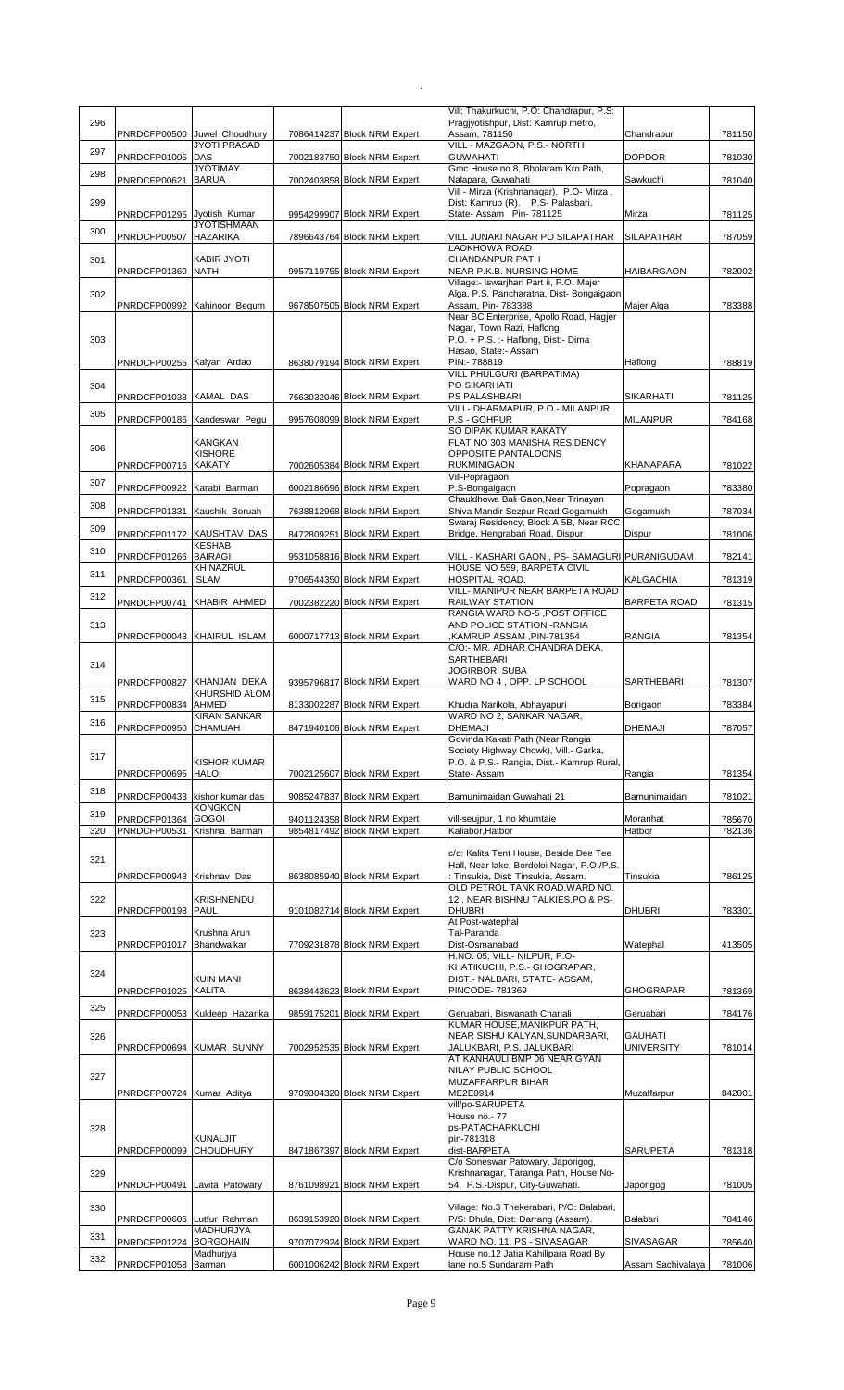|     |                                               |                                  |                                                            | Vill: Thakurkuchi, P.O: Chandrapur, P.S:                                             |                     |                  |
|-----|-----------------------------------------------|----------------------------------|------------------------------------------------------------|--------------------------------------------------------------------------------------|---------------------|------------------|
| 296 |                                               | PNRDCFP00500 Juwel Choudhury     | 7086414237 Block NRM Expert                                | Pragiyotishpur, Dist: Kamrup metro,<br>Assam, 781150                                 | Chandrapur          | 781150           |
| 297 |                                               | <b>JYOTI PRASAD</b>              |                                                            | VILL - MAZGAON, P.S.- NORTH                                                          |                     |                  |
|     | PNRDCFP01005 DAS                              | <b>JYOTIMAY</b>                  | 7002183750 Block NRM Expert                                | <b>GUWAHATI</b>                                                                      | <b>DOPDOR</b>       | 781030           |
| 298 | PNRDCFP00621 BARUA                            |                                  | 7002403858 Block NRM Expert                                | Gmc House no 8, Bholaram Kro Path,<br>Nalapara, Guwahati                             | Sawkuchi            | 781040           |
|     |                                               |                                  |                                                            | Vill - Mirza (Krishnanagar). P.O- Mirza.                                             |                     |                  |
| 299 | PNRDCFP01295 Jyotish Kumar                    |                                  | 9954299907 Block NRM Expert                                | Dist: Kamrup (R). P.S- Palasbari.<br>State-Assam Pin-781125                          | Mirza               | 781125           |
| 300 |                                               | <b>JYOTISHMAAN</b>               |                                                            |                                                                                      |                     |                  |
|     | PNRDCFP00507 HAZARIKA                         |                                  | 7896643764 Block NRM Expert                                | VILL JUNAKI NAGAR PO SILAPATHAR<br><b>LAOKHOWA ROAD</b>                              | <b>SILAPATHAR</b>   | 787059           |
| 301 |                                               | <b>KABIR JYOTI</b>               |                                                            | CHANDANPUR PATH                                                                      |                     |                  |
|     | PNRDCFP01360 NATH                             |                                  | 9957119755 Block NRM Expert                                | NEAR P.K.B. NURSING HOME                                                             | <b>HAIBARGAON</b>   | 782002           |
| 302 |                                               |                                  |                                                            | Village:- Iswarjhari Part ii, P.O. Majer<br>Alga, P.S. Pancharatna, Dist-Bongaigaon  |                     |                  |
|     |                                               | PNRDCFP00992 Kahinoor Begum      | 9678507505 Block NRM Expert                                | Assam, Pin- 783388                                                                   | Majer Alga          | 783388           |
|     |                                               |                                  |                                                            | Near BC Enterprise, Apollo Road, Hagjer<br>Nagar, Town Razi, Haflong                 |                     |                  |
| 303 |                                               |                                  |                                                            | P.O. + P.S. :- Haflong, Dist:- Dima                                                  |                     |                  |
|     |                                               |                                  |                                                            | Hasao, State:- Assam                                                                 |                     |                  |
|     | PNRDCFP00255 Kalyan Ardao                     |                                  | 8638079194 Block NRM Expert                                | PIN:- 788819<br>VILL PHULGURI (BARPATIMA)                                            | Haflong             | 788819           |
| 304 |                                               |                                  |                                                            | PO SIKARHATI                                                                         |                     |                  |
|     | PNRDCFP01038 KAMAL DAS                        |                                  | 7663032046 Block NRM Expert                                | PS PALASHBARI<br>VILL- DHARMAPUR, P.O - MILANPUR,                                    | <b>SIKARHATI</b>    | 781125           |
| 305 |                                               | PNRDCFP00186 Kandeswar Pegu      | 9957608099 Block NRM Expert                                | P.S - GOHPUR                                                                         | <b>MILANPUR</b>     | 784168           |
|     |                                               |                                  |                                                            | SO DIPAK KUMAR KAKATY                                                                |                     |                  |
| 306 |                                               | <b>KANGKAN</b><br><b>KISHORE</b> |                                                            | FLAT NO 303 MANISHA RESIDENCY<br><b>OPPOSITE PANTALOONS</b>                          |                     |                  |
|     | PNRDCFP00716 KAKATY                           |                                  | 7002605384 Block NRM Expert                                | <b>RUKMINIGAON</b>                                                                   | KHANAPARA           | 781022           |
| 307 |                                               |                                  |                                                            | Vill-Popragaon                                                                       |                     |                  |
|     | PNRDCFP00922 Karabi Barman                    |                                  | 6002186696 Block NRM Expert                                | P.S-Bongaigaon<br>Chauldhowa Bali Gaon, Near Trinayan                                | Popragaon           | 783380           |
| 308 | PNRDCFP01331 Kaushik Boruah                   |                                  | 7638812968 Block NRM Expert                                | Shiva Mandir Sezpur Road, Gogamukh                                                   | Gogamukh            | 787034           |
| 309 |                                               | PNRDCFP01172 KAUSHTAV DAS        | 8472809251 Block NRM Expert                                | Swaraj Residency, Block A 5B, Near RCC<br>Bridge, Hengrabari Road, Dispur            | Dispur              | 781006           |
|     |                                               | <b>KESHAB</b>                    |                                                            |                                                                                      |                     |                  |
| 310 | PNRDCFP01266 BAIRAGI                          |                                  | 9531058816 Block NRM Expert                                | VILL - KASHARI GAON, PS- SAMAGURI PURANIGUDAM                                        |                     | 782141           |
| 311 | PNRDCFP00361 ISLAM                            | <b>KH NAZRUL</b>                 | 9706544350 Block NRM Expert                                | HOUSE NO 559, BARPETA CIVIL<br>HOSPITAL ROAD.                                        | <b>KALGACHIA</b>    | 781319           |
| 312 |                                               |                                  |                                                            | VILL- MANIPUR NEAR BARPETA ROAD                                                      |                     |                  |
|     |                                               | PNRDCFP00741 KHABIR AHMED        | 7002382220 Block NRM Expert                                | RAILWAY STATION<br>RANGIA WARD NO-5, POST OFFICE                                     | <b>BARPETA ROAD</b> | 781315           |
| 313 |                                               |                                  |                                                            | AND POLICE STATION -RANGIA                                                           |                     |                  |
|     |                                               | PNRDCFP00043 KHAIRUL ISLAM       | 6000717713 Block NRM Expert                                | FIN-781354, KAMRUP ASSAM,                                                            | <b>RANGIA</b>       | 781354           |
|     |                                               |                                  |                                                            | C/O:- MR. ADHAR CHANDRA DEKA,<br>SARTHEBARI                                          |                     |                  |
| 314 |                                               |                                  |                                                            | <b>JOGIRBORI SUBA</b>                                                                |                     |                  |
|     |                                               | PNRDCFP00827 KHANJAN DEKA        | 9395796817 Block NRM Expert                                | WARD NO 4, OPP. LP SCHOOL                                                            | SARTHEBARI          | 781307           |
| 315 | PNRDCFP00834 AHMED                            | <b>KHURSHID ALOM</b>             | 8133002287 Block NRM Expert                                | Khudra Narikola, Abhayapuri                                                          | Borigaon            | 783384           |
| 316 |                                               | <b>KIRAN SANKAR</b>              |                                                            | WARD NO 2, SANKAR NAGAR,                                                             |                     |                  |
|     | PNRDCFP00950 CHAMUAH                          |                                  | 8471940106 Block NRM Expert                                | <b>DHEMAJI</b><br>Govinda Kakati Path (Near Rangia                                   | <b>DHEMAJI</b>      | 787057           |
|     |                                               |                                  |                                                            | Society Highway Chowk), Vill.- Garka,                                                |                     |                  |
| 317 |                                               | <b>KISHOR KUMAR</b>              |                                                            | P.O. & P.S.- Rangia, Dist.- Kamrup Rural,                                            |                     |                  |
|     | PNRDCFP00695 HALOI                            |                                  | 7002125607 Block NRM Expert                                | State- Assam                                                                         | Rangia              | 781354           |
| 318 |                                               | PNRDCFP00433 kishor kumar das    | 9085247837 Block NRM Expert                                | Bamunimaidan Guwahati 21                                                             | Bamunimaidan        | 781021           |
| 319 | PNRDCFP01364 GOGOI                            | <b>KONGKON</b>                   | 9401124358 Block NRM Expert                                |                                                                                      | Moranhat            |                  |
| 320 | PNRDCFP00531 Krishna Barman                   |                                  | 9854817492 Block NRM Expert                                | vill-seujpur, 1 no khumtaie<br>Kaliabor, Hatbor                                      | Hatbor              | 785670<br>782136 |
|     |                                               |                                  |                                                            |                                                                                      |                     |                  |
| 321 |                                               |                                  |                                                            | c/o: Kalita Tent House, Beside Dee Tee<br>Hall, Near lake, Bordoloi Nagar, P.O./P.S. |                     |                  |
|     | PNRDCFP00948 Krishnav Das                     |                                  | 8638085940 Block NRM Expert                                | : Tinsukia, Dist: Tinsukia, Assam.                                                   | Tinsukia            | 786125           |
| 322 |                                               | KRISHNENDU                       |                                                            | OLD PETROL TANK ROAD, WARD NO.<br>12, NEAR BISHNU TALKIES, PO & PS-                  |                     |                  |
|     | PNRDCFP00198 PAUL                             |                                  | 9101082714 Block NRM Expert                                | <b>DHUBRI</b>                                                                        | <b>DHUBRI</b>       | 783301           |
|     |                                               |                                  |                                                            |                                                                                      |                     |                  |
| 323 |                                               |                                  |                                                            | At Post-watephal                                                                     |                     |                  |
|     |                                               | Krushna Arun                     |                                                            | Tal-Paranda                                                                          |                     |                  |
|     | PNRDCFP01017 Bhandwalkar                      |                                  | 7709231878 Block NRM Expert                                | Dist-Osmanabad<br>H.NO. 05, VILL- NILPUR, P.O-                                       | Watephal            | 413505           |
| 324 |                                               |                                  |                                                            | KHATIKUCHI, P.S.- GHOGRAPAR,                                                         |                     |                  |
|     | PNRDCFP01025 KALITA                           | <b>KUIN MANI</b>                 | 8638443623 Block NRM Expert                                | DIST.- NALBARI, STATE- ASSAM,<br>PINCODE- 781369                                     | <b>GHOGRAPAR</b>    | 781369           |
|     |                                               |                                  |                                                            |                                                                                      |                     |                  |
| 325 |                                               | PNRDCFP00053 Kuldeep Hazarika    | 9859175201 Block NRM Expert                                | Geruabari, Biswanath Chariali                                                        | Geruabari           | 784176           |
| 326 |                                               |                                  |                                                            | KUMAR HOUSE, MANIKPUR PATH,<br>NEAR SISHU KALYAN, SUNDARBARI,                        | <b>GAUHATI</b>      |                  |
|     | PNRDCFP00694 KUMAR SUNNY                      |                                  | 7002952535 Block NRM Expert                                | JALUKBARI, P.S. JALUKBARI                                                            | <b>UNIVERSITY</b>   | 781014           |
|     |                                               |                                  |                                                            | AT KANHAULI BMP 06 NEAR GYAN                                                         |                     |                  |
| 327 |                                               |                                  |                                                            | NILAY PUBLIC SCHOOL<br>MUZAFFARPUR BIHAR                                             |                     |                  |
|     | PNRDCFP00724 Kumar Aditya                     |                                  | 9709304320 Block NRM Expert                                | ME2E0914                                                                             | Muzaffarpur         | 842001           |
|     |                                               |                                  |                                                            | vill/po-SARUPETA<br>House no.- 77                                                    |                     |                  |
| 328 |                                               |                                  |                                                            | ps-PATACHARKUCHI                                                                     |                     |                  |
|     |                                               | <b>KUNALJIT</b>                  |                                                            | pin-781318                                                                           |                     |                  |
|     | PNRDCFP00099                                  | <b>CHOUDHURY</b>                 | 8471867397 Block NRM Expert                                | dist-BARPETA<br>C/o Soneswar Patowary, Japorigog,                                    | <b>SARUPETA</b>     | 781318           |
| 329 |                                               |                                  |                                                            | Krishnanagar, Taranga Path, House No-                                                |                     |                  |
|     | PNRDCFP00491 Lavita Patowary                  |                                  | 8761098921 Block NRM Expert                                | 54, P.S.-Dispur, City-Guwahati.                                                      | Japorigog           | 781005           |
| 330 |                                               |                                  |                                                            | Village: No.3 Thekerabari, P/O: Balabari,                                            |                     |                  |
|     | PNRDCFP00606 Lutfur Rahman                    |                                  | 8639153920 Block NRM Expert                                | P/S: Dhula, Dist: Darrang (Assam).                                                   | Balabari            | 784146           |
| 331 |                                               | MADHURJYA                        |                                                            | GANAK PATTY KRISHNA NAGAR,<br>WARD NO. 11, PS - SIVASAGAR                            | SIVASAGAR           |                  |
| 332 | PNRDCFP01224 BORGOHAIN<br>PNRDCFP01058 Barman | Madhurjya                        | 9707072924 Block NRM Expert<br>6001006242 Block NRM Expert | House no.12 Jatia Kahilipara Road By<br>lane no.5 Sundaram Path                      | Assam Sachivalaya   | 785640<br>781006 |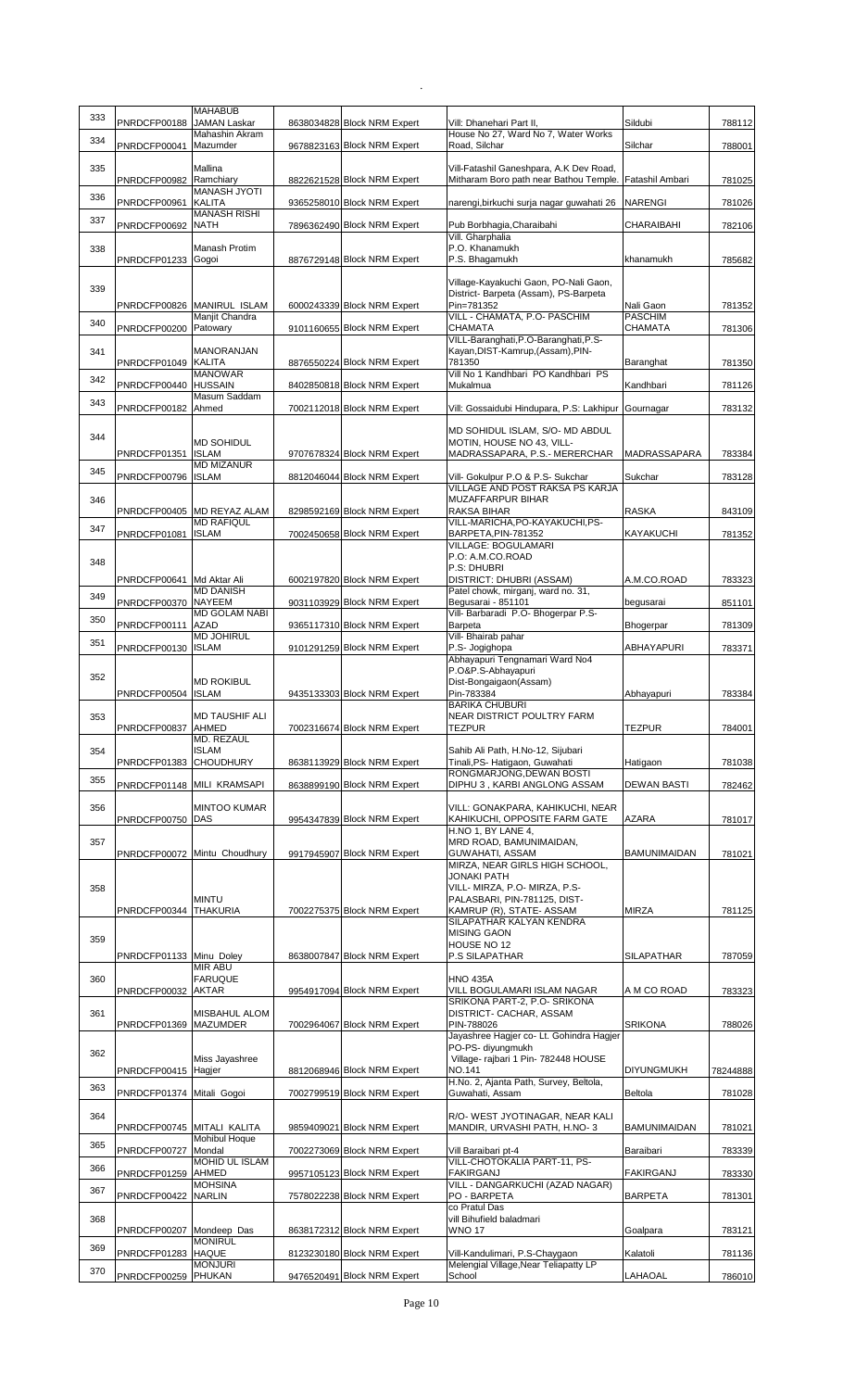|     |                            | <b>MAHABUB</b>                                  |                             |                                                                                |                     |          |
|-----|----------------------------|-------------------------------------------------|-----------------------------|--------------------------------------------------------------------------------|---------------------|----------|
| 333 | PNRDCFP00188               | <b>JAMAN Laskar</b>                             | 8638034828 Block NRM Expert | Vill: Dhanehari Part II,                                                       | Sildubi             | 788112   |
| 334 |                            | Mahashin Akram                                  |                             | House No 27, Ward No 7, Water Works                                            |                     |          |
|     | PNRDCFP00041 Mazumder      |                                                 | 9678823163 Block NRM Expert | Road, Silchar                                                                  | Silchar             | 788001   |
| 335 |                            | Mallina                                         |                             | Vill-Fatashil Ganeshpara, A.K Dev Road,                                        |                     |          |
|     | PNRDCFP00982 Ramchiary     |                                                 | 8822621528 Block NRM Expert | Mitharam Boro path near Bathou Temple. Fatashil Ambari                         |                     | 781025   |
| 336 | PNRDCFP00961               | <b>MANASH JYOTI</b><br><b>KALITA</b>            | 9365258010 Block NRM Expert | narengi,birkuchi surja nagar guwahati 26                                       | <b>NARENGI</b>      | 781026   |
|     |                            | <b>MANASH RISHI</b>                             |                             |                                                                                |                     |          |
| 337 | PNRDCFP00692 NATH          |                                                 | 7896362490 Block NRM Expert | Pub Borbhagia, Charaibahi                                                      | CHARAIBAHI          | 782106   |
| 338 |                            | Manash Protim                                   |                             | Vill. Gharphalia<br>P.O. Khanamukh                                             |                     |          |
|     | PNRDCFP01233 Gogoi         |                                                 | 8876729148 Block NRM Expert | P.S. Bhagamukh                                                                 | khanamukh           | 785682   |
|     |                            |                                                 |                             |                                                                                |                     |          |
| 339 |                            |                                                 |                             | Village-Kayakuchi Gaon, PO-Nali Gaon,<br>District- Barpeta (Assam), PS-Barpeta |                     |          |
|     |                            | PNRDCFP00826 MANIRUL ISLAM                      | 6000243339 Block NRM Expert | Pin=781352                                                                     | Nali Gaon           | 781352   |
| 340 |                            | Manjit Chandra                                  |                             | VILL - CHAMATA, P.O- PASCHIM                                                   | <b>PASCHIM</b>      |          |
|     | PNRDCFP00200 Patowary      |                                                 | 9101160655 Block NRM Expert | <b>CHAMATA</b><br>VILL-Baranghati, P.O-Baranghati, P.S-                        | <b>CHAMATA</b>      | 781306   |
| 341 |                            | MANORANJAN                                      |                             | Kayan, DIST-Kamrup, (Assam), PIN-                                              |                     |          |
|     | PNRDCFP01049 KALITA        |                                                 | 8876550224 Block NRM Expert | 781350                                                                         | Baranghat           | 781350   |
| 342 | PNRDCFP00440 HUSSAIN       | <b>MANOWAR</b>                                  | 8402850818 Block NRM Expert | Vill No 1 Kandhbari PO Kandhbari PS<br>Mukalmua                                | Kandhbari           | 781126   |
|     |                            | Masum Saddam                                    |                             |                                                                                |                     |          |
| 343 | PNRDCFP00182 Ahmed         |                                                 | 7002112018 Block NRM Expert | Vill: Gossaidubi Hindupara, P.S: Lakhipur Gournagar                            |                     | 783132   |
|     |                            |                                                 |                             | MD SOHIDUL ISLAM, S/O- MD ABDUL                                                |                     |          |
| 344 |                            | <b>MD SOHIDUL</b>                               |                             | MOTIN, HOUSE NO 43, VILL-                                                      |                     |          |
|     | PNRDCFP01351               | <b>ISLAM</b>                                    | 9707678324 Block NRM Expert | MADRASSAPARA, P.S.- MERERCHAR                                                  | <b>MADRASSAPARA</b> | 783384   |
| 345 | PNRDCFP00796 ISLAM         | <b>MD MIZANUR</b>                               | 8812046044 Block NRM Expert | Vill- Gokulpur P.O & P.S- Sukchar                                              | Sukchar             | 783128   |
|     |                            |                                                 |                             | VILLAGE AND POST RAKSA PS KARJA                                                |                     |          |
| 346 |                            |                                                 |                             | MUZAFFARPUR BIHAR                                                              |                     |          |
|     |                            | PNRDCFP00405 MD REYAZ ALAM<br><b>MD RAFIQUL</b> | 8298592169 Block NRM Expert | RAKSA BIHAR<br>VILL-MARICHA, PO-KAYAKUCHI, PS-                                 | <b>RASKA</b>        | 843109   |
| 347 | PNRDCFP01081 ISLAM         |                                                 | 7002450658 Block NRM Expert | BARPETA, PIN-781352                                                            | <b>KAYAKUCHI</b>    | 781352   |
|     |                            |                                                 |                             | VILLAGE: BOGULAMARI                                                            |                     |          |
| 348 |                            |                                                 |                             | P.O: A.M.CO.ROAD<br>P.S: DHUBRI                                                |                     |          |
|     | PNRDCFP00641 Md Aktar Ali  |                                                 | 6002197820 Block NRM Expert | DISTRICT: DHUBRI (ASSAM)                                                       | A.M.CO.ROAD         | 783323   |
| 349 |                            | <b>MD DANISH</b>                                |                             | Patel chowk, mirganj, ward no. 31,                                             |                     |          |
|     | PNRDCFP00370 NAYEEM        | <b>MD GOLAM NABI</b>                            | 9031103929 Block NRM Expert | Begusarai - 851101<br>Vill- Barbaradi P.O- Bhogerpar P.S-                      | begusarai           | 851101   |
| 350 | PNRDCFP00111 AZAD          |                                                 | 9365117310 Block NRM Expert | Barpeta                                                                        | Bhogerpar           | 781309   |
| 351 |                            | <b>MD JOHIRUL</b>                               |                             | Vill- Bhairab pahar                                                            |                     |          |
|     | PNRDCFP00130 ISLAM         |                                                 | 9101291259 Block NRM Expert | P.S- Jogighopa<br>Abhayapuri Tengnamari Ward No4                               | ABHAYAPURI          | 783371   |
| 352 |                            |                                                 |                             | P.O&P.S-Abhayapuri                                                             |                     |          |
|     |                            | <b>MD ROKIBUL</b>                               |                             | Dist-Bongaigaon(Assam)                                                         |                     |          |
|     | PNRDCFP00504 ISLAM         |                                                 | 9435133303 Block NRM Expert | Pin-783384<br><b>BARIKA CHUBURI</b>                                            | Abhayapuri          | 783384   |
| 353 |                            | <b>MD TAUSHIF ALI</b>                           |                             | NEAR DISTRICT POULTRY FARM                                                     |                     |          |
|     | PNRDCFP00837 AHMED         | MD. REZAUL                                      | 7002316674 Block NRM Expert | <b>TEZPUR</b>                                                                  | <b>TEZPUR</b>       | 784001   |
| 354 |                            | <b>ISLAM</b>                                    |                             | Sahib Ali Path, H.No-12, Sijubari                                              |                     |          |
|     | PNRDCFP01383 CHOUDHURY     |                                                 | 8638113929 Block NRM Expert | Tinali, PS- Hatigaon, Guwahati                                                 | Hatigaon            | 781038   |
| 355 |                            | PNRDCFP01148 MILI KRAMSAPI                      | 8638899190 Block NRM Expert | RONGMARJONG, DEWAN BOSTI<br>DIPHU 3, KARBI ANGLONG ASSAM                       | <b>DEWAN BASTI</b>  | 782462   |
|     |                            |                                                 |                             |                                                                                |                     |          |
| 356 |                            | <b>MINTOO KUMAR</b>                             |                             | VILL: GONAKPARA, KAHIKUCHI, NEAR                                               |                     |          |
|     | PNRDCFP00750               | DAS                                             | 9954347839 Block NRM Expert | KAHIKUCHI, OPPOSITE FARM GATE<br>H.NO 1. BY LANE 4.                            | <b>AZARA</b>        | 781017   |
| 357 |                            |                                                 |                             | MRD ROAD, BAMUNIMAIDAN,                                                        |                     |          |
|     |                            | PNRDCFP00072 Mintu Choudhury                    | 9917945907 Block NRM Expert | GUWAHATI, ASSAM                                                                | <b>BAMUNIMAIDAN</b> | 781021   |
|     |                            |                                                 |                             | MIRZA, NEAR GIRLS HIGH SCHOOL,<br><b>JONAKI PATH</b>                           |                     |          |
| 358 |                            |                                                 |                             | VILL- MIRZA, P.O- MIRZA, P.S-                                                  |                     |          |
|     |                            | <b>MINTU</b>                                    |                             | PALASBARI, PIN-781125, DIST-                                                   |                     |          |
|     | PNRDCFP00344 THAKURIA      |                                                 | 7002275375 Block NRM Expert | KAMRUP (R), STATE- ASSAM<br>SILAPATHAR KALYAN KENDRA                           | <b>MIRZA</b>        | 781125   |
|     |                            |                                                 |                             | <b>MISING GAON</b>                                                             |                     |          |
| 359 |                            |                                                 |                             | HOUSE NO 12                                                                    |                     |          |
|     | PNRDCFP01133 Minu Doley    | <b>MIR ABU</b>                                  | 8638007847 Block NRM Expert | P.S SILAPATHAR                                                                 | <b>SILAPATHAR</b>   | 787059   |
| 360 |                            | <b>FARUQUE</b>                                  |                             | <b>HNO 435A</b>                                                                |                     |          |
|     | PNRDCFP00032 AKTAR         |                                                 | 9954917094 Block NRM Expert | VILL BOGULAMARI ISLAM NAGAR<br>SRIKONA PART-2, P.O- SRIKONA                    | A M CO ROAD         | 783323   |
| 361 |                            | <b>MISBAHUL ALOM</b>                            |                             | DISTRICT- CACHAR, ASSAM                                                        |                     |          |
|     | PNRDCFP01369 MAZUMDER      |                                                 | 7002964067 Block NRM Expert | PIN-788026                                                                     | <b>SRIKONA</b>      | 788026   |
|     |                            |                                                 |                             | Jayashree Hagjer co- Lt. Gohindra Hagjer<br>PO-PS- diyungmukh                  |                     |          |
| 362 |                            | Miss Jayashree                                  |                             | Village- rajbari 1 Pin- 782448 HOUSE                                           |                     |          |
|     | PNRDCFP00415 Hagjer        |                                                 | 8812068946 Block NRM Expert | <b>NO.141</b>                                                                  | <b>DIYUNGMUKH</b>   | 78244888 |
| 363 | PNRDCFP01374 Mitali Gogoi  |                                                 | 7002799519 Block NRM Expert | H.No. 2, Ajanta Path, Survey, Beltola,<br>Guwahati, Assam                      | <b>Beltola</b>      | 781028   |
|     |                            |                                                 |                             |                                                                                |                     |          |
| 364 |                            |                                                 |                             | R/O- WEST JYOTINAGAR, NEAR KALI                                                |                     |          |
|     | PNRDCFP00745 MITALI KALITA | <b>Mohibul Hoque</b>                            | 9859409021 Block NRM Expert | MANDIR, URVASHI PATH, H.NO-3                                                   | <b>BAMUNIMAIDAN</b> | 781021   |
| 365 | PNRDCFP00727               | Mondal                                          | 7002273069 Block NRM Expert | Vill Baraibari pt-4                                                            | Baraibari           | 783339   |
| 366 |                            | <b>MOHID UL ISLAM</b>                           |                             | VILL-CHOTOKALIA PART-11, PS-                                                   |                     |          |
|     | PNRDCFP01259 AHMED         | <b>MOHSINA</b>                                  | 9957105123 Block NRM Expert | <b>FAKIRGANJ</b><br>VILL - DANGARKUCHI (AZAD NAGAR)                            | <b>FAKIRGANJ</b>    | 783330   |
| 367 | PNRDCFP00422 NARLIN        |                                                 | 7578022238 Block NRM Expert | PO - BARPETA                                                                   | <b>BARPETA</b>      | 781301   |
|     |                            |                                                 |                             | co Pratul Das                                                                  |                     |          |
| 368 | PNRDCFP00207 Mondeep Das   |                                                 | 8638172312 Block NRM Expert | vill Bihufield baladmari<br><b>WNO 17</b>                                      | Goalpara            | 783121   |
| 369 |                            | <b>MONIRUL</b>                                  |                             |                                                                                |                     |          |
|     | PNRDCFP01283 HAQUE         | <b>MONJURI</b>                                  | 8123230180 Block NRM Expert | Vill-Kandulimari, P.S-Chaygaon<br>Melengial Village, Near Teliapatty LP        | Kalatoli            | 781136   |
| 370 | PNRDCFP00259 PHUKAN        |                                                 | 9476520491 Block NRM Expert | School                                                                         | LAHAOAL             | 786010   |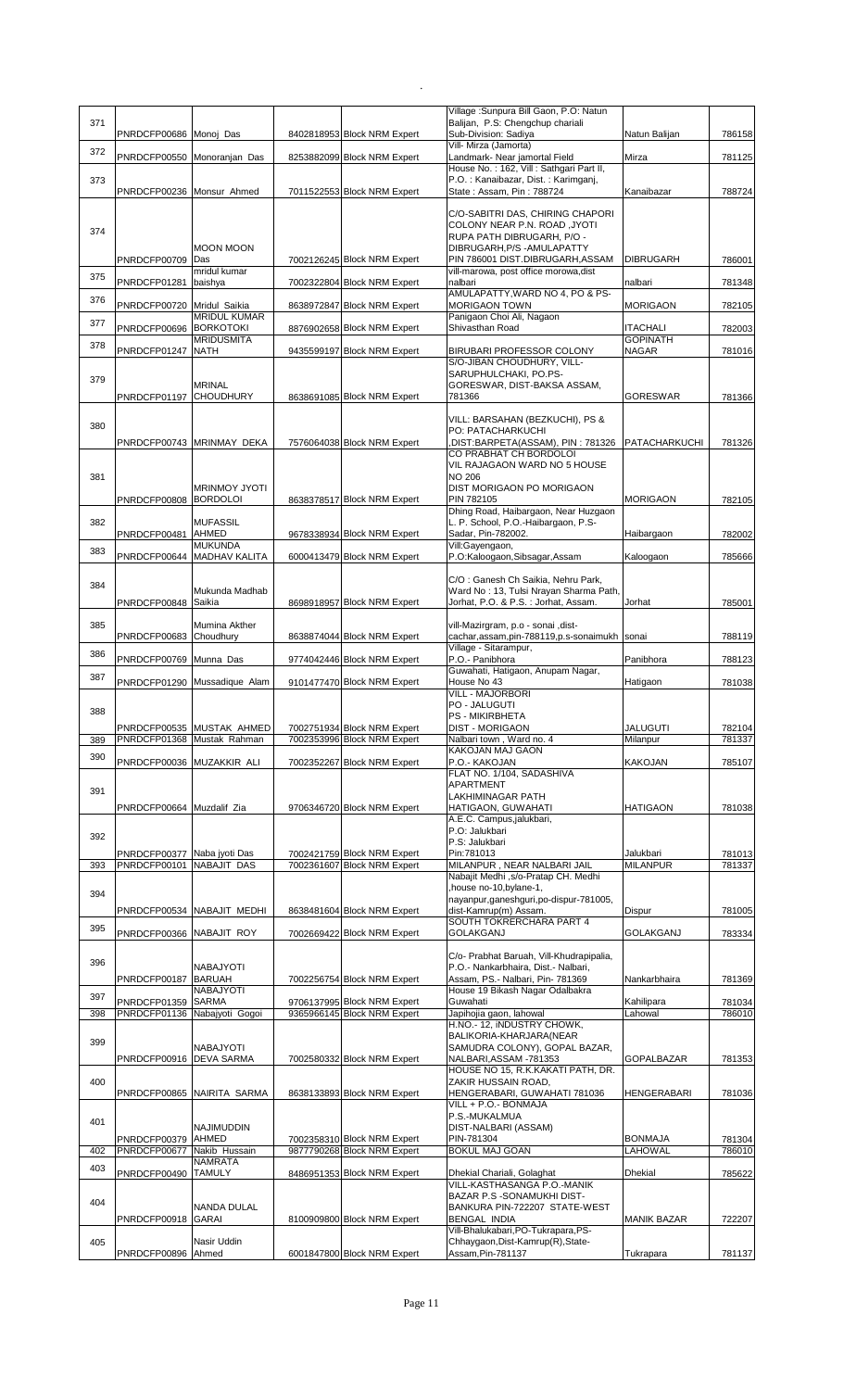| 371 |                                             |                                        |                                                            | Village: Sunpura Bill Gaon, P.O: Natun<br>Balijan, P.S: Chengchup chariali |                              |                  |
|-----|---------------------------------------------|----------------------------------------|------------------------------------------------------------|----------------------------------------------------------------------------|------------------------------|------------------|
|     | PNRDCFP00686 Monoj Das                      |                                        | 8402818953 Block NRM Expert                                | Sub-Division: Sadiya                                                       | Natun Balijan                | 786158           |
| 372 |                                             |                                        |                                                            | Vill- Mirza (Jamorta)                                                      |                              |                  |
|     | PNRDCFP00550 Monoranjan Das                 |                                        | 8253882099 Block NRM Expert                                | Landmark- Near jamortal Field                                              | Mirza                        | 781125           |
|     |                                             |                                        |                                                            | House No.: 162, Vill: Sathgari Part II,                                    |                              |                  |
| 373 | PNRDCFP00236 Monsur Ahmed                   |                                        | 7011522553 Block NRM Expert                                | P.O.: Kanaibazar, Dist.: Karimganj,<br>State: Assam, Pin: 788724           | Kanaibazar                   | 788724           |
|     |                                             |                                        |                                                            |                                                                            |                              |                  |
|     |                                             |                                        |                                                            | C/O-SABITRI DAS, CHIRING CHAPORI                                           |                              |                  |
|     |                                             |                                        |                                                            | COLONY NEAR P.N. ROAD ,JYOTI                                               |                              |                  |
| 374 |                                             |                                        |                                                            | RUPA PATH DIBRUGARH, P/O -                                                 |                              |                  |
|     |                                             | <b>MOON MOON</b>                       |                                                            | DIBRUGARH.P/S - AMULAPATTY                                                 |                              |                  |
|     | PNRDCFP00709                                | Das                                    | 7002126245 Block NRM Expert                                | PIN 786001 DIST.DIBRUGARH, ASSAM                                           | <b>DIBRUGARH</b>             | 786001           |
| 375 |                                             | mridul kumar                           |                                                            | vill-marowa, post office morowa, dist                                      |                              |                  |
|     | PNRDCFP01281                                | baishya                                | 7002322804 Block NRM Expert                                | nalbari<br>AMULAPATTY, WARD NO 4, PO & PS-                                 | nalbari                      | 781348           |
| 376 | PNRDCFP00720 Mridul Saikia                  |                                        | 8638972847 Block NRM Expert                                | <b>MORIGAON TOWN</b>                                                       | <b>MORIGAON</b>              | 782105           |
|     |                                             | <b>MRIDUL KUMAR</b>                    |                                                            | Panigaon Choi Ali, Nagaon                                                  |                              |                  |
| 377 | PNRDCFP00696 BORKOTOKI                      |                                        | 8876902658 Block NRM Expert                                | Shivasthan Road                                                            | <b>ITACHALI</b>              | 782003           |
| 378 |                                             | <b>MRIDUSMITA</b>                      |                                                            |                                                                            | <b>GOPINATH</b>              |                  |
|     | PNRDCFP01247                                | <b>NATH</b>                            | 9435599197 Block NRM Expert                                | BIRUBARI PROFESSOR COLONY                                                  | <b>NAGAR</b>                 | 781016           |
|     |                                             |                                        |                                                            | S/O-JIBAN CHOUDHURY, VILL-<br>SARUPHULCHAKI, PO.PS-                        |                              |                  |
| 379 |                                             | <b>MRINAL</b>                          |                                                            | GORESWAR, DIST-BAKSA ASSAM,                                                |                              |                  |
|     | PNRDCFP01197 CHOUDHURY                      |                                        | 8638691085 Block NRM Expert                                | 781366                                                                     | <b>GORESWAR</b>              | 781366           |
|     |                                             |                                        |                                                            |                                                                            |                              |                  |
| 380 |                                             |                                        |                                                            | VILL: BARSAHAN (BEZKUCHI), PS &                                            |                              |                  |
|     |                                             |                                        |                                                            | PO: PATACHARKUCHI                                                          |                              |                  |
|     |                                             | PNRDCFP00743 MRINMAY DEKA              | 7576064038 Block NRM Expert                                | DIST:BARPETA(ASSAM), PIN: 781326                                           | PATACHARKUCHI                | 781326           |
|     |                                             |                                        |                                                            | CO PRABHAT CH BORDOLOI<br>VIL RAJAGAON WARD NO 5 HOUSE                     |                              |                  |
| 381 |                                             |                                        |                                                            | <b>NO 206</b>                                                              |                              |                  |
|     |                                             | <b>MRINMOY JYOTI</b>                   |                                                            | DIST MORIGAON PO MORIGAON                                                  |                              |                  |
|     | PNRDCFP00808 BORDOLOI                       |                                        | 8638378517 Block NRM Expert                                | PIN 782105                                                                 | <b>MORIGAON</b>              | 782105           |
|     |                                             |                                        |                                                            | Dhing Road, Haibargaon, Near Huzgaon                                       |                              |                  |
| 382 |                                             | <b>MUFASSIL</b>                        |                                                            | L. P. School, P.O.-Haibargaon, P.S-                                        |                              |                  |
|     | PNRDCFP00481 AHMED                          |                                        | 9678338934 Block NRM Expert                                | Sadar, Pin-782002.                                                         | Haibargaon                   | 782002           |
| 383 | PNRDCFP00644                                | <b>MUKUNDA</b><br><b>MADHAV KALITA</b> | 6000413479 Block NRM Expert                                | Vill:Gayengaon,<br>P.O:Kaloogaon,Sibsagar,Assam                            | Kaloogaon                    | 785666           |
|     |                                             |                                        |                                                            |                                                                            |                              |                  |
|     |                                             |                                        |                                                            | C/O: Ganesh Ch Saikia, Nehru Park,                                         |                              |                  |
| 384 |                                             | Mukunda Madhab                         |                                                            | Ward No: 13, Tulsi Nrayan Sharma Path,                                     |                              |                  |
|     | PNRDCFP00848 Saikia                         |                                        | 8698918957 Block NRM Expert                                | Jorhat, P.O. & P.S.: Jorhat, Assam.                                        | Jorhat                       | 785001           |
|     |                                             |                                        |                                                            |                                                                            |                              |                  |
| 385 |                                             | Mumina Akther                          |                                                            | vill-Mazirgram, p.o - sonai , dist-                                        |                              |                  |
|     | PNRDCFP00683 Choudhury                      |                                        | 8638874044 Block NRM Expert                                | cachar,assam,pin-788119,p.s-sonaimukh                                      | sonai                        | 788119           |
| 386 | PNRDCFP00769 Munna Das                      |                                        | 9774042446 Block NRM Expert                                | Village - Sitarampur,<br>P.O.- Panibhora                                   | Panibhora                    | 788123           |
|     |                                             |                                        |                                                            | Guwahati, Hatigaon, Anupam Nagar,                                          |                              |                  |
| 387 |                                             | PNRDCFP01290 Mussadique Alam           | 9101477470 Block NRM Expert                                | House No 43                                                                | Hatigaon                     | 781038           |
|     |                                             |                                        |                                                            | <b>VILL - MAJORBORI</b>                                                    |                              |                  |
| 388 |                                             |                                        |                                                            | PO - JALUGUTI                                                              |                              |                  |
|     |                                             |                                        |                                                            | PS - MIKIRBHETA                                                            |                              |                  |
|     |                                             | PNRDCFP00535 MUSTAK AHMED              | 7002751934 Block NRM Expert                                | <b>DIST - MORIGAON</b>                                                     | <b>JALUGUTI</b>              | 782104           |
| 389 |                                             | PNRDCFP01368 Mustak Rahman             | 7002353996 Block NRM Expert                                | Nalbari town, Ward no. 4<br>KAKOJAN MAJ GAON                               | Milanpur                     | 781337           |
| 390 |                                             |                                        | 7002352267 Block NRM Expert                                | P.O.- KAKOJAN                                                              | <b>KAKOJAN</b>               | 785107           |
|     |                                             |                                        |                                                            | FLAT NO. 1/104, SADASHIVA                                                  |                              |                  |
|     | PNRDCFP00036 MUZAKKIR ALI                   |                                        |                                                            |                                                                            |                              |                  |
|     |                                             |                                        |                                                            | APARTMENT                                                                  |                              |                  |
| 391 |                                             |                                        |                                                            | <b>LAKHIMINAGAR PATH</b>                                                   |                              |                  |
|     | PNRDCFP00664 Muzdalif Zia                   |                                        | 9706346720 Block NRM Expert                                | HATIGAON, GUWAHATI                                                         | <b>HATIGAON</b>              | 781038           |
|     |                                             |                                        |                                                            | A.E.C. Campus, jalukbari,                                                  |                              |                  |
| 392 |                                             |                                        |                                                            | P.O: Jalukbari                                                             |                              |                  |
|     |                                             |                                        |                                                            | P.S: Jalukbari                                                             |                              |                  |
| 393 | PNRDCFP00377 Naba jyoti Das<br>PNRDCFP00101 | <b>NABAJIT DAS</b>                     | 7002421759 Block NRM Expert<br>7002361607 Block NRM Expert | Pin:781013<br>MILANPUR, NEAR NALBARI JAIL                                  | Jalukbari<br><b>MILANPUR</b> | 781013<br>781337 |
|     |                                             |                                        |                                                            | Nabajit Medhi ,s/o-Pratap CH. Medhi                                        |                              |                  |
|     |                                             |                                        |                                                            | , house no-10, bylane-1,                                                   |                              |                  |
| 394 |                                             |                                        |                                                            | nayanpur, ganeshguri, po-dispur-781005,                                    |                              |                  |
|     |                                             | PNRDCFP00534 NABAJIT MEDHI             | 8638481604 Block NRM Expert                                | dist-Kamrup(m) Assam.                                                      | Dispur                       | 781005           |
| 395 |                                             |                                        |                                                            | SOUTH TOKRERCHARA PART 4                                                   |                              |                  |
|     | PNRDCFP00366 NABAJIT ROY                    |                                        | 7002669422 Block NRM Expert                                | <b>GOLAKGANJ</b>                                                           | <b>GOLAKGANJ</b>             | 783334           |
|     |                                             |                                        |                                                            | C/o- Prabhat Baruah, Vill-Khudrapipalia,                                   |                              |                  |
| 396 |                                             | NABAJYOTI                              |                                                            | P.O.- Nankarbhaira, Dist.- Nalbari,                                        |                              |                  |
|     | PNRDCFP00187                                | <b>BARUAH</b>                          | 7002256754 Block NRM Expert                                | Assam, PS.- Nalbari, Pin- 781369                                           | Nankarbhaira                 | 781369           |
| 397 |                                             | NABAJYOTI                              |                                                            | House 19 Bikash Nagar Odalbakra                                            |                              |                  |
|     | PNRDCFP01359                                | <b>SARMA</b>                           | 9706137995 Block NRM Expert                                | Guwahati                                                                   | Kahilipara                   | 781034           |
| 398 | PNRDCFP01136 Nabajyoti Gogoi                |                                        | 9365966145 Block NRM Expert                                | Japihojia gaon, lahowal                                                    | Lahowal                      | 786010           |
|     |                                             |                                        |                                                            | H.NO.- 12, INDUSTRY CHOWK,<br>BALIKORIA-KHARJARA(NEAR                      |                              |                  |
| 399 |                                             | NABAJYOTI                              |                                                            | SAMUDRA COLONY), GOPAL BAZAR,                                              |                              |                  |
|     | PNRDCFP00916                                | <b>DEVA SARMA</b>                      | 7002580332 Block NRM Expert                                | NALBARI, ASSAM - 781353                                                    | <b>GOPALBAZAR</b>            | 781353           |
|     |                                             |                                        |                                                            | HOUSE NO 15, R.K.KAKATI PATH, DR.                                          |                              |                  |
| 400 |                                             |                                        |                                                            | ZAKIR HUSSAIN ROAD,                                                        |                              |                  |
|     |                                             | PNRDCFP00865 NAIRITA SARMA             | 8638133893 Block NRM Expert                                | HENGERABARI, GUWAHATI 781036                                               | <b>HENGERABARI</b>           | 781036           |
|     |                                             |                                        |                                                            | VILL + P.O.- BONMAJA                                                       |                              |                  |
| 401 |                                             | <b>NAJIMUDDIN</b>                      |                                                            | P.S.-MUKALMUA<br>DIST-NALBARI (ASSAM)                                      |                              |                  |
|     | PNRDCFP00379                                | AHMED                                  | 7002358310 Block NRM Expert                                | PIN-781304                                                                 | <b>BONMAJA</b>               | 781304           |
| 402 | PNRDCFP00677                                | Nakib Hussain                          | 9877790268 Block NRM Expert                                | <b>BOKUL MAJ GOAN</b>                                                      | <b>LAHOWAL</b>               | 786010           |
| 403 |                                             | NAMRATA                                |                                                            |                                                                            |                              |                  |
|     | PNRDCFP00490 TAMULY                         |                                        | 8486951353 Block NRM Expert                                | Dhekial Chariali, Golaghat                                                 | <b>Dhekial</b>               | 785622           |
|     |                                             |                                        |                                                            | VILL-KASTHASANGA P.O.-MANIK                                                |                              |                  |
| 404 |                                             |                                        |                                                            | BAZAR P.S - SONAMUKHI DIST-                                                |                              |                  |
|     | PNRDCFP00918                                | <b>NANDA DULAL</b><br><b>GARAI</b>     | 8100909800 Block NRM Expert                                | BANKURA PIN-722207 STATE-WEST<br><b>BENGAL INDIA</b>                       | <b>MANIK BAZAR</b>           | 722207           |
|     |                                             |                                        |                                                            | Vill-Bhalukabari, PO-Tukrapara, PS-                                        |                              |                  |
| 405 | PNRDCFP00896 Ahmed                          | Nasir Uddin                            | 6001847800 Block NRM Expert                                | Chhaygaon, Dist-Kamrup(R), State-<br>Assam, Pin-781137                     | Tukrapara                    | 781137           |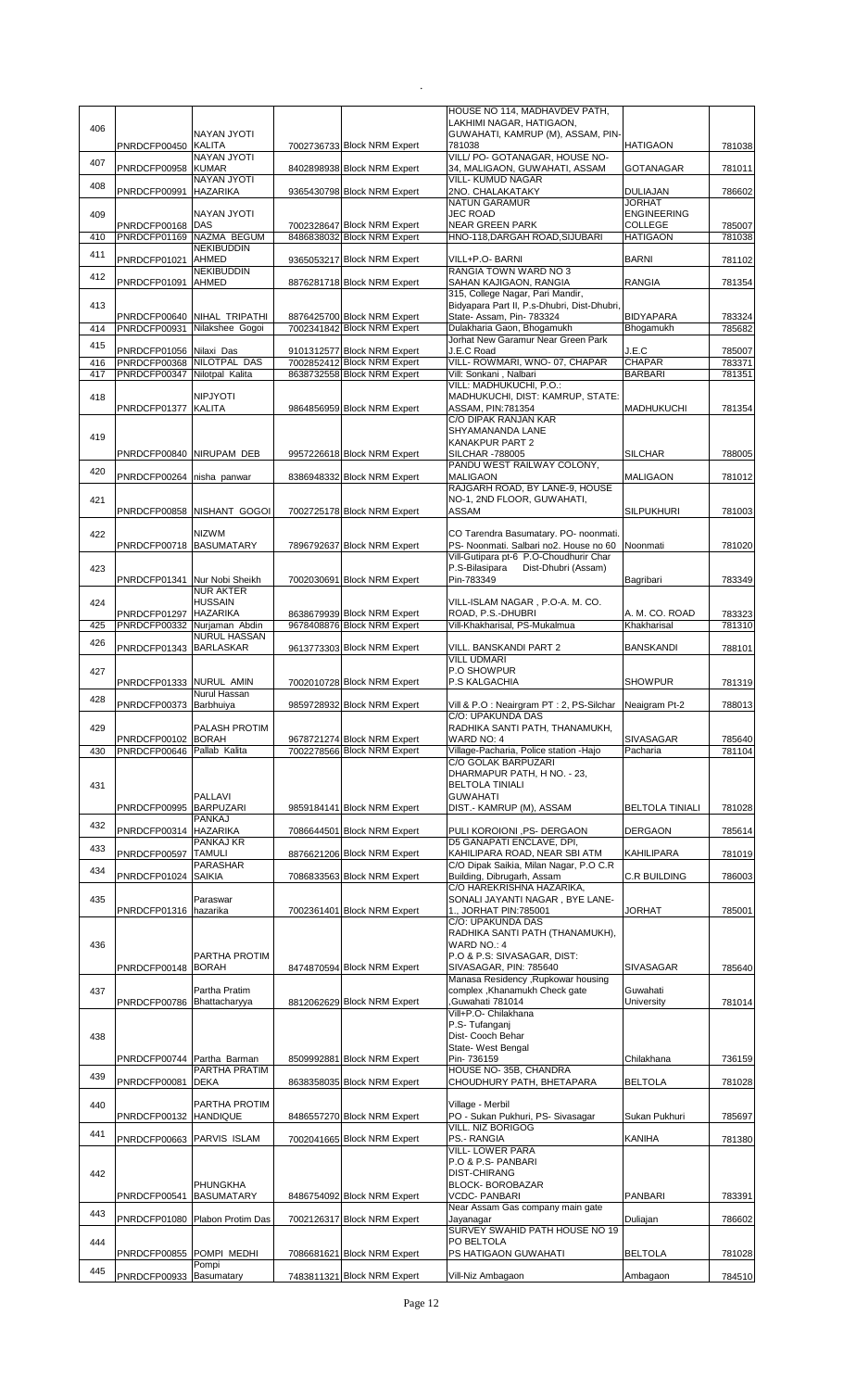|     |                                                      |                                                |                                                            | HOUSE NO 114, MADHAVDEV PATH,<br>LAKHIMI NAGAR, HATIGAON,                        |                                  |                  |
|-----|------------------------------------------------------|------------------------------------------------|------------------------------------------------------------|----------------------------------------------------------------------------------|----------------------------------|------------------|
| 406 |                                                      | NAYAN JYOTI                                    |                                                            | GUWAHATI, KAMRUP (M), ASSAM, PIN-                                                |                                  |                  |
| 407 | PNRDCFP00450 KALITA                                  | <b>NAYAN JYOTI</b>                             | 7002736733 Block NRM Expert                                | 781038<br>VILL/ PO- GOTANAGAR, HOUSE NO-                                         | <b>HATIGAON</b>                  | 781038           |
|     | PNRDCFP00958 KUMAR                                   | <b>NAYAN JYOTI</b>                             | 8402898938 Block NRM Expert                                | 34, MALIGAON, GUWAHATI, ASSAM<br><b>VILL- KUMUD NAGAR</b>                        | <b>GOTANAGAR</b>                 | 781011           |
| 408 | PNRDCFP00991                                         | <b>HAZARIKA</b>                                | 9365430798 Block NRM Expert                                | 2NO. CHALAKATAKY                                                                 | <b>DULIAJAN</b><br><b>JORHAT</b> | 786602           |
| 409 |                                                      | <b>NAYAN JYOTI</b>                             |                                                            | NATUN GARAMUR<br><b>JEC ROAD</b>                                                 | <b>ENGINEERING</b>               |                  |
| 410 | PNRDCFP00168 DAS                                     | PNRDCFP01169 NAZMA BEGUM                       | 7002328647 Block NRM Expert<br>8486838032 Block NRM Expert | <b>NEAR GREEN PARK</b><br>HNO-118, DARGAH ROAD, SIJUBARI                         | COLLEGE<br><b>HATIGAON</b>       | 785007<br>781038 |
| 411 |                                                      | <b>NEKIBUDDIN</b>                              |                                                            |                                                                                  |                                  |                  |
|     | PNRDCFP01021 AHMED                                   | <b>NEKIBUDDIN</b>                              | 9365053217 Block NRM Expert                                | VILL+P.O- BARNI<br>RANGIA TOWN WARD NO 3                                         | <b>BARNI</b>                     | 781102           |
| 412 | PNRDCFP01091                                         | <b>AHMED</b>                                   | 8876281718 Block NRM Expert                                | SAHAN KAJIGAON, RANGIA<br>315, College Nagar, Pari Mandir,                       | <b>RANGIA</b>                    | 781354           |
| 413 |                                                      |                                                |                                                            | Bidyapara Part II, P.s-Dhubri, Dist-Dhubri,                                      |                                  |                  |
| 414 | PNRDCFP00931                                         | PNRDCFP00640 NIHAL TRIPATHI<br>Nilakshee Gogoi | 8876425700 Block NRM Expert<br>7002341842 Block NRM Expert | State- Assam, Pin- 783324<br>Dulakharia Gaon, Bhogamukh                          | <b>BIDYAPARA</b><br>Bhogamukh    | 783324<br>785682 |
| 415 | PNRDCFP01056 Nilaxi Das                              |                                                | 9101312577 Block NRM Expert                                | Jorhat New Garamur Near Green Park<br>J.E.C Road                                 | J.E.C                            | 785007           |
| 416 | PNRDCFP00368 NILOTPAL DAS                            |                                                | 7002852412 Block NRM Expert                                | VILL- ROWMARI, WNO- 07, CHAPAR                                                   | <b>CHAPAR</b>                    | 783371           |
| 417 | PNRDCFP00347 Nilotpal Kalita                         |                                                | 8638732558 Block NRM Expert                                | Vill: Sonkani, Nalbari<br>VILL: MADHUKUCHI, P.O.:                                | <b>BARBARI</b>                   | 781351           |
| 418 | PNRDCFP01377 KALITA                                  | <b>NIPJYOTI</b>                                |                                                            | MADHUKUCHI, DIST: KAMRUP, STATE:<br>ASSAM, PIN:781354                            | <b>MADHUKUCHI</b>                |                  |
|     |                                                      |                                                | 9864856959 Block NRM Expert                                | C/O DIPAK RANJAN KAR                                                             |                                  | 781354           |
| 419 |                                                      |                                                |                                                            | SHYAMANANDA LANE<br>KANAKPUR PART 2                                              |                                  |                  |
|     | PNRDCFP00840 NIRUPAM DEB                             |                                                | 9957226618 Block NRM Expert                                | <b>SILCHAR -788005</b>                                                           | <b>SILCHAR</b>                   | 788005           |
| 420 | PNRDCFP00264 nisha panwar                            |                                                | 8386948332 Block NRM Expert                                | PANDU WEST RAILWAY COLONY,<br><b>MALIGAON</b>                                    | <b>MALIGAON</b>                  | 781012           |
| 421 |                                                      |                                                |                                                            | RAJGARH ROAD, BY LANE-9, HOUSE<br>NO-1, 2ND FLOOR, GUWAHATI,                     |                                  |                  |
|     |                                                      | PNRDCFP00858 NISHANT GOGOI                     | 7002725178 Block NRM Expert                                | ASSAM                                                                            | <b>SILPUKHURI</b>                | 781003           |
| 422 |                                                      | <b>NIZWM</b>                                   |                                                            | CO Tarendra Basumatary. PO- noonmati.                                            |                                  |                  |
|     | PNRDCFP00718 BASUMATARY                              |                                                | 7896792637 Block NRM Expert                                | PS- Noonmati. Salbari no2. House no 60<br>Vill-Gutipara pt-6 P.O-Choudhurir Char | Noonmati                         | 781020           |
| 423 |                                                      |                                                |                                                            | P.S-Bilasipara<br>Dist-Dhubri (Assam)                                            |                                  |                  |
|     | PNRDCFP01341 Nur Nobi Sheikh                         | <b>NUR AKTER</b>                               | 7002030691 Block NRM Expert                                | Pin-783349                                                                       | Bagribari                        | 783349           |
| 424 |                                                      | <b>HUSSAIN</b>                                 |                                                            | VILL-ISLAM NAGAR, P.O-A. M. CO.                                                  |                                  |                  |
| 425 | PNRDCFP01297 HAZARIKA<br>PNRDCFP00332 Nurjaman Abdin |                                                | 8638679939 Block NRM Expert<br>9678408876 Block NRM Expert | ROAD, P.S.-DHUBRI<br>Vill-Khakharisal, PS-Mukalmua                               | A. M. CO. ROAD<br>Khakharisal    | 783323<br>781310 |
| 426 | PNRDCFP01343 BARLASKAR                               | <b>NURUL HASSAN</b>                            | 9613773303 Block NRM Expert                                | VILL. BANSKANDI PART 2                                                           | <b>BANSKANDI</b>                 | 788101           |
|     |                                                      |                                                |                                                            | <b>VILL UDMARI</b>                                                               |                                  |                  |
| 427 | PNRDCFP01333 NURUL AMIN                              |                                                | 7002010728 Block NRM Expert                                | P.O SHOWPUR<br>P.S KALGACHIA                                                     | <b>SHOWPUR</b>                   | 781319           |
| 428 | PNRDCFP00373 Barbhuiya                               | Nurul Hassan                                   | 9859728932 Block NRM Expert                                | Vill & P.O: Neairgram PT: 2, PS-Silchar                                          | Neaigram Pt-2                    | 788013           |
|     |                                                      |                                                |                                                            | C/O: UPAKUNDA DAS                                                                |                                  |                  |
| 429 | PNRDCFP00102 BORAH                                   | PALASH PROTIM                                  | 9678721274 Block NRM Expert                                | RADHIKA SANTI PATH, THANAMUKH,<br>WARD NO: 4                                     | <b>SIVASAGAR</b>                 | 785640           |
| 430 | PNRDCFP00646 Pallab Kalita                           |                                                | 7002278566 Block NRM Expert                                | Village-Pacharia, Police station - Hajo<br>C/O GOLAK BARPUZARI                   | Pacharia                         | 781104           |
|     |                                                      |                                                |                                                            | DHARMAPUR PATH, H NO. - 23,                                                      |                                  |                  |
| 431 |                                                      | PALLAVI                                        |                                                            | <b>BELTOLA TINIALI</b><br><b>GUWAHATI</b>                                        |                                  |                  |
|     | PNRDCFP00995 BARPUZARI                               |                                                | 9859184141 Block NRM Expert                                | DIST.- KAMRUP (M), ASSAM                                                         | <b>BELTOLA TINIALI</b>           | 781028           |
| 432 | PNRDCFP00314 HAZARIKA                                | PANKAJ                                         | 7086644501 Block NRM Expert                                | PULI KOROIONI ,PS- DERGAON                                                       | <b>DERGAON</b>                   | 785614           |
| 433 | PNRDCFP00597                                         | PANKAJ KR<br><b>TAMULI</b>                     | 8876621206 Block NRM Expert                                | D5 GANAPATI ENCLAVE, DPI.<br>KAHILIPARA ROAD, NEAR SBI ATM                       | KAHILIPARA                       | 781019           |
| 434 |                                                      | PARASHAR                                       |                                                            | C/O Dipak Saikia, Milan Nagar, P.O C.R                                           |                                  |                  |
|     | PNRDCFP01024 SAIKIA                                  |                                                | 7086833563 Block NRM Expert                                | Building, Dibrugarh, Assam<br>C/O HAREKRISHNA HAZARIKA,                          | <b>C.R BUILDING</b>              | 786003           |
| 435 |                                                      | Paraswar                                       |                                                            | SONALI JAYANTI NAGAR, BYE LANE-                                                  |                                  | 785001           |
|     | PNRDCFP01316 hazarika                                |                                                | 7002361401 Block NRM Expert                                | 1., JORHAT PIN:785001<br>C/O: UPAKUNDA DAS                                       | JORHAT                           |                  |
| 436 |                                                      |                                                |                                                            | RADHIKA SANTI PATH (THANAMUKH),<br>WARD NO.: 4                                   |                                  |                  |
|     |                                                      | PARTHA PROTIM                                  |                                                            | P.O & P.S: SIVASAGAR, DIST:                                                      |                                  |                  |
|     | PNRDCFP00148 BORAH                                   |                                                | 8474870594 Block NRM Expert                                | SIVASAGAR, PIN: 785640<br>Manasa Residency , Rupkowar housing                    | SIVASAGAR                        | 785640           |
| 437 | PNRDCFP00786 Bhattacharyya                           | Partha Pratim                                  | 8812062629 Block NRM Expert                                | complex, Khanamukh Check gate<br>Guwahati 781014                                 | Guwahati<br>University           | 781014           |
|     |                                                      |                                                |                                                            | Vill+P.O- Chilakhana                                                             |                                  |                  |
| 438 |                                                      |                                                |                                                            | P.S- Tufanganj<br>Dist- Cooch Behar                                              |                                  |                  |
|     | PNRDCFP00744 Partha Barman                           |                                                | 8509992881 Block NRM Expert                                | State- West Bengal<br>Pin- 736159                                                | Chilakhana                       | 736159           |
| 439 |                                                      | PARTHA PRATIM                                  |                                                            | HOUSE NO-35B, CHANDRA                                                            |                                  |                  |
|     | PNRDCFP00081 DEKA                                    |                                                | 8638358035 Block NRM Expert                                | CHOUDHURY PATH, BHETAPARA                                                        | <b>BELTOLA</b>                   | 781028           |
| 440 | PNRDCFP00132 HANDIQUE                                | PARTHA PROTIM                                  | 8486557270 Block NRM Expert                                | Village - Merbil<br>PO - Sukan Pukhuri, PS- Sivasagar                            | Sukan Pukhuri                    |                  |
| 441 |                                                      |                                                |                                                            | VILL. NIZ BORIGOG                                                                |                                  | 785697           |
|     | PNRDCFP00663 PARVIS ISLAM                            |                                                | 7002041665 Block NRM Expert                                | PS.- RANGIA<br><b>VILL-LOWER PARA</b>                                            | KANIHA                           | 781380           |
|     |                                                      |                                                |                                                            | P.O & P.S- PANBARI                                                               |                                  |                  |
| 442 |                                                      | PHUNGKHA                                       |                                                            | <b>DIST-CHIRANG</b><br><b>BLOCK-BOROBAZAR</b>                                    |                                  |                  |
|     | PNRDCFP00541 BASUMATARY                              |                                                | 8486754092 Block NRM Expert                                | <b>VCDC- PANBARI</b><br>Near Assam Gas company main gate                         | PANBARI                          | 783391           |
| 443 |                                                      | PNRDCFP01080 Plabon Protim Das                 | 7002126317 Block NRM Expert                                | Jayanagar                                                                        | Duliajan                         | 786602           |
| 444 |                                                      |                                                |                                                            | SURVEY SWAHID PATH HOUSE NO 19<br>PO BELTOLA                                     |                                  |                  |
|     | PNRDCFP00855 POMPI MEDHI                             | Pompi                                          | 7086681621 Block NRM Expert                                | PS HATIGAON GUWAHATI                                                             | <b>BELTOLA</b>                   | 781028           |
| 445 | PNRDCFP00933 Basumatary                              |                                                | 7483811321 Block NRM Expert                                | Vill-Niz Ambagaon                                                                | Ambagaon                         | 784510           |
|     |                                                      |                                                |                                                            |                                                                                  |                                  |                  |

 $\mathcal{L}^{\text{max}}_{\text{max}}$  . The set of  $\mathcal{L}^{\text{max}}_{\text{max}}$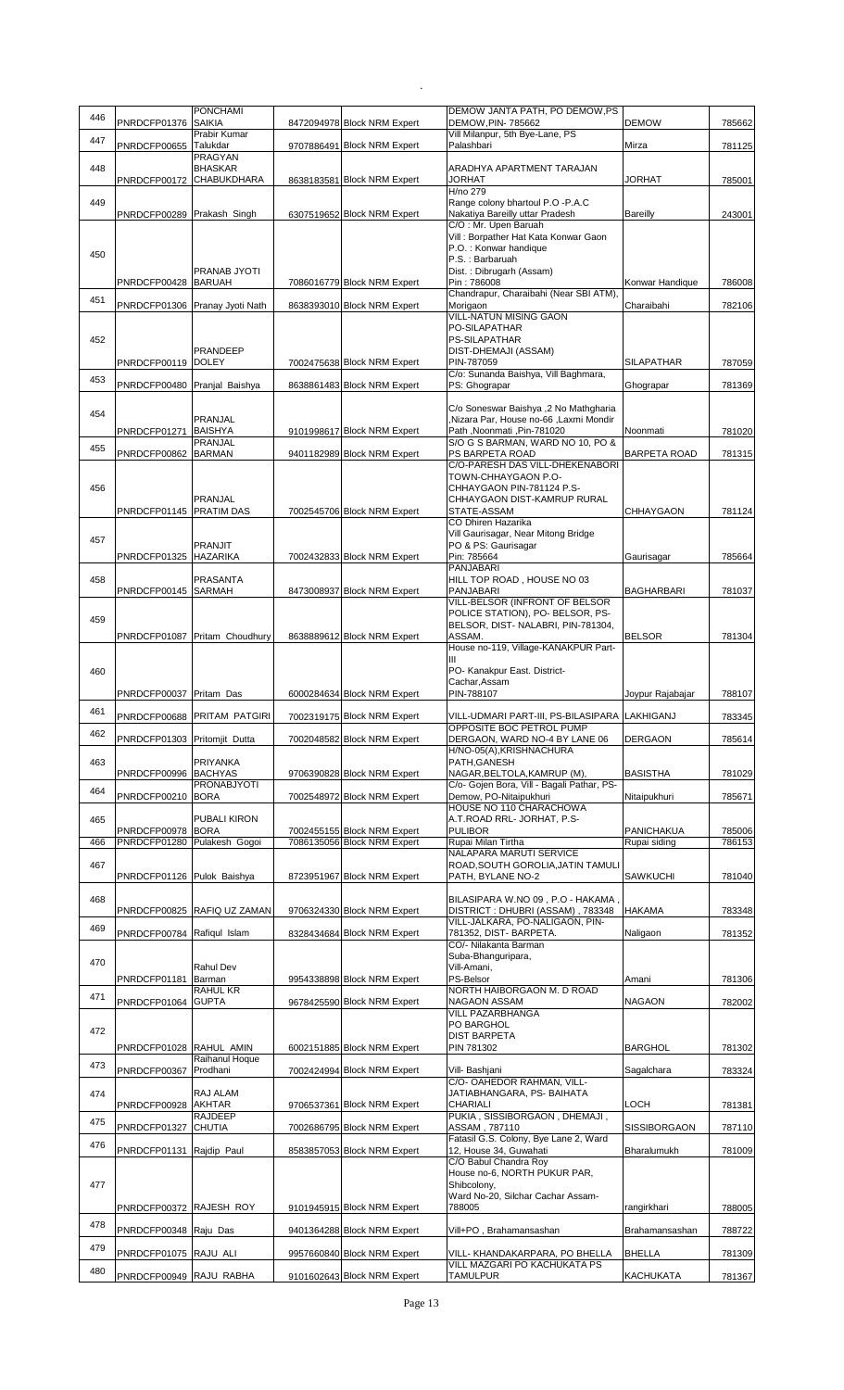| 446 | PNRDCFP01376 SAIKIA          | <b>PONCHAMI</b>                      | 8472094978 Block NRM Expert                                | DEMOW JANTA PATH, PO DEMOW, PS<br>DEMOW, PIN- 785662                      | <b>DEMOW</b>                      | 785662           |
|-----|------------------------------|--------------------------------------|------------------------------------------------------------|---------------------------------------------------------------------------|-----------------------------------|------------------|
| 447 |                              | Prabir Kumar<br>Talukdar             |                                                            | Vill Milanpur, 5th Bye-Lane, PS<br>Palashbari                             | Mirza                             |                  |
|     | PNRDCFP00655                 | <b>PRAGYAN</b>                       | 9707886491 Block NRM Expert                                |                                                                           |                                   | 781125           |
| 448 | PNRDCFP00172 CHABUKDHARA     | <b>BHASKAR</b>                       | 8638183581 Block NRM Expert                                | ARADHYA APARTMENT TARAJAN<br>JORHAT                                       | JORHAT                            | 785001           |
| 449 |                              |                                      |                                                            | H/no 279<br>Range colony bhartoul P.O -P.A.C                              |                                   |                  |
|     | PNRDCFP00289 Prakash Singh   |                                      | 6307519652 Block NRM Expert                                | Nakatiya Bareilly uttar Pradesh                                           | <b>Bareilly</b>                   | 243001           |
|     |                              |                                      |                                                            | C/O: Mr. Upen Baruah<br>Vill: Borpather Hat Kata Konwar Gaon              |                                   |                  |
| 450 |                              |                                      |                                                            | P.O.: Konwar handique<br>P.S.: Barbaruah                                  |                                   |                  |
|     |                              | PRANAB JYOTI<br><b>BARUAH</b>        |                                                            | Dist.: Dibrugarh (Assam)<br>Pin: 786008                                   |                                   | 786008           |
| 451 | PNRDCFP00428                 |                                      | 7086016779 Block NRM Expert                                | Chandrapur, Charaibahi (Near SBI ATM).                                    | Konwar Handique                   |                  |
|     | PNRDCFP01306                 | Pranay Jyoti Nath                    | 8638393010 Block NRM Expert                                | Morigaon<br><b>VILL-NATUN MISING GAON</b>                                 | Charaibahi                        | 782106           |
|     |                              |                                      |                                                            | PO-SILAPATHAR                                                             |                                   |                  |
| 452 |                              | PRANDEEP                             |                                                            | PS-SILAPATHAR<br>DIST-DHEMAJI (ASSAM)                                     |                                   |                  |
|     | PNRDCFP00119 DOLEY           |                                      | 7002475638 Block NRM Expert                                | PIN-787059<br>C/o: Sunanda Baishya, Vill Baghmara,                        | <b>SILAPATHAR</b>                 | 787059           |
| 453 | PNRDCFP00480 Pranjal Baishya |                                      | 8638861483 Block NRM Expert                                | PS: Ghograpar                                                             | Ghograpar                         | 781369           |
| 454 |                              |                                      |                                                            | C/o Soneswar Baishya ,2 No Mathgharia                                     |                                   |                  |
|     | PNRDCFP01271                 | PRANJAL<br><b>BAISHYA</b>            | 9101998617 Block NRM Expert                                | ,Nizara Par, House no-66, Laxmi Mondir<br>Path, Noonmati, Pin-781020      | Noonmati                          | 781020           |
| 455 |                              | <b>PRANJAL</b>                       |                                                            | S/O G S BARMAN, WARD NO 10, PO &                                          |                                   |                  |
|     | PNRDCFP00862 BARMAN          |                                      | 9401182989 Block NRM Expert                                | PS BARPETA ROAD<br>C/O-PARESH DAS VILL-DHEKENABORI                        | <b>BARPETA ROAD</b>               | 781315           |
| 456 |                              |                                      |                                                            | TOWN-CHHAYGAON P.O-<br>CHHAYGAON PIN-781124 P.S-                          |                                   |                  |
|     |                              | <b>PRANJAL</b>                       |                                                            | CHHAYGAON DIST-KAMRUP RURAL                                               |                                   |                  |
|     | PNRDCFP01145 PRATIM DAS      |                                      | 7002545706 Block NRM Expert                                | STATE-ASSAM<br>CO Dhiren Hazarika                                         | <b>CHHAYGAON</b>                  | 781124           |
| 457 |                              | <b>PRANJIT</b>                       |                                                            | Vill Gaurisagar, Near Mitong Bridge<br>PO & PS: Gaurisagar                |                                   |                  |
|     | PNRDCFP01325 HAZARIKA        |                                      | 7002432833 Block NRM Expert                                | Pin: 785664                                                               | Gaurisagar                        | 785664           |
| 458 |                              | PRASANTA                             |                                                            | PANJABARI<br>HILL TOP ROAD, HOUSE NO 03                                   |                                   |                  |
|     | PNRDCFP00145 SARMAH          |                                      | 8473008937 Block NRM Expert                                | PANJABARI<br>VILL-BELSOR (INFRONT OF BELSOR                               | <b>BAGHARBARI</b>                 | 781037           |
| 459 |                              |                                      |                                                            | POLICE STATION), PO- BELSOR, PS-                                          |                                   |                  |
|     |                              | PNRDCFP01087 Pritam Choudhury        | 8638889612 Block NRM Expert                                | BELSOR, DIST-NALABRI, PIN-781304,<br>ASSAM.                               | <b>BELSOR</b>                     | 781304           |
|     |                              |                                      |                                                            | House no-119, Village-KANAKPUR Part-                                      |                                   |                  |
| 460 |                              |                                      |                                                            | Ш<br>PO- Kanakpur East. District-                                         |                                   |                  |
|     | PNRDCFP00037 Pritam Das      |                                      | 6000284634 Block NRM Expert                                | Cachar, Assam<br>PIN-788107                                               | Joypur Rajabajar                  | 788107           |
| 461 |                              |                                      |                                                            |                                                                           |                                   |                  |
| 462 |                              | PNRDCFP00688 PRITAM PATGIRI          | 7002319175 Block NRM Expert                                | VILL-UDMARI PART-III, PS-BILASIPARA LAKHIGANJ<br>OPPOSITE BOC PETROL PUMP |                                   | 783345           |
|     | PNRDCFP01303 Pritomjit Dutta |                                      | 7002048582 Block NRM Expert                                | DERGAON, WARD NO-4 BY LANE 06<br>H/NO-05(A), KRISHNACHURA                 | <b>DERGAON</b>                    | 785614           |
| 463 |                              | PRIYANKA                             |                                                            | PATH, GANESH                                                              |                                   |                  |
| 464 | PNRDCFP00996                 | <b>BACHYAS</b><br><b>PRONABJYOTI</b> | 9706390828 Block NRM Expert                                | NAGAR, BELTOLA, KAMRUP (M),<br>C/o- Gojen Bora, Vill - Bagali Pathar, PS- | <b>BASISTHA</b>                   | 781029           |
|     | PNRDCFP00210 BORA            |                                      | 7002548972 Block NRM Expert                                | Demow, PO-Nitaipukhuri<br>HOUSE NO 110 CHARACHOWA                         | Nitaipukhuri                      | 785671           |
| 465 |                              | PUBALI KIRON<br><b>BORA</b>          |                                                            | A.T.ROAD RRL- JORHAT, P.S-<br><b>PULIBOR</b>                              |                                   |                  |
| 466 | PNRDCFP00978<br>PNRDCFP01280 | Pulakesh Gogoi                       | 7002455155 Block NRM Expert<br>7086135056 Block NRM Expert | Rupai Milan Tirtha                                                        | <b>PANICHAKUA</b><br>Rupai siding | 785006<br>786153 |
| 467 |                              |                                      |                                                            | <b>NALAPARA MARUTI SERVICE</b><br>ROAD, SOUTH GOROLIA, JATIN TAMULI       |                                   |                  |
|     | PNRDCFP01126 Pulok Baishya   |                                      | 8723951967 Block NRM Expert                                | PATH, BYLANE NO-2                                                         | <b>SAWKUCHI</b>                   | 781040           |
| 468 |                              |                                      |                                                            | BILASIPARA W.NO 09, P.O - HAKAMA,                                         |                                   |                  |
|     |                              | PNRDCFP00825 RAFIQ UZ ZAMAN          | 9706324330 Block NRM Expert                                | DISTRICT: DHUBRI (ASSAM), 783348<br>VILL-JALKARA, PO-NALIGAON, PIN-       | <b>HAKAMA</b>                     | 783348           |
| 469 | PNRDCFP00784 Rafiqul Islam   |                                      | 8328434684 Block NRM Expert                                | 781352, DIST-BARPETA.<br>CO/- Nilakanta Barman                            | Naligaon                          | 781352           |
| 470 |                              |                                      |                                                            | Suba-Bhanguripara,                                                        |                                   |                  |
|     | PNRDCFP01181                 | Rahul Dev<br>Barman                  | 9954338898 Block NRM Expert                                | Vill-Amani,<br>PS-Belsor                                                  | Amani                             | 781306           |
| 471 | PNRDCFP01064                 | RAHUL KR<br><b>GUPTA</b>             | 9678425590 Block NRM Expert                                | NORTH HAIBORGAON M. D ROAD<br>NAGAON ASSAM                                | <b>NAGAON</b>                     | 782002           |
|     |                              |                                      |                                                            | <b>VILL PAZARBHANGA</b>                                                   |                                   |                  |
| 472 |                              |                                      |                                                            | PO BARGHOL<br><b>DIST BARPETA</b>                                         |                                   |                  |
|     | PNRDCFP01028 RAHUL AMIN      | Raihanul Hoque                       | 6002151885 Block NRM Expert                                | PIN 781302                                                                | <b>BARGHOL</b>                    | 781302           |
| 473 | PNRDCFP00367                 | Prodhani                             | 7002424994 Block NRM Expert                                | Vill- Bashjani                                                            | Sagalchara                        | 783324           |
| 474 |                              | RAJ ALAM                             |                                                            | C/O- OAHEDOR RAHMAN, VILL-<br>JATIABHANGARA, PS- BAIHATA                  |                                   |                  |
|     | PNRDCFP00928                 | AKHTAR<br>RAJDEEP                    | 9706537361 Block NRM Expert                                | CHARIALI<br>PUKIA, SISSIBORGAON, DHEMAJI,                                 | LOCH                              | 781381           |
| 475 | PNRDCFP01327                 | <b>CHUTIA</b>                        | 7002686795 Block NRM Expert                                | ASSAM, 787110                                                             | <b>SISSIBORGAON</b>               | 787110           |
| 476 | PNRDCFP01131 Rajdip Paul     |                                      | 8583857053 Block NRM Expert                                | Fatasil G.S. Colony, Bye Lane 2, Ward<br>12, House 34, Guwahati           | Bharalumukh                       | 781009           |
|     |                              |                                      |                                                            | C/O Babul Chandra Roy<br>House no-6, NORTH PUKUR PAR,                     |                                   |                  |
| 477 |                              |                                      |                                                            | Shibcolony,                                                               |                                   |                  |
|     | PNRDCFP00372 RAJESH ROY      |                                      | 9101945915 Block NRM Expert                                | Ward No-20, Silchar Cachar Assam-<br>788005                               | rangirkhari                       | 788005           |
| 478 | PNRDCFP00348 Raju Das        |                                      | 9401364288 Block NRM Expert                                | Vill+PO, Brahamansashan                                                   | Brahamansashan                    | 788722           |
| 479 |                              |                                      |                                                            |                                                                           |                                   |                  |
|     | PNRDCFP01075 RAJU ALI        |                                      | 9957660840 Block NRM Expert                                | VILL- KHANDAKARPARA, PO BHELLA<br>VILL MAZGARI PO KACHUKATA PS            | <b>BHELLA</b>                     | 781309           |
| 480 | PNRDCFP00949 RAJU RABHA      |                                      | 9101602643 Block NRM Expert                                | <b>TAMULPUR</b>                                                           | <b>KACHUKATA</b>                  | 781367           |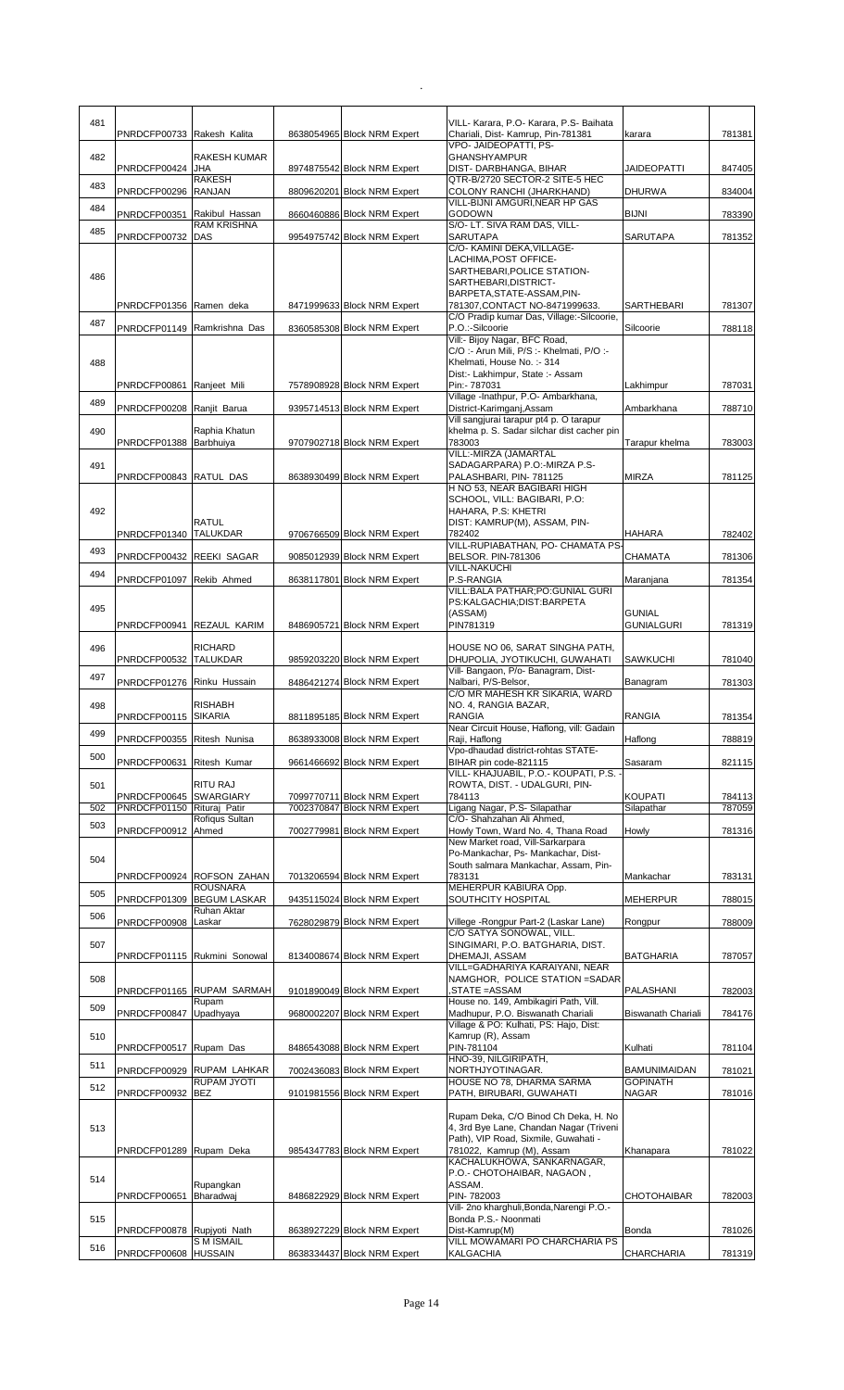| 481 | PNRDCFP00733 Rakesh Kalita   |                                    | 8638054965 Block NRM Expert                                | VILL- Karara, P.O- Karara, P.S- Baihata<br>Chariali, Dist- Kamrup, Pin-781381         | karara                          | 781381           |
|-----|------------------------------|------------------------------------|------------------------------------------------------------|---------------------------------------------------------------------------------------|---------------------------------|------------------|
|     |                              | <b>RAKESH KUMAR</b>                |                                                            | VPO- JAIDEOPATTI, PS-<br><b>GHANSHYAMPUR</b>                                          |                                 |                  |
| 482 | PNRDCFP00424                 | JHA                                | 8974875542 Block NRM Expert                                | DIST- DARBHANGA, BIHAR                                                                | <b>JAIDEOPATTI</b>              | 847405           |
| 483 | PNRDCFP00296                 | <b>RAKESH</b><br><b>RANJAN</b>     | 8809620201 Block NRM Expert                                | QTR-B/2720 SECTOR-2 SITE-5 HEC<br>COLONY RANCHI (JHARKHAND)                           | <b>DHURWA</b>                   | 834004           |
| 484 | PNRDCFP00351                 | Rakibul Hassan                     | 8660460886 Block NRM Expert                                | VILL-BIJNI AMGURI, NEAR HP GAS<br><b>GODOWN</b>                                       | <b>BIJNI</b>                    | 783390           |
| 485 |                              | <b>RAM KRISHNA</b>                 |                                                            | S/O- LT. SIVA RAM DAS, VILL-                                                          |                                 |                  |
|     | PNRDCFP00732                 | <b>DAS</b>                         | 9954975742 Block NRM Expert                                | SARUTAPA<br>C/O- KAMINI DEKA, VILLAGE-                                                | <b>SARUTAPA</b>                 | 781352           |
|     |                              |                                    |                                                            | LACHIMA, POST OFFICE-<br>SARTHEBARI, POLICE STATION-                                  |                                 |                  |
| 486 |                              |                                    |                                                            | SARTHEBARI.DISTRICT-<br>BARPETA, STATE-ASSAM, PIN-                                    |                                 |                  |
|     | PNRDCFP01356 Ramen deka      |                                    | 8471999633 Block NRM Expert                                | 781307, CONTACT NO-8471999633.                                                        | SARTHEBARI                      | 781307           |
| 487 | PNRDCFP01149                 | Ramkrishna Das                     | 8360585308 Block NRM Expert                                | C/O Pradip kumar Das, Village:-Silcoorie,<br>P.O.:-Silcoorie                          | Silcoorie                       | 788118           |
|     |                              |                                    |                                                            | Vill:- Bijoy Nagar, BFC Road,<br>C/O: - Arun Mili, P/S: - Khelmati, P/O: -            |                                 |                  |
| 488 |                              |                                    |                                                            | Khelmati, House No. :- 314<br>Dist:- Lakhimpur, State :- Assam                        |                                 |                  |
|     | PNRDCFP00861                 | Ranjeet Mili                       | 7578908928 Block NRM Expert                                | Pin:- 787031                                                                          | Lakhimpur                       | 787031           |
| 489 | PNRDCFP00208 Ranjit Barua    |                                    | 9395714513 Block NRM Expert                                | Village -Inathpur, P.O- Ambarkhana,<br>District-Karimganj, Assam                      | Ambarkhana                      | 788710           |
| 490 |                              | Raphia Khatun                      |                                                            | Vill sangjurai tarapur pt4 p. O tarapur<br>khelma p. S. Sadar silchar dist cacher pin |                                 |                  |
|     | PNRDCFP01388 Barbhuiya       |                                    | 9707902718 Block NRM Expert                                | 783003<br>VILL:-MIRZA (JAMARTAL                                                       | Tarapur khelma                  | 783003           |
| 491 |                              |                                    |                                                            | SADAGARPARA) P.O:-MIRZA P.S-                                                          |                                 |                  |
|     | PNRDCFP00843 RATUL DAS       |                                    | 8638930499 Block NRM Expert                                | PALASHBARI, PIN-781125<br>H NO 53, NEAR BAGIBARI HIGH                                 | <b>MIRZA</b>                    | 781125           |
| 492 |                              |                                    |                                                            | SCHOOL, VILL: BAGIBARI, P.O:<br>HAHARA, P.S: KHETRI                                   |                                 |                  |
|     |                              | <b>RATUL</b>                       |                                                            | DIST: KAMRUP(M), ASSAM, PIN-                                                          |                                 |                  |
| 493 | PNRDCFP01340 TALUKDAR        |                                    | 9706766509 Block NRM Expert                                | 782402<br>VILL-RUPIABATHAN, PO- CHAMATA PS                                            | <b>HAHARA</b>                   | 782402           |
|     | PNRDCFP00432 REEKI SAGAR     |                                    | 9085012939 Block NRM Expert                                | <b>BELSOR. PIN-781306</b><br><b>VILL-NAKUCHI</b>                                      | <b>CHAMATA</b>                  | 781306           |
| 494 | PNRDCFP01097                 | Rekib Ahmed                        | 8638117801 Block NRM Expert                                | P.S-RANGIA<br>VILL: BALA PATHAR; PO: GUNIAL GURI                                      | Maranjana                       | 781354           |
| 495 |                              |                                    |                                                            | PS:KALGACHIA;DIST:BARPETA                                                             | <b>GUNIAL</b>                   |                  |
|     | PNRDCFP00941                 | REZAUL KARIM                       | 8486905721 Block NRM Expert                                | (ASSAM)<br>PIN781319                                                                  | <b>GUNIALGURI</b>               | 781319           |
| 496 |                              | <b>RICHARD</b>                     |                                                            | HOUSE NO 06, SARAT SINGHA PATH,                                                       |                                 |                  |
|     | PNRDCFP00532 TALUKDAR        |                                    | 9859203220 Block NRM Expert                                | DHUPOLIA, JYOTIKUCHI, GUWAHATI<br>Vill- Bangaon, P/o- Banagram, Dist-                 | <b>SAWKUCHI</b>                 | 781040           |
| 497 | PNRDCFP01276 Rinku Hussain   |                                    | 8486421274 Block NRM Expert                                | Nalbari, P/S-Belsor,<br>C/O MR MAHESH KR SIKARIA, WARD                                | Banagram                        | 781303           |
| 498 |                              | <b>RISHABH</b>                     |                                                            | NO. 4, RANGIA BAZAR,                                                                  |                                 |                  |
| 499 | PNRDCFP00115 SIKARIA         |                                    | 8811895185 Block NRM Expert                                | RANGIA<br>Near Circuit House, Haflong, vill: Gadain                                   | <b>RANGIA</b>                   | 781354           |
|     | PNRDCFP00355 Ritesh Nunisa   |                                    | 8638933008 Block NRM Expert                                | Raii. Haflong<br>Vpo-dhaudad district-rohtas STATE-                                   | Haflong                         | 788819           |
| 500 | PNRDCFP00631                 | Ritesh Kumar                       | 9661466692 Block NRM Expert                                | BIHAR pin code-821115<br>VILL- KHAJUABIL, P.O.- KOUPATI, P.S. -                       | Sasaram                         | 821115           |
| 501 |                              | RITU RAJ                           |                                                            | ROWTA, DIST. - UDALGURI, PIN-<br>784113                                               |                                 |                  |
| 502 | PNRDCFP00645<br>PNRDCFP01150 | <b>SWARGIARY</b><br>Rituraj Patir  | 7099770711 Block NRM Expert<br>7002370847 Block NRM Expert | Ligang Nagar, P.S- Silapathar                                                         | <b>KOUPATI</b><br>Silapathar    | 784113<br>787059 |
| 503 | PNRDCFP00912                 | Rofiqus Sultan<br>Ahmed            | 7002779981 Block NRM Expert                                | C/O- Shahzahan Ali Ahmed,<br>Howly Town, Ward No. 4, Thana Road                       | Howly                           | 781316           |
|     |                              |                                    |                                                            | New Market road, Vill-Sarkarpara<br>Po-Mankachar, Ps- Mankachar, Dist-                |                                 |                  |
| 504 |                              | <b>ROFSON ZAHAN</b>                | 7013206594 Block NRM Expert                                | South salmara Mankachar, Assam, Pin-<br>783131                                        |                                 |                  |
| 505 | PNRDCFP00924                 | <b>ROUSNARA</b>                    |                                                            | MEHERPUR KABIURA Opp.                                                                 | Mankachar                       | 783131           |
|     | PNRDCFP01309                 | <b>BEGUM LASKAR</b><br>Ruhan Aktar | 9435115024 Block NRM Expert                                | SOUTHCITY HOSPITAL                                                                    | <b>MEHERPUR</b>                 | 788015           |
| 506 | PNRDCFP00908                 | Laskar                             | 7628029879 Block NRM Expert                                | Villege -Rongpur Part-2 (Laskar Lane)<br>C/O SATYA SONOWAL, VILL.                     | Rongpur                         | 788009           |
| 507 |                              | PNRDCFP01115 Rukmini Sonowal       | 8134008674 Block NRM Expert                                | SINGIMARI, P.O. BATGHARIA, DIST.<br>DHEMAJI, ASSAM                                    | <b>BATGHARIA</b>                | 787057           |
|     |                              |                                    |                                                            | VILL=GADHARIYA KARAIYANI, NEAR                                                        |                                 |                  |
| 508 |                              | PNRDCFP01165 RUPAM SARMAH          | 9101890049 Block NRM Expert                                | NAMGHOR, POLICE STATION = SADAR<br>STATE =ASSAM                                       | PALASHANI                       | 782003           |
| 509 | PNRDCFP00847                 | Rupam<br>Upadhyaya                 | 9680002207 Block NRM Expert                                | House no. 149, Ambikagiri Path, Vill.<br>Madhupur, P.O. Biswanath Chariali            | Biswanath Chariali              | 784176           |
| 510 |                              |                                    |                                                            | Village & PO: Kulhati, PS: Hajo, Dist:<br>Kamrup (R), Assam                           |                                 |                  |
|     | PNRDCFP00517                 | Rupam Das                          | 8486543088 Block NRM Expert                                | PIN-781104                                                                            | Kulhati                         | 781104           |
| 511 |                              | PNRDCFP00929 RUPAM LAHKAR          | 7002436083 Block NRM Expert                                | HNO-39, NILGIRIPATH,<br>NORTHJYOTINAGAR.                                              | <b>BAMUNIMAIDAN</b>             | 781021           |
| 512 | PNRDCFP00932                 | RUPAM JYOTI<br><b>BEZ</b>          | 9101981556 Block NRM Expert                                | HOUSE NO 78, DHARMA SARMA<br>PATH, BIRUBARI, GUWAHATI                                 | <b>GOPINATH</b><br><b>NAGAR</b> | 781016           |
|     |                              |                                    |                                                            | Rupam Deka, C/O Binod Ch Deka, H. No                                                  |                                 |                  |
| 513 |                              |                                    |                                                            | 4, 3rd Bye Lane, Chandan Nagar (Triveni                                               |                                 |                  |
|     | PNRDCFP01289 Rupam Deka      |                                    | 9854347783 Block NRM Expert                                | Path), VIP Road, Sixmile, Guwahati -<br>781022, Kamrup (M), Assam                     | Khanapara                       | 781022           |
|     |                              |                                    |                                                            | KACHALUKHOWA, SANKARNAGAR,<br>P.O.- CHOTOHAIBAR, NAGAON,                              |                                 |                  |
| 514 | PNRDCFP00651                 | Rupangkan<br>Bharadwaj             | 8486822929 Block NRM Expert                                | ASSAM.<br>PIN-782003                                                                  | CHOTOHAIBAR                     | 782003           |
|     |                              |                                    |                                                            | Vill- 2no kharghuli, Bonda, Narengi P.O.-                                             |                                 |                  |
| 515 | PNRDCFP00878 Rupjyoti Nath   |                                    | 8638927229 Block NRM Expert                                | Bonda P.S.- Noonmati<br>Dist-Kamrup(M)                                                | Bonda                           | 781026           |
| 516 | PNRDCFP00608 HUSSAIN         | <b>SMISMAIL</b>                    | 8638334437 Block NRM Expert                                | VILL MOWAMARI PO CHARCHARIA PS<br>KALGACHIA                                           | CHARCHARIA                      | 781319           |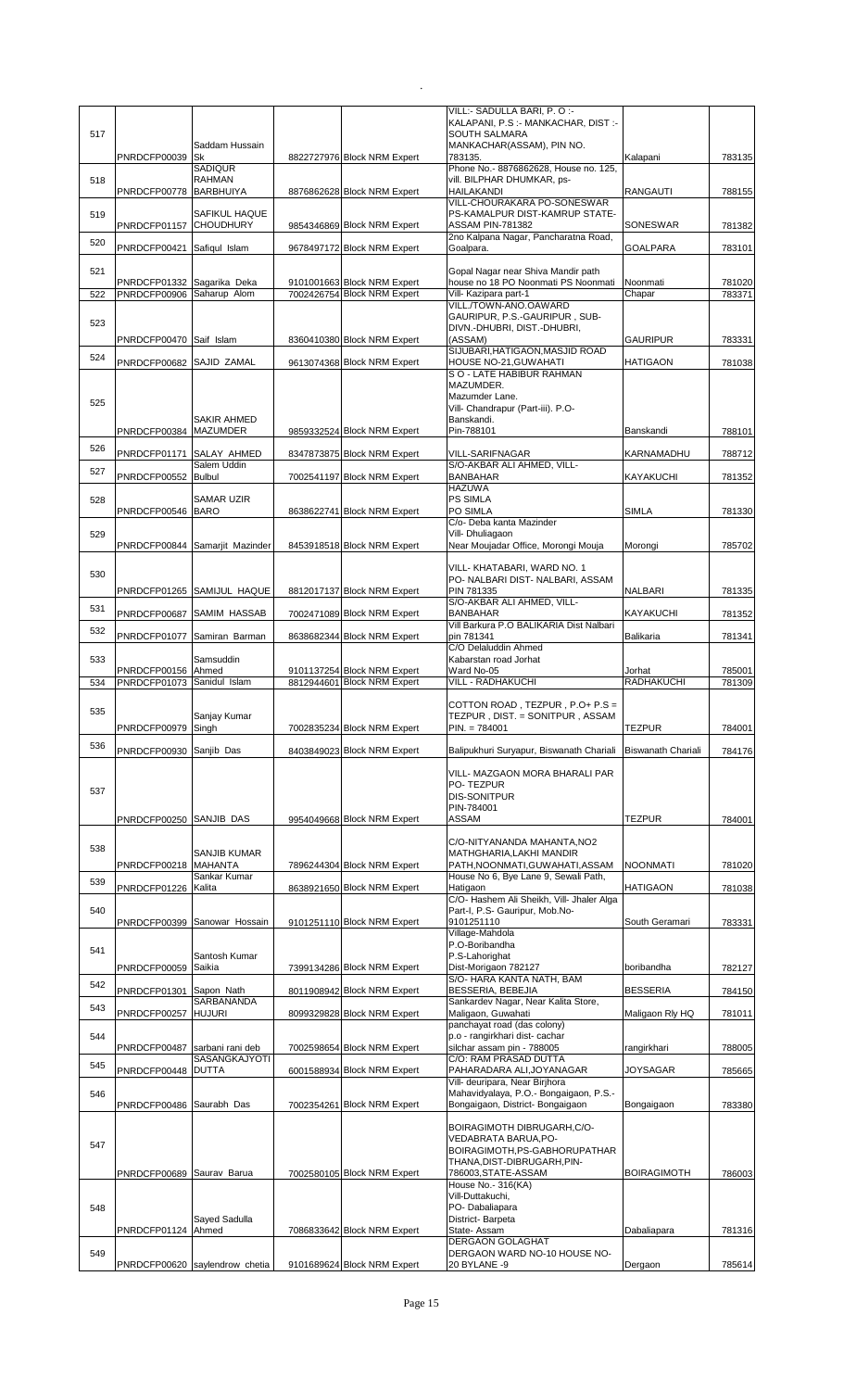| <b>SOUTH SALMARA</b><br>517<br>MANKACHAR(ASSAM), PIN NO.<br>Saddam Hussain<br>PNRDCFP00039 Sk<br>8822727976 Block NRM Expert<br>783135.<br>Kalapani<br><b>SADIQUR</b><br>Phone No.- 8876862628, House no. 125,<br><b>RAHMAN</b><br>vill. BILPHAR DHUMKAR, ps-<br>518<br>PNRDCFP00778 BARBHUIYA<br>8876862628 Block NRM Expert<br>HAILAKANDI<br><b>RANGAUTI</b><br>VILL-CHOURAKARA PO-SONESWAR<br>PS-KAMALPUR DIST-KAMRUP STATE-<br>519<br>SAFIKUL HAQUE<br>PNRDCFP01157 CHOUDHURY<br>9854346869 Block NRM Expert<br><b>ASSAM PIN-781382</b><br>SONESWAR<br>2no Kalpana Nagar, Pancharatna Road,<br>520<br>PNRDCFP00421 Safiqul Islam<br>9678497172 Block NRM Expert<br>Goalpara.<br><b>GOALPARA</b><br>Gopal Nagar near Shiva Mandir path<br>521<br>PNRDCFP01332 Sagarika Deka<br>9101001663 Block NRM Expert<br>house no 18 PO Noonmati PS Noonmati<br>Noonmati<br>PNRDCFP00906 Saharup Alom<br>7002426754 Block NRM Expert<br>Vill- Kazipara part-1<br>522<br>Chapar<br>VILL./TOWN-ANO.OAWARD<br>GAURIPUR, P.S.-GAURIPUR, SUB-<br>523<br>DIVN.-DHUBRI, DIST.-DHUBRI,<br>(ASSAM)<br>PNRDCFP00470 Saif Islam<br>8360410380 Block NRM Expert<br><b>GAURIPUR</b><br>SIJUBARI, HATIGAON, MASJID ROAD<br>524<br>PNRDCFP00682 SAJID ZAMAL<br>9613074368 Block NRM Expert<br>HOUSE NO-21, GUWAHATI<br><b>HATIGAON</b><br>S O - LATE HABIBUR RAHMAN<br>MAZUMDER.<br>Mazumder Lane.<br>525<br>Vill- Chandrapur (Part-iii). P.O-<br><b>SAKIR AHMED</b><br>Banskandi.<br>PNRDCFP00384 MAZUMDER<br>9859332524 Block NRM Expert<br>Pin-788101<br>Banskandi<br>526<br>PNRDCFP01171 SALAY AHMED<br>8347873875 Block NRM Expert<br>KARNAMADHU<br>VILL-SARIFNAGAR<br>S/O-AKBAR ALI AHMED, VILL-<br>Salem Uddin<br>527<br>7002541197 Block NRM Expert<br><b>KAYAKUCHI</b><br>PNRDCFP00552 Bulbul<br>BANBAHAR<br><b>HAZUWA</b><br><b>PS SIMLA</b><br><b>SAMAR UZIR</b><br>528<br>PNRDCFP00546 BARO<br>8638622741 Block NRM Expert<br>PO SIMLA<br><b>SIMLA</b><br>C/o- Deba kanta Mazinder<br>529<br>Vill- Dhuliagaon<br>PNRDCFP00844 Samarjit Mazinder<br>8453918518 Block NRM Expert<br>Near Moujadar Office, Morongi Mouja<br>Morongi<br>VILL- KHATABARI, WARD NO. 1<br>530<br>PO- NALBARI DIST- NALBARI, ASSAM<br>PIN 781335<br>PNRDCFP01265 SAMIJUL HAQUE<br>8812017137 Block NRM Expert<br>NALBARI<br>S/O-AKBAR ALI AHMED, VILL-<br>531<br>PNRDCFP00687 SAMIM HASSAB<br>7002471089 Block NRM Expert<br><b>BANBAHAR</b><br><b>KAYAKUCHI</b><br>Vill Barkura P.O BALIKARIA Dist Nalbari<br>532<br>PNRDCFP01077 Samiran Barman<br>8638682344 Block NRM Expert<br>pin 781341<br>Balikaria<br>C/O Delaluddin Ahmed<br>Samsuddin<br>Kabarstan road Jorhat<br>533<br>PNRDCFP00156 Ahmed<br>9101137254 Block NRM Expert<br>Ward No-05<br>Jorhat<br>8812944601 Block NRM Expert<br><b>RADHAKUCHI</b><br>PNRDCFP01073 Sanidul Islam<br>VILL - RADHAKUCHI<br>534<br>COTTON ROAD, TEZPUR, P.O+ P.S =<br>535<br>TEZPUR, DIST. = SONITPUR, ASSAM<br>Sanjay Kumar<br><b>TEZPUR</b><br>PNRDCFP00979 Singh<br>7002835234 Block NRM Expert<br>$PIN. = 784001$<br>536<br>8403849023 Block NRM Expert<br>Balipukhuri Suryapur, Biswanath Chariali<br>PNRDCFP00930 Sanjib Das<br><b>Biswanath Chariali</b><br>VILL- MAZGAON MORA BHARALI PAR<br>PO-TEZPUR<br>537<br><b>DIS-SONITPUR</b><br>PIN-784001<br>PNRDCFP00250 SANJIB DAS<br>9954049668 Block NRM Expert<br>ASSAM<br><b>TEZPUR</b><br>C/O-NITYANANDA MAHANTA, NO2<br>538<br><b>SANJIB KUMAR</b><br>MATHGHARIA, LAKHI MANDIR<br>PNRDCFP00218 MAHANTA<br>PATH, NOONMATI, GUWAHATI, ASSAM<br><b>NOONMATI</b><br>7896244304 Block NRM Expert<br>Sankar Kumar<br>House No 6, Bye Lane 9, Sewali Path,<br>539<br>8638921650 Block NRM Expert<br><b>HATIGAON</b><br>PNRDCFP01226 Kalita<br>Hatigaon<br>C/O- Hashem Ali Sheikh, Vill- Jhaler Alga<br>Part-I, P.S- Gauripur, Mob.No-<br>540<br>PNRDCFP00399 Sanowar Hossain<br>9101251110 Block NRM Expert<br>9101251110<br>South Geramari<br>Village-Mahdola<br>P.O-Boribandha<br>541<br>Santosh Kumar<br>P.S-Lahorighat<br>7399134286 Block NRM Expert<br>Dist-Morigaon 782127<br>PNRDCFP00059 Saikia<br>boribandha<br>S/O- HARA KANTA NATH, BAM<br>542<br>8011908942 Block NRM Expert<br>BESSERIA, BEBEJIA<br><b>BESSERIA</b><br>PNRDCFP01301 Sapon Nath<br>SARBANANDA<br>Sankardev Nagar, Near Kalita Store,<br>543<br>Maligaon, Guwahati<br>Maligaon Rly HQ<br>PNRDCFP00257<br><b>HUJURI</b><br>8099329828 Block NRM Expert<br>panchayat road (das colony)<br>p.o - rangirkhari dist- cachar<br>544<br>7002598654 Block NRM Expert<br>silchar assam pin - 788005<br>PNRDCFP00487 sarbani rani deb<br>rangirkhari<br>SASANGKAJYOTI<br>C/O: RAM PRASAD DUTTA<br>545<br>PNRDCFP00448 DUTTA<br>PAHARADARA ALI, JOYANAGAR<br>JOYSAGAR<br>6001588934 Block NRM Expert<br>Vill- deuripara, Near Birjhora<br>Mahavidyalaya, P.O.- Bongaigaon, P.S.-<br>546<br>PNRDCFP00486 Saurabh Das<br>7002354261 Block NRM Expert<br>Bongaigaon, District- Bongaigaon<br>Bongaigaon<br>BOIRAGIMOTH DIBRUGARH, C/O-<br>VEDABRATA BARUA,PO-<br>547<br>BOIRAGIMOTH, PS-GABHORUPATHAR<br>THANA, DIST-DIBRUGARH, PIN-<br>PNRDCFP00689 Saurav Barua<br>7002580105 Block NRM Expert<br>786003, STATE-ASSAM<br><b>BOIRAGIMOTH</b><br>House No.- 316(KA)<br>Vill-Duttakuchi,<br>PO-Dabaliapara<br>548<br>Sayed Sadulla<br>District-Barpeta<br>PNRDCFP01124 Ahmed<br>7086833642 Block NRM Expert<br>Dabaliapara<br>State- Assam<br><b>DERGAON GOLAGHAT</b><br>DERGAON WARD NO-10 HOUSE NO-<br>549<br>9101689624 Block NRM Expert<br>PNRDCFP00620 saylendrow chetia<br>20 BYLANE -9<br>Dergaon<br>785614 |  |  | VILL:- SADULLA BARI, P. O :-        |                  |
|--------------------------------------------------------------------------------------------------------------------------------------------------------------------------------------------------------------------------------------------------------------------------------------------------------------------------------------------------------------------------------------------------------------------------------------------------------------------------------------------------------------------------------------------------------------------------------------------------------------------------------------------------------------------------------------------------------------------------------------------------------------------------------------------------------------------------------------------------------------------------------------------------------------------------------------------------------------------------------------------------------------------------------------------------------------------------------------------------------------------------------------------------------------------------------------------------------------------------------------------------------------------------------------------------------------------------------------------------------------------------------------------------------------------------------------------------------------------------------------------------------------------------------------------------------------------------------------------------------------------------------------------------------------------------------------------------------------------------------------------------------------------------------------------------------------------------------------------------------------------------------------------------------------------------------------------------------------------------------------------------------------------------------------------------------------------------------------------------------------------------------------------------------------------------------------------------------------------------------------------------------------------------------------------------------------------------------------------------------------------------------------------------------------------------------------------------------------------------------------------------------------------------------------------------------------------------------------------------------------------------------------------------------------------------------------------------------------------------------------------------------------------------------------------------------------------------------------------------------------------------------------------------------------------------------------------------------------------------------------------------------------------------------------------------------------------------------------------------------------------------------------------------------------------------------------------------------------------------------------------------------------------------------------------------------------------------------------------------------------------------------------------------------------------------------------------------------------------------------------------------------------------------------------------------------------------------------------------------------------------------------------------------------------------------------------------------------------------------------------------------------------------------------------------------------------------------------------------------------------------------------------------------------------------------------------------------------------------------------------------------------------------------------------------------------------------------------------------------------------------------------------------------------------------------------------------------------------------------------------------------------------------------------------------------------------------------------------------------------------------------------------------------------------------------------------------------------------------------------------------------------------------------------------------------------------------------------------------------------------------------------------------------------------------------------------------------------------------------------------------------------------------------------------------------------------------------------------------------------------------------------------------------------------------------------------------------------------------------------------------------------------------------------------------------------------------------------------------------------------------------------------------------------------------------------------------------------------------------------------------------------------------------------------------------------------------------------------------------------------------------------------------------------------------------------------------------------------------------------------------------------------------------------------------|--|--|-------------------------------------|------------------|
|                                                                                                                                                                                                                                                                                                                                                                                                                                                                                                                                                                                                                                                                                                                                                                                                                                                                                                                                                                                                                                                                                                                                                                                                                                                                                                                                                                                                                                                                                                                                                                                                                                                                                                                                                                                                                                                                                                                                                                                                                                                                                                                                                                                                                                                                                                                                                                                                                                                                                                                                                                                                                                                                                                                                                                                                                                                                                                                                                                                                                                                                                                                                                                                                                                                                                                                                                                                                                                                                                                                                                                                                                                                                                                                                                                                                                                                                                                                                                                                                                                                                                                                                                                                                                                                                                                                                                                                                                                                                                                                                                                                                                                                                                                                                                                                                                                                                                                                                                                                                                                                                                                                                                                                                                                                                                                                                                                                                                                                                                                                                            |  |  | KALAPANI, P.S :- MANKACHAR, DIST :- |                  |
|                                                                                                                                                                                                                                                                                                                                                                                                                                                                                                                                                                                                                                                                                                                                                                                                                                                                                                                                                                                                                                                                                                                                                                                                                                                                                                                                                                                                                                                                                                                                                                                                                                                                                                                                                                                                                                                                                                                                                                                                                                                                                                                                                                                                                                                                                                                                                                                                                                                                                                                                                                                                                                                                                                                                                                                                                                                                                                                                                                                                                                                                                                                                                                                                                                                                                                                                                                                                                                                                                                                                                                                                                                                                                                                                                                                                                                                                                                                                                                                                                                                                                                                                                                                                                                                                                                                                                                                                                                                                                                                                                                                                                                                                                                                                                                                                                                                                                                                                                                                                                                                                                                                                                                                                                                                                                                                                                                                                                                                                                                                                            |  |  |                                     |                  |
|                                                                                                                                                                                                                                                                                                                                                                                                                                                                                                                                                                                                                                                                                                                                                                                                                                                                                                                                                                                                                                                                                                                                                                                                                                                                                                                                                                                                                                                                                                                                                                                                                                                                                                                                                                                                                                                                                                                                                                                                                                                                                                                                                                                                                                                                                                                                                                                                                                                                                                                                                                                                                                                                                                                                                                                                                                                                                                                                                                                                                                                                                                                                                                                                                                                                                                                                                                                                                                                                                                                                                                                                                                                                                                                                                                                                                                                                                                                                                                                                                                                                                                                                                                                                                                                                                                                                                                                                                                                                                                                                                                                                                                                                                                                                                                                                                                                                                                                                                                                                                                                                                                                                                                                                                                                                                                                                                                                                                                                                                                                                            |  |  |                                     | 783135           |
|                                                                                                                                                                                                                                                                                                                                                                                                                                                                                                                                                                                                                                                                                                                                                                                                                                                                                                                                                                                                                                                                                                                                                                                                                                                                                                                                                                                                                                                                                                                                                                                                                                                                                                                                                                                                                                                                                                                                                                                                                                                                                                                                                                                                                                                                                                                                                                                                                                                                                                                                                                                                                                                                                                                                                                                                                                                                                                                                                                                                                                                                                                                                                                                                                                                                                                                                                                                                                                                                                                                                                                                                                                                                                                                                                                                                                                                                                                                                                                                                                                                                                                                                                                                                                                                                                                                                                                                                                                                                                                                                                                                                                                                                                                                                                                                                                                                                                                                                                                                                                                                                                                                                                                                                                                                                                                                                                                                                                                                                                                                                            |  |  |                                     |                  |
|                                                                                                                                                                                                                                                                                                                                                                                                                                                                                                                                                                                                                                                                                                                                                                                                                                                                                                                                                                                                                                                                                                                                                                                                                                                                                                                                                                                                                                                                                                                                                                                                                                                                                                                                                                                                                                                                                                                                                                                                                                                                                                                                                                                                                                                                                                                                                                                                                                                                                                                                                                                                                                                                                                                                                                                                                                                                                                                                                                                                                                                                                                                                                                                                                                                                                                                                                                                                                                                                                                                                                                                                                                                                                                                                                                                                                                                                                                                                                                                                                                                                                                                                                                                                                                                                                                                                                                                                                                                                                                                                                                                                                                                                                                                                                                                                                                                                                                                                                                                                                                                                                                                                                                                                                                                                                                                                                                                                                                                                                                                                            |  |  |                                     | 788155           |
|                                                                                                                                                                                                                                                                                                                                                                                                                                                                                                                                                                                                                                                                                                                                                                                                                                                                                                                                                                                                                                                                                                                                                                                                                                                                                                                                                                                                                                                                                                                                                                                                                                                                                                                                                                                                                                                                                                                                                                                                                                                                                                                                                                                                                                                                                                                                                                                                                                                                                                                                                                                                                                                                                                                                                                                                                                                                                                                                                                                                                                                                                                                                                                                                                                                                                                                                                                                                                                                                                                                                                                                                                                                                                                                                                                                                                                                                                                                                                                                                                                                                                                                                                                                                                                                                                                                                                                                                                                                                                                                                                                                                                                                                                                                                                                                                                                                                                                                                                                                                                                                                                                                                                                                                                                                                                                                                                                                                                                                                                                                                            |  |  |                                     |                  |
|                                                                                                                                                                                                                                                                                                                                                                                                                                                                                                                                                                                                                                                                                                                                                                                                                                                                                                                                                                                                                                                                                                                                                                                                                                                                                                                                                                                                                                                                                                                                                                                                                                                                                                                                                                                                                                                                                                                                                                                                                                                                                                                                                                                                                                                                                                                                                                                                                                                                                                                                                                                                                                                                                                                                                                                                                                                                                                                                                                                                                                                                                                                                                                                                                                                                                                                                                                                                                                                                                                                                                                                                                                                                                                                                                                                                                                                                                                                                                                                                                                                                                                                                                                                                                                                                                                                                                                                                                                                                                                                                                                                                                                                                                                                                                                                                                                                                                                                                                                                                                                                                                                                                                                                                                                                                                                                                                                                                                                                                                                                                            |  |  |                                     |                  |
|                                                                                                                                                                                                                                                                                                                                                                                                                                                                                                                                                                                                                                                                                                                                                                                                                                                                                                                                                                                                                                                                                                                                                                                                                                                                                                                                                                                                                                                                                                                                                                                                                                                                                                                                                                                                                                                                                                                                                                                                                                                                                                                                                                                                                                                                                                                                                                                                                                                                                                                                                                                                                                                                                                                                                                                                                                                                                                                                                                                                                                                                                                                                                                                                                                                                                                                                                                                                                                                                                                                                                                                                                                                                                                                                                                                                                                                                                                                                                                                                                                                                                                                                                                                                                                                                                                                                                                                                                                                                                                                                                                                                                                                                                                                                                                                                                                                                                                                                                                                                                                                                                                                                                                                                                                                                                                                                                                                                                                                                                                                                            |  |  |                                     | 781382           |
|                                                                                                                                                                                                                                                                                                                                                                                                                                                                                                                                                                                                                                                                                                                                                                                                                                                                                                                                                                                                                                                                                                                                                                                                                                                                                                                                                                                                                                                                                                                                                                                                                                                                                                                                                                                                                                                                                                                                                                                                                                                                                                                                                                                                                                                                                                                                                                                                                                                                                                                                                                                                                                                                                                                                                                                                                                                                                                                                                                                                                                                                                                                                                                                                                                                                                                                                                                                                                                                                                                                                                                                                                                                                                                                                                                                                                                                                                                                                                                                                                                                                                                                                                                                                                                                                                                                                                                                                                                                                                                                                                                                                                                                                                                                                                                                                                                                                                                                                                                                                                                                                                                                                                                                                                                                                                                                                                                                                                                                                                                                                            |  |  |                                     | 783101           |
|                                                                                                                                                                                                                                                                                                                                                                                                                                                                                                                                                                                                                                                                                                                                                                                                                                                                                                                                                                                                                                                                                                                                                                                                                                                                                                                                                                                                                                                                                                                                                                                                                                                                                                                                                                                                                                                                                                                                                                                                                                                                                                                                                                                                                                                                                                                                                                                                                                                                                                                                                                                                                                                                                                                                                                                                                                                                                                                                                                                                                                                                                                                                                                                                                                                                                                                                                                                                                                                                                                                                                                                                                                                                                                                                                                                                                                                                                                                                                                                                                                                                                                                                                                                                                                                                                                                                                                                                                                                                                                                                                                                                                                                                                                                                                                                                                                                                                                                                                                                                                                                                                                                                                                                                                                                                                                                                                                                                                                                                                                                                            |  |  |                                     |                  |
|                                                                                                                                                                                                                                                                                                                                                                                                                                                                                                                                                                                                                                                                                                                                                                                                                                                                                                                                                                                                                                                                                                                                                                                                                                                                                                                                                                                                                                                                                                                                                                                                                                                                                                                                                                                                                                                                                                                                                                                                                                                                                                                                                                                                                                                                                                                                                                                                                                                                                                                                                                                                                                                                                                                                                                                                                                                                                                                                                                                                                                                                                                                                                                                                                                                                                                                                                                                                                                                                                                                                                                                                                                                                                                                                                                                                                                                                                                                                                                                                                                                                                                                                                                                                                                                                                                                                                                                                                                                                                                                                                                                                                                                                                                                                                                                                                                                                                                                                                                                                                                                                                                                                                                                                                                                                                                                                                                                                                                                                                                                                            |  |  |                                     |                  |
|                                                                                                                                                                                                                                                                                                                                                                                                                                                                                                                                                                                                                                                                                                                                                                                                                                                                                                                                                                                                                                                                                                                                                                                                                                                                                                                                                                                                                                                                                                                                                                                                                                                                                                                                                                                                                                                                                                                                                                                                                                                                                                                                                                                                                                                                                                                                                                                                                                                                                                                                                                                                                                                                                                                                                                                                                                                                                                                                                                                                                                                                                                                                                                                                                                                                                                                                                                                                                                                                                                                                                                                                                                                                                                                                                                                                                                                                                                                                                                                                                                                                                                                                                                                                                                                                                                                                                                                                                                                                                                                                                                                                                                                                                                                                                                                                                                                                                                                                                                                                                                                                                                                                                                                                                                                                                                                                                                                                                                                                                                                                            |  |  |                                     | 781020<br>783371 |
|                                                                                                                                                                                                                                                                                                                                                                                                                                                                                                                                                                                                                                                                                                                                                                                                                                                                                                                                                                                                                                                                                                                                                                                                                                                                                                                                                                                                                                                                                                                                                                                                                                                                                                                                                                                                                                                                                                                                                                                                                                                                                                                                                                                                                                                                                                                                                                                                                                                                                                                                                                                                                                                                                                                                                                                                                                                                                                                                                                                                                                                                                                                                                                                                                                                                                                                                                                                                                                                                                                                                                                                                                                                                                                                                                                                                                                                                                                                                                                                                                                                                                                                                                                                                                                                                                                                                                                                                                                                                                                                                                                                                                                                                                                                                                                                                                                                                                                                                                                                                                                                                                                                                                                                                                                                                                                                                                                                                                                                                                                                                            |  |  |                                     |                  |
|                                                                                                                                                                                                                                                                                                                                                                                                                                                                                                                                                                                                                                                                                                                                                                                                                                                                                                                                                                                                                                                                                                                                                                                                                                                                                                                                                                                                                                                                                                                                                                                                                                                                                                                                                                                                                                                                                                                                                                                                                                                                                                                                                                                                                                                                                                                                                                                                                                                                                                                                                                                                                                                                                                                                                                                                                                                                                                                                                                                                                                                                                                                                                                                                                                                                                                                                                                                                                                                                                                                                                                                                                                                                                                                                                                                                                                                                                                                                                                                                                                                                                                                                                                                                                                                                                                                                                                                                                                                                                                                                                                                                                                                                                                                                                                                                                                                                                                                                                                                                                                                                                                                                                                                                                                                                                                                                                                                                                                                                                                                                            |  |  |                                     |                  |
|                                                                                                                                                                                                                                                                                                                                                                                                                                                                                                                                                                                                                                                                                                                                                                                                                                                                                                                                                                                                                                                                                                                                                                                                                                                                                                                                                                                                                                                                                                                                                                                                                                                                                                                                                                                                                                                                                                                                                                                                                                                                                                                                                                                                                                                                                                                                                                                                                                                                                                                                                                                                                                                                                                                                                                                                                                                                                                                                                                                                                                                                                                                                                                                                                                                                                                                                                                                                                                                                                                                                                                                                                                                                                                                                                                                                                                                                                                                                                                                                                                                                                                                                                                                                                                                                                                                                                                                                                                                                                                                                                                                                                                                                                                                                                                                                                                                                                                                                                                                                                                                                                                                                                                                                                                                                                                                                                                                                                                                                                                                                            |  |  |                                     | 783331           |
|                                                                                                                                                                                                                                                                                                                                                                                                                                                                                                                                                                                                                                                                                                                                                                                                                                                                                                                                                                                                                                                                                                                                                                                                                                                                                                                                                                                                                                                                                                                                                                                                                                                                                                                                                                                                                                                                                                                                                                                                                                                                                                                                                                                                                                                                                                                                                                                                                                                                                                                                                                                                                                                                                                                                                                                                                                                                                                                                                                                                                                                                                                                                                                                                                                                                                                                                                                                                                                                                                                                                                                                                                                                                                                                                                                                                                                                                                                                                                                                                                                                                                                                                                                                                                                                                                                                                                                                                                                                                                                                                                                                                                                                                                                                                                                                                                                                                                                                                                                                                                                                                                                                                                                                                                                                                                                                                                                                                                                                                                                                                            |  |  |                                     |                  |
|                                                                                                                                                                                                                                                                                                                                                                                                                                                                                                                                                                                                                                                                                                                                                                                                                                                                                                                                                                                                                                                                                                                                                                                                                                                                                                                                                                                                                                                                                                                                                                                                                                                                                                                                                                                                                                                                                                                                                                                                                                                                                                                                                                                                                                                                                                                                                                                                                                                                                                                                                                                                                                                                                                                                                                                                                                                                                                                                                                                                                                                                                                                                                                                                                                                                                                                                                                                                                                                                                                                                                                                                                                                                                                                                                                                                                                                                                                                                                                                                                                                                                                                                                                                                                                                                                                                                                                                                                                                                                                                                                                                                                                                                                                                                                                                                                                                                                                                                                                                                                                                                                                                                                                                                                                                                                                                                                                                                                                                                                                                                            |  |  |                                     | 781038           |
|                                                                                                                                                                                                                                                                                                                                                                                                                                                                                                                                                                                                                                                                                                                                                                                                                                                                                                                                                                                                                                                                                                                                                                                                                                                                                                                                                                                                                                                                                                                                                                                                                                                                                                                                                                                                                                                                                                                                                                                                                                                                                                                                                                                                                                                                                                                                                                                                                                                                                                                                                                                                                                                                                                                                                                                                                                                                                                                                                                                                                                                                                                                                                                                                                                                                                                                                                                                                                                                                                                                                                                                                                                                                                                                                                                                                                                                                                                                                                                                                                                                                                                                                                                                                                                                                                                                                                                                                                                                                                                                                                                                                                                                                                                                                                                                                                                                                                                                                                                                                                                                                                                                                                                                                                                                                                                                                                                                                                                                                                                                                            |  |  |                                     |                  |
|                                                                                                                                                                                                                                                                                                                                                                                                                                                                                                                                                                                                                                                                                                                                                                                                                                                                                                                                                                                                                                                                                                                                                                                                                                                                                                                                                                                                                                                                                                                                                                                                                                                                                                                                                                                                                                                                                                                                                                                                                                                                                                                                                                                                                                                                                                                                                                                                                                                                                                                                                                                                                                                                                                                                                                                                                                                                                                                                                                                                                                                                                                                                                                                                                                                                                                                                                                                                                                                                                                                                                                                                                                                                                                                                                                                                                                                                                                                                                                                                                                                                                                                                                                                                                                                                                                                                                                                                                                                                                                                                                                                                                                                                                                                                                                                                                                                                                                                                                                                                                                                                                                                                                                                                                                                                                                                                                                                                                                                                                                                                            |  |  |                                     |                  |
|                                                                                                                                                                                                                                                                                                                                                                                                                                                                                                                                                                                                                                                                                                                                                                                                                                                                                                                                                                                                                                                                                                                                                                                                                                                                                                                                                                                                                                                                                                                                                                                                                                                                                                                                                                                                                                                                                                                                                                                                                                                                                                                                                                                                                                                                                                                                                                                                                                                                                                                                                                                                                                                                                                                                                                                                                                                                                                                                                                                                                                                                                                                                                                                                                                                                                                                                                                                                                                                                                                                                                                                                                                                                                                                                                                                                                                                                                                                                                                                                                                                                                                                                                                                                                                                                                                                                                                                                                                                                                                                                                                                                                                                                                                                                                                                                                                                                                                                                                                                                                                                                                                                                                                                                                                                                                                                                                                                                                                                                                                                                            |  |  |                                     |                  |
|                                                                                                                                                                                                                                                                                                                                                                                                                                                                                                                                                                                                                                                                                                                                                                                                                                                                                                                                                                                                                                                                                                                                                                                                                                                                                                                                                                                                                                                                                                                                                                                                                                                                                                                                                                                                                                                                                                                                                                                                                                                                                                                                                                                                                                                                                                                                                                                                                                                                                                                                                                                                                                                                                                                                                                                                                                                                                                                                                                                                                                                                                                                                                                                                                                                                                                                                                                                                                                                                                                                                                                                                                                                                                                                                                                                                                                                                                                                                                                                                                                                                                                                                                                                                                                                                                                                                                                                                                                                                                                                                                                                                                                                                                                                                                                                                                                                                                                                                                                                                                                                                                                                                                                                                                                                                                                                                                                                                                                                                                                                                            |  |  |                                     |                  |
|                                                                                                                                                                                                                                                                                                                                                                                                                                                                                                                                                                                                                                                                                                                                                                                                                                                                                                                                                                                                                                                                                                                                                                                                                                                                                                                                                                                                                                                                                                                                                                                                                                                                                                                                                                                                                                                                                                                                                                                                                                                                                                                                                                                                                                                                                                                                                                                                                                                                                                                                                                                                                                                                                                                                                                                                                                                                                                                                                                                                                                                                                                                                                                                                                                                                                                                                                                                                                                                                                                                                                                                                                                                                                                                                                                                                                                                                                                                                                                                                                                                                                                                                                                                                                                                                                                                                                                                                                                                                                                                                                                                                                                                                                                                                                                                                                                                                                                                                                                                                                                                                                                                                                                                                                                                                                                                                                                                                                                                                                                                                            |  |  |                                     | 788101           |
|                                                                                                                                                                                                                                                                                                                                                                                                                                                                                                                                                                                                                                                                                                                                                                                                                                                                                                                                                                                                                                                                                                                                                                                                                                                                                                                                                                                                                                                                                                                                                                                                                                                                                                                                                                                                                                                                                                                                                                                                                                                                                                                                                                                                                                                                                                                                                                                                                                                                                                                                                                                                                                                                                                                                                                                                                                                                                                                                                                                                                                                                                                                                                                                                                                                                                                                                                                                                                                                                                                                                                                                                                                                                                                                                                                                                                                                                                                                                                                                                                                                                                                                                                                                                                                                                                                                                                                                                                                                                                                                                                                                                                                                                                                                                                                                                                                                                                                                                                                                                                                                                                                                                                                                                                                                                                                                                                                                                                                                                                                                                            |  |  |                                     | 788712           |
|                                                                                                                                                                                                                                                                                                                                                                                                                                                                                                                                                                                                                                                                                                                                                                                                                                                                                                                                                                                                                                                                                                                                                                                                                                                                                                                                                                                                                                                                                                                                                                                                                                                                                                                                                                                                                                                                                                                                                                                                                                                                                                                                                                                                                                                                                                                                                                                                                                                                                                                                                                                                                                                                                                                                                                                                                                                                                                                                                                                                                                                                                                                                                                                                                                                                                                                                                                                                                                                                                                                                                                                                                                                                                                                                                                                                                                                                                                                                                                                                                                                                                                                                                                                                                                                                                                                                                                                                                                                                                                                                                                                                                                                                                                                                                                                                                                                                                                                                                                                                                                                                                                                                                                                                                                                                                                                                                                                                                                                                                                                                            |  |  |                                     |                  |
|                                                                                                                                                                                                                                                                                                                                                                                                                                                                                                                                                                                                                                                                                                                                                                                                                                                                                                                                                                                                                                                                                                                                                                                                                                                                                                                                                                                                                                                                                                                                                                                                                                                                                                                                                                                                                                                                                                                                                                                                                                                                                                                                                                                                                                                                                                                                                                                                                                                                                                                                                                                                                                                                                                                                                                                                                                                                                                                                                                                                                                                                                                                                                                                                                                                                                                                                                                                                                                                                                                                                                                                                                                                                                                                                                                                                                                                                                                                                                                                                                                                                                                                                                                                                                                                                                                                                                                                                                                                                                                                                                                                                                                                                                                                                                                                                                                                                                                                                                                                                                                                                                                                                                                                                                                                                                                                                                                                                                                                                                                                                            |  |  |                                     | 781352           |
|                                                                                                                                                                                                                                                                                                                                                                                                                                                                                                                                                                                                                                                                                                                                                                                                                                                                                                                                                                                                                                                                                                                                                                                                                                                                                                                                                                                                                                                                                                                                                                                                                                                                                                                                                                                                                                                                                                                                                                                                                                                                                                                                                                                                                                                                                                                                                                                                                                                                                                                                                                                                                                                                                                                                                                                                                                                                                                                                                                                                                                                                                                                                                                                                                                                                                                                                                                                                                                                                                                                                                                                                                                                                                                                                                                                                                                                                                                                                                                                                                                                                                                                                                                                                                                                                                                                                                                                                                                                                                                                                                                                                                                                                                                                                                                                                                                                                                                                                                                                                                                                                                                                                                                                                                                                                                                                                                                                                                                                                                                                                            |  |  |                                     |                  |
|                                                                                                                                                                                                                                                                                                                                                                                                                                                                                                                                                                                                                                                                                                                                                                                                                                                                                                                                                                                                                                                                                                                                                                                                                                                                                                                                                                                                                                                                                                                                                                                                                                                                                                                                                                                                                                                                                                                                                                                                                                                                                                                                                                                                                                                                                                                                                                                                                                                                                                                                                                                                                                                                                                                                                                                                                                                                                                                                                                                                                                                                                                                                                                                                                                                                                                                                                                                                                                                                                                                                                                                                                                                                                                                                                                                                                                                                                                                                                                                                                                                                                                                                                                                                                                                                                                                                                                                                                                                                                                                                                                                                                                                                                                                                                                                                                                                                                                                                                                                                                                                                                                                                                                                                                                                                                                                                                                                                                                                                                                                                            |  |  |                                     | 781330           |
|                                                                                                                                                                                                                                                                                                                                                                                                                                                                                                                                                                                                                                                                                                                                                                                                                                                                                                                                                                                                                                                                                                                                                                                                                                                                                                                                                                                                                                                                                                                                                                                                                                                                                                                                                                                                                                                                                                                                                                                                                                                                                                                                                                                                                                                                                                                                                                                                                                                                                                                                                                                                                                                                                                                                                                                                                                                                                                                                                                                                                                                                                                                                                                                                                                                                                                                                                                                                                                                                                                                                                                                                                                                                                                                                                                                                                                                                                                                                                                                                                                                                                                                                                                                                                                                                                                                                                                                                                                                                                                                                                                                                                                                                                                                                                                                                                                                                                                                                                                                                                                                                                                                                                                                                                                                                                                                                                                                                                                                                                                                                            |  |  |                                     |                  |
|                                                                                                                                                                                                                                                                                                                                                                                                                                                                                                                                                                                                                                                                                                                                                                                                                                                                                                                                                                                                                                                                                                                                                                                                                                                                                                                                                                                                                                                                                                                                                                                                                                                                                                                                                                                                                                                                                                                                                                                                                                                                                                                                                                                                                                                                                                                                                                                                                                                                                                                                                                                                                                                                                                                                                                                                                                                                                                                                                                                                                                                                                                                                                                                                                                                                                                                                                                                                                                                                                                                                                                                                                                                                                                                                                                                                                                                                                                                                                                                                                                                                                                                                                                                                                                                                                                                                                                                                                                                                                                                                                                                                                                                                                                                                                                                                                                                                                                                                                                                                                                                                                                                                                                                                                                                                                                                                                                                                                                                                                                                                            |  |  |                                     |                  |
|                                                                                                                                                                                                                                                                                                                                                                                                                                                                                                                                                                                                                                                                                                                                                                                                                                                                                                                                                                                                                                                                                                                                                                                                                                                                                                                                                                                                                                                                                                                                                                                                                                                                                                                                                                                                                                                                                                                                                                                                                                                                                                                                                                                                                                                                                                                                                                                                                                                                                                                                                                                                                                                                                                                                                                                                                                                                                                                                                                                                                                                                                                                                                                                                                                                                                                                                                                                                                                                                                                                                                                                                                                                                                                                                                                                                                                                                                                                                                                                                                                                                                                                                                                                                                                                                                                                                                                                                                                                                                                                                                                                                                                                                                                                                                                                                                                                                                                                                                                                                                                                                                                                                                                                                                                                                                                                                                                                                                                                                                                                                            |  |  |                                     | 785702           |
|                                                                                                                                                                                                                                                                                                                                                                                                                                                                                                                                                                                                                                                                                                                                                                                                                                                                                                                                                                                                                                                                                                                                                                                                                                                                                                                                                                                                                                                                                                                                                                                                                                                                                                                                                                                                                                                                                                                                                                                                                                                                                                                                                                                                                                                                                                                                                                                                                                                                                                                                                                                                                                                                                                                                                                                                                                                                                                                                                                                                                                                                                                                                                                                                                                                                                                                                                                                                                                                                                                                                                                                                                                                                                                                                                                                                                                                                                                                                                                                                                                                                                                                                                                                                                                                                                                                                                                                                                                                                                                                                                                                                                                                                                                                                                                                                                                                                                                                                                                                                                                                                                                                                                                                                                                                                                                                                                                                                                                                                                                                                            |  |  |                                     |                  |
|                                                                                                                                                                                                                                                                                                                                                                                                                                                                                                                                                                                                                                                                                                                                                                                                                                                                                                                                                                                                                                                                                                                                                                                                                                                                                                                                                                                                                                                                                                                                                                                                                                                                                                                                                                                                                                                                                                                                                                                                                                                                                                                                                                                                                                                                                                                                                                                                                                                                                                                                                                                                                                                                                                                                                                                                                                                                                                                                                                                                                                                                                                                                                                                                                                                                                                                                                                                                                                                                                                                                                                                                                                                                                                                                                                                                                                                                                                                                                                                                                                                                                                                                                                                                                                                                                                                                                                                                                                                                                                                                                                                                                                                                                                                                                                                                                                                                                                                                                                                                                                                                                                                                                                                                                                                                                                                                                                                                                                                                                                                                            |  |  |                                     |                  |
|                                                                                                                                                                                                                                                                                                                                                                                                                                                                                                                                                                                                                                                                                                                                                                                                                                                                                                                                                                                                                                                                                                                                                                                                                                                                                                                                                                                                                                                                                                                                                                                                                                                                                                                                                                                                                                                                                                                                                                                                                                                                                                                                                                                                                                                                                                                                                                                                                                                                                                                                                                                                                                                                                                                                                                                                                                                                                                                                                                                                                                                                                                                                                                                                                                                                                                                                                                                                                                                                                                                                                                                                                                                                                                                                                                                                                                                                                                                                                                                                                                                                                                                                                                                                                                                                                                                                                                                                                                                                                                                                                                                                                                                                                                                                                                                                                                                                                                                                                                                                                                                                                                                                                                                                                                                                                                                                                                                                                                                                                                                                            |  |  |                                     | 781335           |
|                                                                                                                                                                                                                                                                                                                                                                                                                                                                                                                                                                                                                                                                                                                                                                                                                                                                                                                                                                                                                                                                                                                                                                                                                                                                                                                                                                                                                                                                                                                                                                                                                                                                                                                                                                                                                                                                                                                                                                                                                                                                                                                                                                                                                                                                                                                                                                                                                                                                                                                                                                                                                                                                                                                                                                                                                                                                                                                                                                                                                                                                                                                                                                                                                                                                                                                                                                                                                                                                                                                                                                                                                                                                                                                                                                                                                                                                                                                                                                                                                                                                                                                                                                                                                                                                                                                                                                                                                                                                                                                                                                                                                                                                                                                                                                                                                                                                                                                                                                                                                                                                                                                                                                                                                                                                                                                                                                                                                                                                                                                                            |  |  |                                     | 781352           |
|                                                                                                                                                                                                                                                                                                                                                                                                                                                                                                                                                                                                                                                                                                                                                                                                                                                                                                                                                                                                                                                                                                                                                                                                                                                                                                                                                                                                                                                                                                                                                                                                                                                                                                                                                                                                                                                                                                                                                                                                                                                                                                                                                                                                                                                                                                                                                                                                                                                                                                                                                                                                                                                                                                                                                                                                                                                                                                                                                                                                                                                                                                                                                                                                                                                                                                                                                                                                                                                                                                                                                                                                                                                                                                                                                                                                                                                                                                                                                                                                                                                                                                                                                                                                                                                                                                                                                                                                                                                                                                                                                                                                                                                                                                                                                                                                                                                                                                                                                                                                                                                                                                                                                                                                                                                                                                                                                                                                                                                                                                                                            |  |  |                                     |                  |
|                                                                                                                                                                                                                                                                                                                                                                                                                                                                                                                                                                                                                                                                                                                                                                                                                                                                                                                                                                                                                                                                                                                                                                                                                                                                                                                                                                                                                                                                                                                                                                                                                                                                                                                                                                                                                                                                                                                                                                                                                                                                                                                                                                                                                                                                                                                                                                                                                                                                                                                                                                                                                                                                                                                                                                                                                                                                                                                                                                                                                                                                                                                                                                                                                                                                                                                                                                                                                                                                                                                                                                                                                                                                                                                                                                                                                                                                                                                                                                                                                                                                                                                                                                                                                                                                                                                                                                                                                                                                                                                                                                                                                                                                                                                                                                                                                                                                                                                                                                                                                                                                                                                                                                                                                                                                                                                                                                                                                                                                                                                                            |  |  |                                     | 781341           |
|                                                                                                                                                                                                                                                                                                                                                                                                                                                                                                                                                                                                                                                                                                                                                                                                                                                                                                                                                                                                                                                                                                                                                                                                                                                                                                                                                                                                                                                                                                                                                                                                                                                                                                                                                                                                                                                                                                                                                                                                                                                                                                                                                                                                                                                                                                                                                                                                                                                                                                                                                                                                                                                                                                                                                                                                                                                                                                                                                                                                                                                                                                                                                                                                                                                                                                                                                                                                                                                                                                                                                                                                                                                                                                                                                                                                                                                                                                                                                                                                                                                                                                                                                                                                                                                                                                                                                                                                                                                                                                                                                                                                                                                                                                                                                                                                                                                                                                                                                                                                                                                                                                                                                                                                                                                                                                                                                                                                                                                                                                                                            |  |  |                                     |                  |
|                                                                                                                                                                                                                                                                                                                                                                                                                                                                                                                                                                                                                                                                                                                                                                                                                                                                                                                                                                                                                                                                                                                                                                                                                                                                                                                                                                                                                                                                                                                                                                                                                                                                                                                                                                                                                                                                                                                                                                                                                                                                                                                                                                                                                                                                                                                                                                                                                                                                                                                                                                                                                                                                                                                                                                                                                                                                                                                                                                                                                                                                                                                                                                                                                                                                                                                                                                                                                                                                                                                                                                                                                                                                                                                                                                                                                                                                                                                                                                                                                                                                                                                                                                                                                                                                                                                                                                                                                                                                                                                                                                                                                                                                                                                                                                                                                                                                                                                                                                                                                                                                                                                                                                                                                                                                                                                                                                                                                                                                                                                                            |  |  |                                     | 785001           |
|                                                                                                                                                                                                                                                                                                                                                                                                                                                                                                                                                                                                                                                                                                                                                                                                                                                                                                                                                                                                                                                                                                                                                                                                                                                                                                                                                                                                                                                                                                                                                                                                                                                                                                                                                                                                                                                                                                                                                                                                                                                                                                                                                                                                                                                                                                                                                                                                                                                                                                                                                                                                                                                                                                                                                                                                                                                                                                                                                                                                                                                                                                                                                                                                                                                                                                                                                                                                                                                                                                                                                                                                                                                                                                                                                                                                                                                                                                                                                                                                                                                                                                                                                                                                                                                                                                                                                                                                                                                                                                                                                                                                                                                                                                                                                                                                                                                                                                                                                                                                                                                                                                                                                                                                                                                                                                                                                                                                                                                                                                                                            |  |  |                                     | 781309           |
|                                                                                                                                                                                                                                                                                                                                                                                                                                                                                                                                                                                                                                                                                                                                                                                                                                                                                                                                                                                                                                                                                                                                                                                                                                                                                                                                                                                                                                                                                                                                                                                                                                                                                                                                                                                                                                                                                                                                                                                                                                                                                                                                                                                                                                                                                                                                                                                                                                                                                                                                                                                                                                                                                                                                                                                                                                                                                                                                                                                                                                                                                                                                                                                                                                                                                                                                                                                                                                                                                                                                                                                                                                                                                                                                                                                                                                                                                                                                                                                                                                                                                                                                                                                                                                                                                                                                                                                                                                                                                                                                                                                                                                                                                                                                                                                                                                                                                                                                                                                                                                                                                                                                                                                                                                                                                                                                                                                                                                                                                                                                            |  |  |                                     |                  |
|                                                                                                                                                                                                                                                                                                                                                                                                                                                                                                                                                                                                                                                                                                                                                                                                                                                                                                                                                                                                                                                                                                                                                                                                                                                                                                                                                                                                                                                                                                                                                                                                                                                                                                                                                                                                                                                                                                                                                                                                                                                                                                                                                                                                                                                                                                                                                                                                                                                                                                                                                                                                                                                                                                                                                                                                                                                                                                                                                                                                                                                                                                                                                                                                                                                                                                                                                                                                                                                                                                                                                                                                                                                                                                                                                                                                                                                                                                                                                                                                                                                                                                                                                                                                                                                                                                                                                                                                                                                                                                                                                                                                                                                                                                                                                                                                                                                                                                                                                                                                                                                                                                                                                                                                                                                                                                                                                                                                                                                                                                                                            |  |  |                                     |                  |
|                                                                                                                                                                                                                                                                                                                                                                                                                                                                                                                                                                                                                                                                                                                                                                                                                                                                                                                                                                                                                                                                                                                                                                                                                                                                                                                                                                                                                                                                                                                                                                                                                                                                                                                                                                                                                                                                                                                                                                                                                                                                                                                                                                                                                                                                                                                                                                                                                                                                                                                                                                                                                                                                                                                                                                                                                                                                                                                                                                                                                                                                                                                                                                                                                                                                                                                                                                                                                                                                                                                                                                                                                                                                                                                                                                                                                                                                                                                                                                                                                                                                                                                                                                                                                                                                                                                                                                                                                                                                                                                                                                                                                                                                                                                                                                                                                                                                                                                                                                                                                                                                                                                                                                                                                                                                                                                                                                                                                                                                                                                                            |  |  |                                     |                  |
|                                                                                                                                                                                                                                                                                                                                                                                                                                                                                                                                                                                                                                                                                                                                                                                                                                                                                                                                                                                                                                                                                                                                                                                                                                                                                                                                                                                                                                                                                                                                                                                                                                                                                                                                                                                                                                                                                                                                                                                                                                                                                                                                                                                                                                                                                                                                                                                                                                                                                                                                                                                                                                                                                                                                                                                                                                                                                                                                                                                                                                                                                                                                                                                                                                                                                                                                                                                                                                                                                                                                                                                                                                                                                                                                                                                                                                                                                                                                                                                                                                                                                                                                                                                                                                                                                                                                                                                                                                                                                                                                                                                                                                                                                                                                                                                                                                                                                                                                                                                                                                                                                                                                                                                                                                                                                                                                                                                                                                                                                                                                            |  |  |                                     | 784001           |
|                                                                                                                                                                                                                                                                                                                                                                                                                                                                                                                                                                                                                                                                                                                                                                                                                                                                                                                                                                                                                                                                                                                                                                                                                                                                                                                                                                                                                                                                                                                                                                                                                                                                                                                                                                                                                                                                                                                                                                                                                                                                                                                                                                                                                                                                                                                                                                                                                                                                                                                                                                                                                                                                                                                                                                                                                                                                                                                                                                                                                                                                                                                                                                                                                                                                                                                                                                                                                                                                                                                                                                                                                                                                                                                                                                                                                                                                                                                                                                                                                                                                                                                                                                                                                                                                                                                                                                                                                                                                                                                                                                                                                                                                                                                                                                                                                                                                                                                                                                                                                                                                                                                                                                                                                                                                                                                                                                                                                                                                                                                                            |  |  |                                     |                  |
|                                                                                                                                                                                                                                                                                                                                                                                                                                                                                                                                                                                                                                                                                                                                                                                                                                                                                                                                                                                                                                                                                                                                                                                                                                                                                                                                                                                                                                                                                                                                                                                                                                                                                                                                                                                                                                                                                                                                                                                                                                                                                                                                                                                                                                                                                                                                                                                                                                                                                                                                                                                                                                                                                                                                                                                                                                                                                                                                                                                                                                                                                                                                                                                                                                                                                                                                                                                                                                                                                                                                                                                                                                                                                                                                                                                                                                                                                                                                                                                                                                                                                                                                                                                                                                                                                                                                                                                                                                                                                                                                                                                                                                                                                                                                                                                                                                                                                                                                                                                                                                                                                                                                                                                                                                                                                                                                                                                                                                                                                                                                            |  |  |                                     | 784176           |
|                                                                                                                                                                                                                                                                                                                                                                                                                                                                                                                                                                                                                                                                                                                                                                                                                                                                                                                                                                                                                                                                                                                                                                                                                                                                                                                                                                                                                                                                                                                                                                                                                                                                                                                                                                                                                                                                                                                                                                                                                                                                                                                                                                                                                                                                                                                                                                                                                                                                                                                                                                                                                                                                                                                                                                                                                                                                                                                                                                                                                                                                                                                                                                                                                                                                                                                                                                                                                                                                                                                                                                                                                                                                                                                                                                                                                                                                                                                                                                                                                                                                                                                                                                                                                                                                                                                                                                                                                                                                                                                                                                                                                                                                                                                                                                                                                                                                                                                                                                                                                                                                                                                                                                                                                                                                                                                                                                                                                                                                                                                                            |  |  |                                     |                  |
|                                                                                                                                                                                                                                                                                                                                                                                                                                                                                                                                                                                                                                                                                                                                                                                                                                                                                                                                                                                                                                                                                                                                                                                                                                                                                                                                                                                                                                                                                                                                                                                                                                                                                                                                                                                                                                                                                                                                                                                                                                                                                                                                                                                                                                                                                                                                                                                                                                                                                                                                                                                                                                                                                                                                                                                                                                                                                                                                                                                                                                                                                                                                                                                                                                                                                                                                                                                                                                                                                                                                                                                                                                                                                                                                                                                                                                                                                                                                                                                                                                                                                                                                                                                                                                                                                                                                                                                                                                                                                                                                                                                                                                                                                                                                                                                                                                                                                                                                                                                                                                                                                                                                                                                                                                                                                                                                                                                                                                                                                                                                            |  |  |                                     |                  |
|                                                                                                                                                                                                                                                                                                                                                                                                                                                                                                                                                                                                                                                                                                                                                                                                                                                                                                                                                                                                                                                                                                                                                                                                                                                                                                                                                                                                                                                                                                                                                                                                                                                                                                                                                                                                                                                                                                                                                                                                                                                                                                                                                                                                                                                                                                                                                                                                                                                                                                                                                                                                                                                                                                                                                                                                                                                                                                                                                                                                                                                                                                                                                                                                                                                                                                                                                                                                                                                                                                                                                                                                                                                                                                                                                                                                                                                                                                                                                                                                                                                                                                                                                                                                                                                                                                                                                                                                                                                                                                                                                                                                                                                                                                                                                                                                                                                                                                                                                                                                                                                                                                                                                                                                                                                                                                                                                                                                                                                                                                                                            |  |  |                                     |                  |
|                                                                                                                                                                                                                                                                                                                                                                                                                                                                                                                                                                                                                                                                                                                                                                                                                                                                                                                                                                                                                                                                                                                                                                                                                                                                                                                                                                                                                                                                                                                                                                                                                                                                                                                                                                                                                                                                                                                                                                                                                                                                                                                                                                                                                                                                                                                                                                                                                                                                                                                                                                                                                                                                                                                                                                                                                                                                                                                                                                                                                                                                                                                                                                                                                                                                                                                                                                                                                                                                                                                                                                                                                                                                                                                                                                                                                                                                                                                                                                                                                                                                                                                                                                                                                                                                                                                                                                                                                                                                                                                                                                                                                                                                                                                                                                                                                                                                                                                                                                                                                                                                                                                                                                                                                                                                                                                                                                                                                                                                                                                                            |  |  |                                     |                  |
|                                                                                                                                                                                                                                                                                                                                                                                                                                                                                                                                                                                                                                                                                                                                                                                                                                                                                                                                                                                                                                                                                                                                                                                                                                                                                                                                                                                                                                                                                                                                                                                                                                                                                                                                                                                                                                                                                                                                                                                                                                                                                                                                                                                                                                                                                                                                                                                                                                                                                                                                                                                                                                                                                                                                                                                                                                                                                                                                                                                                                                                                                                                                                                                                                                                                                                                                                                                                                                                                                                                                                                                                                                                                                                                                                                                                                                                                                                                                                                                                                                                                                                                                                                                                                                                                                                                                                                                                                                                                                                                                                                                                                                                                                                                                                                                                                                                                                                                                                                                                                                                                                                                                                                                                                                                                                                                                                                                                                                                                                                                                            |  |  |                                     | 784001           |
|                                                                                                                                                                                                                                                                                                                                                                                                                                                                                                                                                                                                                                                                                                                                                                                                                                                                                                                                                                                                                                                                                                                                                                                                                                                                                                                                                                                                                                                                                                                                                                                                                                                                                                                                                                                                                                                                                                                                                                                                                                                                                                                                                                                                                                                                                                                                                                                                                                                                                                                                                                                                                                                                                                                                                                                                                                                                                                                                                                                                                                                                                                                                                                                                                                                                                                                                                                                                                                                                                                                                                                                                                                                                                                                                                                                                                                                                                                                                                                                                                                                                                                                                                                                                                                                                                                                                                                                                                                                                                                                                                                                                                                                                                                                                                                                                                                                                                                                                                                                                                                                                                                                                                                                                                                                                                                                                                                                                                                                                                                                                            |  |  |                                     |                  |
|                                                                                                                                                                                                                                                                                                                                                                                                                                                                                                                                                                                                                                                                                                                                                                                                                                                                                                                                                                                                                                                                                                                                                                                                                                                                                                                                                                                                                                                                                                                                                                                                                                                                                                                                                                                                                                                                                                                                                                                                                                                                                                                                                                                                                                                                                                                                                                                                                                                                                                                                                                                                                                                                                                                                                                                                                                                                                                                                                                                                                                                                                                                                                                                                                                                                                                                                                                                                                                                                                                                                                                                                                                                                                                                                                                                                                                                                                                                                                                                                                                                                                                                                                                                                                                                                                                                                                                                                                                                                                                                                                                                                                                                                                                                                                                                                                                                                                                                                                                                                                                                                                                                                                                                                                                                                                                                                                                                                                                                                                                                                            |  |  |                                     |                  |
|                                                                                                                                                                                                                                                                                                                                                                                                                                                                                                                                                                                                                                                                                                                                                                                                                                                                                                                                                                                                                                                                                                                                                                                                                                                                                                                                                                                                                                                                                                                                                                                                                                                                                                                                                                                                                                                                                                                                                                                                                                                                                                                                                                                                                                                                                                                                                                                                                                                                                                                                                                                                                                                                                                                                                                                                                                                                                                                                                                                                                                                                                                                                                                                                                                                                                                                                                                                                                                                                                                                                                                                                                                                                                                                                                                                                                                                                                                                                                                                                                                                                                                                                                                                                                                                                                                                                                                                                                                                                                                                                                                                                                                                                                                                                                                                                                                                                                                                                                                                                                                                                                                                                                                                                                                                                                                                                                                                                                                                                                                                                            |  |  |                                     | 781020           |
|                                                                                                                                                                                                                                                                                                                                                                                                                                                                                                                                                                                                                                                                                                                                                                                                                                                                                                                                                                                                                                                                                                                                                                                                                                                                                                                                                                                                                                                                                                                                                                                                                                                                                                                                                                                                                                                                                                                                                                                                                                                                                                                                                                                                                                                                                                                                                                                                                                                                                                                                                                                                                                                                                                                                                                                                                                                                                                                                                                                                                                                                                                                                                                                                                                                                                                                                                                                                                                                                                                                                                                                                                                                                                                                                                                                                                                                                                                                                                                                                                                                                                                                                                                                                                                                                                                                                                                                                                                                                                                                                                                                                                                                                                                                                                                                                                                                                                                                                                                                                                                                                                                                                                                                                                                                                                                                                                                                                                                                                                                                                            |  |  |                                     | 781038           |
|                                                                                                                                                                                                                                                                                                                                                                                                                                                                                                                                                                                                                                                                                                                                                                                                                                                                                                                                                                                                                                                                                                                                                                                                                                                                                                                                                                                                                                                                                                                                                                                                                                                                                                                                                                                                                                                                                                                                                                                                                                                                                                                                                                                                                                                                                                                                                                                                                                                                                                                                                                                                                                                                                                                                                                                                                                                                                                                                                                                                                                                                                                                                                                                                                                                                                                                                                                                                                                                                                                                                                                                                                                                                                                                                                                                                                                                                                                                                                                                                                                                                                                                                                                                                                                                                                                                                                                                                                                                                                                                                                                                                                                                                                                                                                                                                                                                                                                                                                                                                                                                                                                                                                                                                                                                                                                                                                                                                                                                                                                                                            |  |  |                                     |                  |
|                                                                                                                                                                                                                                                                                                                                                                                                                                                                                                                                                                                                                                                                                                                                                                                                                                                                                                                                                                                                                                                                                                                                                                                                                                                                                                                                                                                                                                                                                                                                                                                                                                                                                                                                                                                                                                                                                                                                                                                                                                                                                                                                                                                                                                                                                                                                                                                                                                                                                                                                                                                                                                                                                                                                                                                                                                                                                                                                                                                                                                                                                                                                                                                                                                                                                                                                                                                                                                                                                                                                                                                                                                                                                                                                                                                                                                                                                                                                                                                                                                                                                                                                                                                                                                                                                                                                                                                                                                                                                                                                                                                                                                                                                                                                                                                                                                                                                                                                                                                                                                                                                                                                                                                                                                                                                                                                                                                                                                                                                                                                            |  |  |                                     |                  |
|                                                                                                                                                                                                                                                                                                                                                                                                                                                                                                                                                                                                                                                                                                                                                                                                                                                                                                                                                                                                                                                                                                                                                                                                                                                                                                                                                                                                                                                                                                                                                                                                                                                                                                                                                                                                                                                                                                                                                                                                                                                                                                                                                                                                                                                                                                                                                                                                                                                                                                                                                                                                                                                                                                                                                                                                                                                                                                                                                                                                                                                                                                                                                                                                                                                                                                                                                                                                                                                                                                                                                                                                                                                                                                                                                                                                                                                                                                                                                                                                                                                                                                                                                                                                                                                                                                                                                                                                                                                                                                                                                                                                                                                                                                                                                                                                                                                                                                                                                                                                                                                                                                                                                                                                                                                                                                                                                                                                                                                                                                                                            |  |  |                                     | 783331           |
|                                                                                                                                                                                                                                                                                                                                                                                                                                                                                                                                                                                                                                                                                                                                                                                                                                                                                                                                                                                                                                                                                                                                                                                                                                                                                                                                                                                                                                                                                                                                                                                                                                                                                                                                                                                                                                                                                                                                                                                                                                                                                                                                                                                                                                                                                                                                                                                                                                                                                                                                                                                                                                                                                                                                                                                                                                                                                                                                                                                                                                                                                                                                                                                                                                                                                                                                                                                                                                                                                                                                                                                                                                                                                                                                                                                                                                                                                                                                                                                                                                                                                                                                                                                                                                                                                                                                                                                                                                                                                                                                                                                                                                                                                                                                                                                                                                                                                                                                                                                                                                                                                                                                                                                                                                                                                                                                                                                                                                                                                                                                            |  |  |                                     |                  |
|                                                                                                                                                                                                                                                                                                                                                                                                                                                                                                                                                                                                                                                                                                                                                                                                                                                                                                                                                                                                                                                                                                                                                                                                                                                                                                                                                                                                                                                                                                                                                                                                                                                                                                                                                                                                                                                                                                                                                                                                                                                                                                                                                                                                                                                                                                                                                                                                                                                                                                                                                                                                                                                                                                                                                                                                                                                                                                                                                                                                                                                                                                                                                                                                                                                                                                                                                                                                                                                                                                                                                                                                                                                                                                                                                                                                                                                                                                                                                                                                                                                                                                                                                                                                                                                                                                                                                                                                                                                                                                                                                                                                                                                                                                                                                                                                                                                                                                                                                                                                                                                                                                                                                                                                                                                                                                                                                                                                                                                                                                                                            |  |  |                                     |                  |
|                                                                                                                                                                                                                                                                                                                                                                                                                                                                                                                                                                                                                                                                                                                                                                                                                                                                                                                                                                                                                                                                                                                                                                                                                                                                                                                                                                                                                                                                                                                                                                                                                                                                                                                                                                                                                                                                                                                                                                                                                                                                                                                                                                                                                                                                                                                                                                                                                                                                                                                                                                                                                                                                                                                                                                                                                                                                                                                                                                                                                                                                                                                                                                                                                                                                                                                                                                                                                                                                                                                                                                                                                                                                                                                                                                                                                                                                                                                                                                                                                                                                                                                                                                                                                                                                                                                                                                                                                                                                                                                                                                                                                                                                                                                                                                                                                                                                                                                                                                                                                                                                                                                                                                                                                                                                                                                                                                                                                                                                                                                                            |  |  |                                     | 782127           |
|                                                                                                                                                                                                                                                                                                                                                                                                                                                                                                                                                                                                                                                                                                                                                                                                                                                                                                                                                                                                                                                                                                                                                                                                                                                                                                                                                                                                                                                                                                                                                                                                                                                                                                                                                                                                                                                                                                                                                                                                                                                                                                                                                                                                                                                                                                                                                                                                                                                                                                                                                                                                                                                                                                                                                                                                                                                                                                                                                                                                                                                                                                                                                                                                                                                                                                                                                                                                                                                                                                                                                                                                                                                                                                                                                                                                                                                                                                                                                                                                                                                                                                                                                                                                                                                                                                                                                                                                                                                                                                                                                                                                                                                                                                                                                                                                                                                                                                                                                                                                                                                                                                                                                                                                                                                                                                                                                                                                                                                                                                                                            |  |  |                                     | 784150           |
|                                                                                                                                                                                                                                                                                                                                                                                                                                                                                                                                                                                                                                                                                                                                                                                                                                                                                                                                                                                                                                                                                                                                                                                                                                                                                                                                                                                                                                                                                                                                                                                                                                                                                                                                                                                                                                                                                                                                                                                                                                                                                                                                                                                                                                                                                                                                                                                                                                                                                                                                                                                                                                                                                                                                                                                                                                                                                                                                                                                                                                                                                                                                                                                                                                                                                                                                                                                                                                                                                                                                                                                                                                                                                                                                                                                                                                                                                                                                                                                                                                                                                                                                                                                                                                                                                                                                                                                                                                                                                                                                                                                                                                                                                                                                                                                                                                                                                                                                                                                                                                                                                                                                                                                                                                                                                                                                                                                                                                                                                                                                            |  |  |                                     |                  |
|                                                                                                                                                                                                                                                                                                                                                                                                                                                                                                                                                                                                                                                                                                                                                                                                                                                                                                                                                                                                                                                                                                                                                                                                                                                                                                                                                                                                                                                                                                                                                                                                                                                                                                                                                                                                                                                                                                                                                                                                                                                                                                                                                                                                                                                                                                                                                                                                                                                                                                                                                                                                                                                                                                                                                                                                                                                                                                                                                                                                                                                                                                                                                                                                                                                                                                                                                                                                                                                                                                                                                                                                                                                                                                                                                                                                                                                                                                                                                                                                                                                                                                                                                                                                                                                                                                                                                                                                                                                                                                                                                                                                                                                                                                                                                                                                                                                                                                                                                                                                                                                                                                                                                                                                                                                                                                                                                                                                                                                                                                                                            |  |  |                                     | 781011           |
|                                                                                                                                                                                                                                                                                                                                                                                                                                                                                                                                                                                                                                                                                                                                                                                                                                                                                                                                                                                                                                                                                                                                                                                                                                                                                                                                                                                                                                                                                                                                                                                                                                                                                                                                                                                                                                                                                                                                                                                                                                                                                                                                                                                                                                                                                                                                                                                                                                                                                                                                                                                                                                                                                                                                                                                                                                                                                                                                                                                                                                                                                                                                                                                                                                                                                                                                                                                                                                                                                                                                                                                                                                                                                                                                                                                                                                                                                                                                                                                                                                                                                                                                                                                                                                                                                                                                                                                                                                                                                                                                                                                                                                                                                                                                                                                                                                                                                                                                                                                                                                                                                                                                                                                                                                                                                                                                                                                                                                                                                                                                            |  |  |                                     |                  |
|                                                                                                                                                                                                                                                                                                                                                                                                                                                                                                                                                                                                                                                                                                                                                                                                                                                                                                                                                                                                                                                                                                                                                                                                                                                                                                                                                                                                                                                                                                                                                                                                                                                                                                                                                                                                                                                                                                                                                                                                                                                                                                                                                                                                                                                                                                                                                                                                                                                                                                                                                                                                                                                                                                                                                                                                                                                                                                                                                                                                                                                                                                                                                                                                                                                                                                                                                                                                                                                                                                                                                                                                                                                                                                                                                                                                                                                                                                                                                                                                                                                                                                                                                                                                                                                                                                                                                                                                                                                                                                                                                                                                                                                                                                                                                                                                                                                                                                                                                                                                                                                                                                                                                                                                                                                                                                                                                                                                                                                                                                                                            |  |  |                                     | 788005           |
|                                                                                                                                                                                                                                                                                                                                                                                                                                                                                                                                                                                                                                                                                                                                                                                                                                                                                                                                                                                                                                                                                                                                                                                                                                                                                                                                                                                                                                                                                                                                                                                                                                                                                                                                                                                                                                                                                                                                                                                                                                                                                                                                                                                                                                                                                                                                                                                                                                                                                                                                                                                                                                                                                                                                                                                                                                                                                                                                                                                                                                                                                                                                                                                                                                                                                                                                                                                                                                                                                                                                                                                                                                                                                                                                                                                                                                                                                                                                                                                                                                                                                                                                                                                                                                                                                                                                                                                                                                                                                                                                                                                                                                                                                                                                                                                                                                                                                                                                                                                                                                                                                                                                                                                                                                                                                                                                                                                                                                                                                                                                            |  |  |                                     |                  |
|                                                                                                                                                                                                                                                                                                                                                                                                                                                                                                                                                                                                                                                                                                                                                                                                                                                                                                                                                                                                                                                                                                                                                                                                                                                                                                                                                                                                                                                                                                                                                                                                                                                                                                                                                                                                                                                                                                                                                                                                                                                                                                                                                                                                                                                                                                                                                                                                                                                                                                                                                                                                                                                                                                                                                                                                                                                                                                                                                                                                                                                                                                                                                                                                                                                                                                                                                                                                                                                                                                                                                                                                                                                                                                                                                                                                                                                                                                                                                                                                                                                                                                                                                                                                                                                                                                                                                                                                                                                                                                                                                                                                                                                                                                                                                                                                                                                                                                                                                                                                                                                                                                                                                                                                                                                                                                                                                                                                                                                                                                                                            |  |  |                                     | 785665           |
|                                                                                                                                                                                                                                                                                                                                                                                                                                                                                                                                                                                                                                                                                                                                                                                                                                                                                                                                                                                                                                                                                                                                                                                                                                                                                                                                                                                                                                                                                                                                                                                                                                                                                                                                                                                                                                                                                                                                                                                                                                                                                                                                                                                                                                                                                                                                                                                                                                                                                                                                                                                                                                                                                                                                                                                                                                                                                                                                                                                                                                                                                                                                                                                                                                                                                                                                                                                                                                                                                                                                                                                                                                                                                                                                                                                                                                                                                                                                                                                                                                                                                                                                                                                                                                                                                                                                                                                                                                                                                                                                                                                                                                                                                                                                                                                                                                                                                                                                                                                                                                                                                                                                                                                                                                                                                                                                                                                                                                                                                                                                            |  |  |                                     |                  |
|                                                                                                                                                                                                                                                                                                                                                                                                                                                                                                                                                                                                                                                                                                                                                                                                                                                                                                                                                                                                                                                                                                                                                                                                                                                                                                                                                                                                                                                                                                                                                                                                                                                                                                                                                                                                                                                                                                                                                                                                                                                                                                                                                                                                                                                                                                                                                                                                                                                                                                                                                                                                                                                                                                                                                                                                                                                                                                                                                                                                                                                                                                                                                                                                                                                                                                                                                                                                                                                                                                                                                                                                                                                                                                                                                                                                                                                                                                                                                                                                                                                                                                                                                                                                                                                                                                                                                                                                                                                                                                                                                                                                                                                                                                                                                                                                                                                                                                                                                                                                                                                                                                                                                                                                                                                                                                                                                                                                                                                                                                                                            |  |  |                                     | 783380           |
|                                                                                                                                                                                                                                                                                                                                                                                                                                                                                                                                                                                                                                                                                                                                                                                                                                                                                                                                                                                                                                                                                                                                                                                                                                                                                                                                                                                                                                                                                                                                                                                                                                                                                                                                                                                                                                                                                                                                                                                                                                                                                                                                                                                                                                                                                                                                                                                                                                                                                                                                                                                                                                                                                                                                                                                                                                                                                                                                                                                                                                                                                                                                                                                                                                                                                                                                                                                                                                                                                                                                                                                                                                                                                                                                                                                                                                                                                                                                                                                                                                                                                                                                                                                                                                                                                                                                                                                                                                                                                                                                                                                                                                                                                                                                                                                                                                                                                                                                                                                                                                                                                                                                                                                                                                                                                                                                                                                                                                                                                                                                            |  |  |                                     |                  |
|                                                                                                                                                                                                                                                                                                                                                                                                                                                                                                                                                                                                                                                                                                                                                                                                                                                                                                                                                                                                                                                                                                                                                                                                                                                                                                                                                                                                                                                                                                                                                                                                                                                                                                                                                                                                                                                                                                                                                                                                                                                                                                                                                                                                                                                                                                                                                                                                                                                                                                                                                                                                                                                                                                                                                                                                                                                                                                                                                                                                                                                                                                                                                                                                                                                                                                                                                                                                                                                                                                                                                                                                                                                                                                                                                                                                                                                                                                                                                                                                                                                                                                                                                                                                                                                                                                                                                                                                                                                                                                                                                                                                                                                                                                                                                                                                                                                                                                                                                                                                                                                                                                                                                                                                                                                                                                                                                                                                                                                                                                                                            |  |  |                                     |                  |
|                                                                                                                                                                                                                                                                                                                                                                                                                                                                                                                                                                                                                                                                                                                                                                                                                                                                                                                                                                                                                                                                                                                                                                                                                                                                                                                                                                                                                                                                                                                                                                                                                                                                                                                                                                                                                                                                                                                                                                                                                                                                                                                                                                                                                                                                                                                                                                                                                                                                                                                                                                                                                                                                                                                                                                                                                                                                                                                                                                                                                                                                                                                                                                                                                                                                                                                                                                                                                                                                                                                                                                                                                                                                                                                                                                                                                                                                                                                                                                                                                                                                                                                                                                                                                                                                                                                                                                                                                                                                                                                                                                                                                                                                                                                                                                                                                                                                                                                                                                                                                                                                                                                                                                                                                                                                                                                                                                                                                                                                                                                                            |  |  |                                     |                  |
|                                                                                                                                                                                                                                                                                                                                                                                                                                                                                                                                                                                                                                                                                                                                                                                                                                                                                                                                                                                                                                                                                                                                                                                                                                                                                                                                                                                                                                                                                                                                                                                                                                                                                                                                                                                                                                                                                                                                                                                                                                                                                                                                                                                                                                                                                                                                                                                                                                                                                                                                                                                                                                                                                                                                                                                                                                                                                                                                                                                                                                                                                                                                                                                                                                                                                                                                                                                                                                                                                                                                                                                                                                                                                                                                                                                                                                                                                                                                                                                                                                                                                                                                                                                                                                                                                                                                                                                                                                                                                                                                                                                                                                                                                                                                                                                                                                                                                                                                                                                                                                                                                                                                                                                                                                                                                                                                                                                                                                                                                                                                            |  |  |                                     |                  |
|                                                                                                                                                                                                                                                                                                                                                                                                                                                                                                                                                                                                                                                                                                                                                                                                                                                                                                                                                                                                                                                                                                                                                                                                                                                                                                                                                                                                                                                                                                                                                                                                                                                                                                                                                                                                                                                                                                                                                                                                                                                                                                                                                                                                                                                                                                                                                                                                                                                                                                                                                                                                                                                                                                                                                                                                                                                                                                                                                                                                                                                                                                                                                                                                                                                                                                                                                                                                                                                                                                                                                                                                                                                                                                                                                                                                                                                                                                                                                                                                                                                                                                                                                                                                                                                                                                                                                                                                                                                                                                                                                                                                                                                                                                                                                                                                                                                                                                                                                                                                                                                                                                                                                                                                                                                                                                                                                                                                                                                                                                                                            |  |  |                                     | 786003           |
|                                                                                                                                                                                                                                                                                                                                                                                                                                                                                                                                                                                                                                                                                                                                                                                                                                                                                                                                                                                                                                                                                                                                                                                                                                                                                                                                                                                                                                                                                                                                                                                                                                                                                                                                                                                                                                                                                                                                                                                                                                                                                                                                                                                                                                                                                                                                                                                                                                                                                                                                                                                                                                                                                                                                                                                                                                                                                                                                                                                                                                                                                                                                                                                                                                                                                                                                                                                                                                                                                                                                                                                                                                                                                                                                                                                                                                                                                                                                                                                                                                                                                                                                                                                                                                                                                                                                                                                                                                                                                                                                                                                                                                                                                                                                                                                                                                                                                                                                                                                                                                                                                                                                                                                                                                                                                                                                                                                                                                                                                                                                            |  |  |                                     |                  |
|                                                                                                                                                                                                                                                                                                                                                                                                                                                                                                                                                                                                                                                                                                                                                                                                                                                                                                                                                                                                                                                                                                                                                                                                                                                                                                                                                                                                                                                                                                                                                                                                                                                                                                                                                                                                                                                                                                                                                                                                                                                                                                                                                                                                                                                                                                                                                                                                                                                                                                                                                                                                                                                                                                                                                                                                                                                                                                                                                                                                                                                                                                                                                                                                                                                                                                                                                                                                                                                                                                                                                                                                                                                                                                                                                                                                                                                                                                                                                                                                                                                                                                                                                                                                                                                                                                                                                                                                                                                                                                                                                                                                                                                                                                                                                                                                                                                                                                                                                                                                                                                                                                                                                                                                                                                                                                                                                                                                                                                                                                                                            |  |  |                                     |                  |
|                                                                                                                                                                                                                                                                                                                                                                                                                                                                                                                                                                                                                                                                                                                                                                                                                                                                                                                                                                                                                                                                                                                                                                                                                                                                                                                                                                                                                                                                                                                                                                                                                                                                                                                                                                                                                                                                                                                                                                                                                                                                                                                                                                                                                                                                                                                                                                                                                                                                                                                                                                                                                                                                                                                                                                                                                                                                                                                                                                                                                                                                                                                                                                                                                                                                                                                                                                                                                                                                                                                                                                                                                                                                                                                                                                                                                                                                                                                                                                                                                                                                                                                                                                                                                                                                                                                                                                                                                                                                                                                                                                                                                                                                                                                                                                                                                                                                                                                                                                                                                                                                                                                                                                                                                                                                                                                                                                                                                                                                                                                                            |  |  |                                     |                  |
|                                                                                                                                                                                                                                                                                                                                                                                                                                                                                                                                                                                                                                                                                                                                                                                                                                                                                                                                                                                                                                                                                                                                                                                                                                                                                                                                                                                                                                                                                                                                                                                                                                                                                                                                                                                                                                                                                                                                                                                                                                                                                                                                                                                                                                                                                                                                                                                                                                                                                                                                                                                                                                                                                                                                                                                                                                                                                                                                                                                                                                                                                                                                                                                                                                                                                                                                                                                                                                                                                                                                                                                                                                                                                                                                                                                                                                                                                                                                                                                                                                                                                                                                                                                                                                                                                                                                                                                                                                                                                                                                                                                                                                                                                                                                                                                                                                                                                                                                                                                                                                                                                                                                                                                                                                                                                                                                                                                                                                                                                                                                            |  |  |                                     | 781316           |
|                                                                                                                                                                                                                                                                                                                                                                                                                                                                                                                                                                                                                                                                                                                                                                                                                                                                                                                                                                                                                                                                                                                                                                                                                                                                                                                                                                                                                                                                                                                                                                                                                                                                                                                                                                                                                                                                                                                                                                                                                                                                                                                                                                                                                                                                                                                                                                                                                                                                                                                                                                                                                                                                                                                                                                                                                                                                                                                                                                                                                                                                                                                                                                                                                                                                                                                                                                                                                                                                                                                                                                                                                                                                                                                                                                                                                                                                                                                                                                                                                                                                                                                                                                                                                                                                                                                                                                                                                                                                                                                                                                                                                                                                                                                                                                                                                                                                                                                                                                                                                                                                                                                                                                                                                                                                                                                                                                                                                                                                                                                                            |  |  |                                     |                  |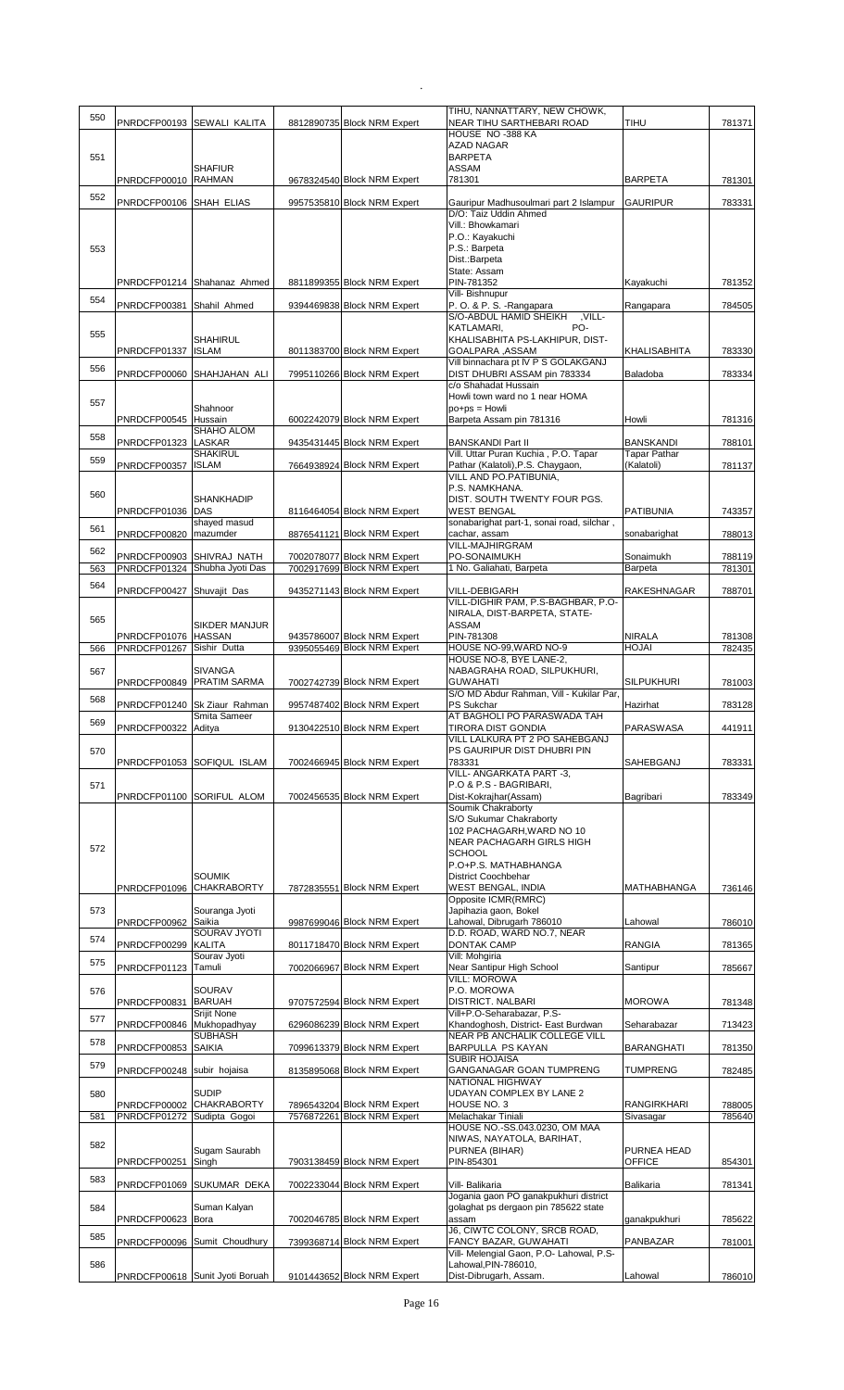| 550 |                                           |                                 |                                                            | TIHU, NANNATTARY, NEW CHOWK,                                              |                                   |                  |
|-----|-------------------------------------------|---------------------------------|------------------------------------------------------------|---------------------------------------------------------------------------|-----------------------------------|------------------|
|     |                                           | PNRDCFP00193 SEWALI KALITA      | 8812890735 Block NRM Expert                                | NEAR TIHU SARTHEBARI ROAD                                                 | TIHU                              | 781371           |
|     |                                           |                                 |                                                            | HOUSE NO -388 KA                                                          |                                   |                  |
| 551 |                                           |                                 |                                                            | <b>AZAD NAGAR</b><br><b>BARPETA</b>                                       |                                   |                  |
|     |                                           | <b>SHAFIUR</b>                  |                                                            | ASSAM                                                                     |                                   |                  |
|     | PNRDCFP00010 RAHMAN                       |                                 | 9678324540 Block NRM Expert                                | 781301                                                                    | <b>BARPETA</b>                    | 781301           |
| 552 | PNRDCFP00106 SHAH ELIAS                   |                                 | 9957535810 Block NRM Expert                                | Gauripur Madhusoulmari part 2 Islampur                                    | <b>GAURIPUR</b>                   | 783331           |
|     |                                           |                                 |                                                            | D/O: Taiz Uddin Ahmed                                                     |                                   |                  |
|     |                                           |                                 |                                                            | Vill.: Bhowkamari                                                         |                                   |                  |
| 553 |                                           |                                 |                                                            | P.O.: Kayakuchi<br>P.S.: Barpeta                                          |                                   |                  |
|     |                                           |                                 |                                                            | Dist.: Barpeta                                                            |                                   |                  |
|     |                                           |                                 |                                                            | State: Assam                                                              |                                   |                  |
|     |                                           | PNRDCFP01214 Shahanaz Ahmed     | 8811899355 Block NRM Expert                                | PIN-781352<br>Vill- Bishnupur                                             | Kayakuchi                         | 781352           |
| 554 | PNRDCFP00381                              | Shahil Ahmed                    | 9394469838 Block NRM Expert                                | P.O. & P.S. - Rangapara                                                   | Rangapara                         | 784505           |
|     |                                           |                                 |                                                            | S/O-ABDUL HAMID SHEIKH<br>-VILL.<br>PO-                                   |                                   |                  |
| 555 |                                           | SHAHIRUL                        |                                                            | KATLAMARI,<br>KHALISABHITA PS-LAKHIPUR, DIST-                             |                                   |                  |
|     | PNRDCFP01337                              | <b>ISLAM</b>                    | 8011383700 Block NRM Expert                                | GOALPARA, ASSAM                                                           | KHALISABHITA                      | 783330           |
| 556 |                                           |                                 |                                                            | Vill binnachara pt IV P S GOLAKGANJ                                       |                                   |                  |
|     |                                           | PNRDCFP00060 SHAHJAHAN ALI      | 7995110266 Block NRM Expert                                | DIST DHUBRI ASSAM pin 783334<br>c/o Shahadat Hussain                      | Baladoba                          | 783334           |
| 557 |                                           |                                 |                                                            | Howli town ward no 1 near HOMA                                            |                                   |                  |
|     |                                           | Shahnoor                        |                                                            | $po+ps = Howli$                                                           |                                   |                  |
|     | PNRDCFP00545 Hussain                      | SHAHO ALOM                      | 6002242079 Block NRM Expert                                | Barpeta Assam pin 781316                                                  | Howli                             | 781316           |
| 558 | PNRDCFP01323                              | <b>LASKAR</b>                   | 9435431445 Block NRM Expert                                | <b>BANSKANDI Part II</b>                                                  | <b>BANSKANDI</b>                  | 788101           |
| 559 | PNRDCFP00357                              | <b>SHAKIRUL</b><br><b>ISLAM</b> | 7664938924 Block NRM Expert                                | Vill. Uttar Puran Kuchia, P.O. Tapar<br>Pathar (Kalatoli), P.S. Chaygaon, | <b>Tapar Pathar</b><br>(Kalatoli) |                  |
|     |                                           |                                 |                                                            | VILL AND PO.PATIBUNIA,                                                    |                                   | 781137           |
| 560 |                                           |                                 |                                                            | P.S. NAMKHANA.                                                            |                                   |                  |
|     |                                           | SHANKHADIP                      |                                                            | DIST. SOUTH TWENTY FOUR PGS.                                              |                                   |                  |
|     | PNRDCFP01036 DAS                          | shayed masud                    | 8116464054 Block NRM Expert                                | <b>WEST BENGAL</b><br>sonabarighat part-1, sonai road, silchar,           | <b>PATIBUNIA</b>                  | 743357           |
| 561 | PNRDCFP00820   mazumder                   |                                 | 8876541121 Block NRM Expert                                | cachar, assam                                                             | sonabarighat                      | 788013           |
| 562 |                                           |                                 |                                                            | VILL-MAJHIRGRAM                                                           |                                   |                  |
| 563 | PNRDCFP00903 SHIVRAJ NATH<br>PNRDCFP01324 | Shubha Jyoti Das                | 7002078077 Block NRM Expert<br>7002917699 Block NRM Expert | PO-SONAIMUKH<br>1 No. Galiahati, Barpeta                                  | Sonaimukh<br>Barpeta              | 788119<br>781301 |
| 564 |                                           |                                 |                                                            |                                                                           |                                   |                  |
|     | PNRDCFP00427 Shuvajit Das                 |                                 | 9435271143 Block NRM Expert                                | <b>VILL-DEBIGARH</b>                                                      | RAKESHNAGAR                       | 788701           |
|     |                                           |                                 |                                                            | VILL-DIGHIR PAM, P.S-BAGHBAR, P.O-<br>NIRALA, DIST-BARPETA, STATE-        |                                   |                  |
| 565 |                                           | SIKDER MANJUR                   |                                                            | ASSAM                                                                     |                                   |                  |
|     | PNRDCFP01076 HASSAN                       |                                 | 9435786007 Block NRM Expert                                | PIN-781308                                                                | <b>NIRALA</b>                     | 781308           |
| 566 | PNRDCFP01267                              | Sishir Dutta                    | 9395055469 Block NRM Expert                                | HOUSE NO-99, WARD NO-9<br>HOUSE NO-8, BYE LANE-2,                         | HOJAI                             | 782435           |
| 567 |                                           | SIVANGA                         |                                                            | NABAGRAHA ROAD, SILPUKHURI,                                               |                                   |                  |
|     | PNRDCFP00849 PRATIM SARMA                 |                                 | 7002742739 Block NRM Expert                                | <b>GUWAHATI</b>                                                           | SILPUKHURI                        | 781003           |
| 568 |                                           | PNRDCFP01240 Sk Ziaur Rahman    | 9957487402 Block NRM Expert                                | S/O MD Abdur Rahman, Vill - Kukilar Par,<br>PS Sukchar                    | Hazirhat                          | 783128           |
| 569 |                                           | Smita Sameer                    |                                                            | AT BAGHOLI PO PARASWADA TAH                                               |                                   |                  |
|     | PNRDCFP00322 Aditya                       |                                 | 9130422510 Block NRM Expert                                | <b>TIRORA DIST GONDIA</b>                                                 | <b>PARASWASA</b>                  | 441911           |
| 570 |                                           |                                 |                                                            | VILL LALKURA PT 2 PO SAHEBGANJ<br>PS GAURIPUR DIST DHUBRI PIN             |                                   |                  |
|     |                                           | PNRDCFP01053 SOFIQUL ISLAM      | 7002466945 Block NRM Expert                                | 783331                                                                    | SAHEBGANJ                         | 783331           |
|     |                                           |                                 |                                                            | <b>VILL- ANGARKATA PART-3.</b>                                            |                                   |                  |
| 571 |                                           |                                 |                                                            | P.O & P.S - BAGRIBARI,                                                    |                                   |                  |
|     |                                           |                                 |                                                            |                                                                           |                                   |                  |
|     |                                           | PNRDCFP01100 SORIFUL ALOM       | 7002456535 Block NRM Expert                                | Dist-Kokrajhar(Assam)<br>Soumik Chakraborty                               | Bagribari                         | 783349           |
|     |                                           |                                 |                                                            | S/O Sukumar Chakraborty                                                   |                                   |                  |
|     |                                           |                                 |                                                            | 102 PACHAGARH, WARD NO 10                                                 |                                   |                  |
| 572 |                                           |                                 |                                                            | <b>NEAR PACHAGARH GIRLS HIGH</b><br><b>SCHOOL</b>                         |                                   |                  |
|     |                                           |                                 |                                                            | P.O+P.S. MATHABHANGA                                                      |                                   |                  |
|     |                                           | SOUMIK                          |                                                            | District Coochbehar                                                       |                                   |                  |
|     | PNRDCFP01096                              | <b>CHAKRABORTY</b>              | 7872835551 Block NRM Expert                                | <b>WEST BENGAL, INDIA</b><br>Opposite ICMR(RMRC)                          | <b>MATHABHANGA</b>                | 736146           |
| 573 |                                           | Souranga Jyoti                  |                                                            | Japihazia gaon, Bokel                                                     |                                   |                  |
|     | PNRDCFP00962                              | Saikia                          | 9987699046 Block NRM Expert                                | Lahowal, Dibrugarh 786010                                                 | Lahowal                           | 786010           |
| 574 | PNRDCFP00299                              | SOURAV JYOTI<br><b>KALITA</b>   | 8011718470 Block NRM Expert                                | D.D. ROAD, WARD NO.7, NEAR<br>DONTAK CAMP                                 | <b>RANGIA</b>                     | 781365           |
|     |                                           | Sourav Jyoti                    |                                                            | Vill: Mohgiria                                                            |                                   |                  |
| 575 | PNRDCFP01123                              | Tamuli                          | 7002066967 Block NRM Expert                                | Near Santipur High School                                                 | Santipur                          | 785667           |
| 576 |                                           | SOURAV                          |                                                            | <b>VILL: MOROWA</b><br>P.O. MOROWA                                        |                                   |                  |
|     | PNRDCFP00831                              | <b>BARUAH</b>                   | 9707572594 Block NRM Expert                                | DISTRICT. NALBARI                                                         | <b>MOROWA</b>                     | 781348           |
| 577 |                                           | Srijit None                     |                                                            | Vill+P.O-Seharabazar, P.S-                                                |                                   |                  |
|     | PNRDCFP00846 Mukhopadhyay                 | SUBHASH                         | 6296086239 Block NRM Expert                                | Khandoghosh, District- East Burdwan<br>NEAR PB ANCHALIK COLLEGE VILL      | Seharabazar                       | 713423           |
| 578 | PNRDCFP00853 SAIKIA                       |                                 | 7099613379 Block NRM Expert                                | BARPULLA PS KAYAN                                                         | <b>BARANGHATI</b>                 | 781350           |
| 579 |                                           |                                 |                                                            | <b>SUBIR HOJAISA</b>                                                      |                                   |                  |
|     | PNRDCFP00248 subir hojaisa                |                                 | 8135895068 Block NRM Expert                                | GANGANAGAR GOAN TUMPRENG<br>NATIONAL HIGHWAY                              | TUMPRENG                          | 782485           |
| 580 |                                           | <b>SUDIP</b>                    |                                                            | UDAYAN COMPLEX BY LANE 2                                                  |                                   |                  |
|     | PNRDCFP00002                              | <b>CHAKRABORTY</b>              | 7896543204 Block NRM Expert                                | HOUSE NO. 3                                                               | <b>RANGIRKHARI</b>                | 788005           |
| 581 | PNRDCFP01272                              | Sudipta Gogoi                   | 7576872261 Block NRM Expert                                | Melachakar Tiniali<br>HOUSE NO.-SS.043.0230, OM MAA                       | Sivasagar                         | 785640           |
|     |                                           |                                 |                                                            | NIWAS, NAYATOLA, BARIHAT,                                                 |                                   |                  |
| 582 |                                           | Sugam Saurabh                   |                                                            | PURNEA (BIHAR)                                                            | <b>PURNEA HEAD</b>                |                  |
|     | PNRDCFP00251                              | Singh                           | 7903138459 Block NRM Expert                                | PIN-854301                                                                | <b>OFFICE</b>                     | 854301           |
| 583 |                                           | PNRDCFP01069 SUKUMAR DEKA       | 7002233044 Block NRM Expert                                | Vill- Balikaria                                                           | Balikaria                         | 781341           |
|     |                                           |                                 |                                                            | Jogania gaon PO ganakpukhuri district                                     |                                   |                  |
| 584 | PNRDCFP00623                              | Suman Kalyan<br>Bora            | 7002046785 Block NRM Expert                                | golaghat ps dergaon pin 785622 state<br>assam                             | ganakpukhuri                      | 785622           |
|     |                                           |                                 |                                                            | J6, CIWTC COLONY, SRCB ROAD,                                              |                                   |                  |
| 585 |                                           | PNRDCFP00096 Sumit Choudhury    | 7399368714 Block NRM Expert                                | FANCY BAZAR, GUWAHATI                                                     | PANBAZAR                          | 781001           |
| 586 |                                           |                                 |                                                            | Vill- Melengial Gaon, P.O- Lahowal, P.S-<br>Lahowal.PIN-786010.           |                                   |                  |